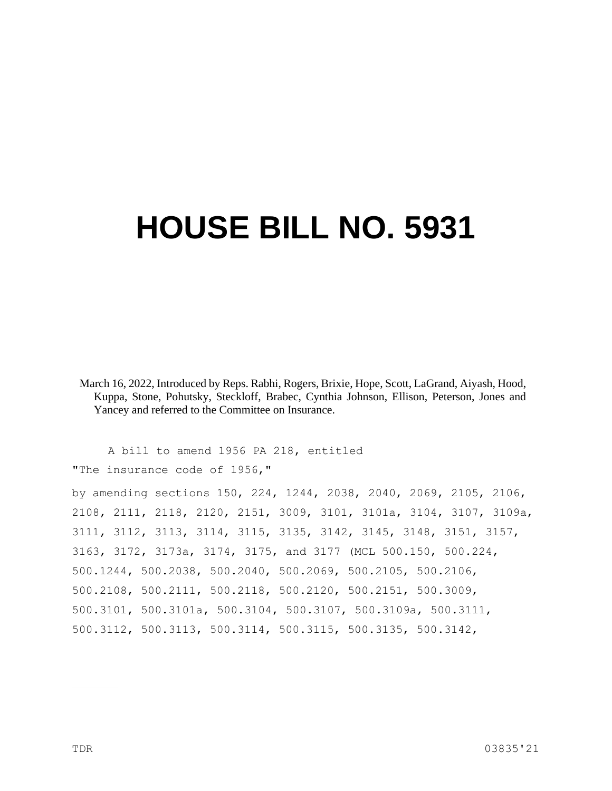## **HOUSE BILL NO. 5931**

March 16, 2022, Introduced by Reps. Rabhi, Rogers, Brixie, Hope, Scott, LaGrand, Aiyash, Hood, Kuppa, Stone, Pohutsky, Steckloff, Brabec, Cynthia Johnson, Ellison, Peterson, Jones and Yancey and referred to the Committee on Insurance.

A bill to amend 1956 PA 218, entitled "The insurance code of 1956,"

by amending sections 150, 224, 1244, 2038, 2040, 2069, 2105, 2106, 2108, 2111, 2118, 2120, 2151, 3009, 3101, 3101a, 3104, 3107, 3109a, 3111, 3112, 3113, 3114, 3115, 3135, 3142, 3145, 3148, 3151, 3157, 3163, 3172, 3173a, 3174, 3175, and 3177 (MCL 500.150, 500.224, 500.1244, 500.2038, 500.2040, 500.2069, 500.2105, 500.2106, 500.2108, 500.2111, 500.2118, 500.2120, 500.2151, 500.3009, 500.3101, 500.3101a, 500.3104, 500.3107, 500.3109a, 500.3111, 500.3112, 500.3113, 500.3114, 500.3115, 500.3135, 500.3142,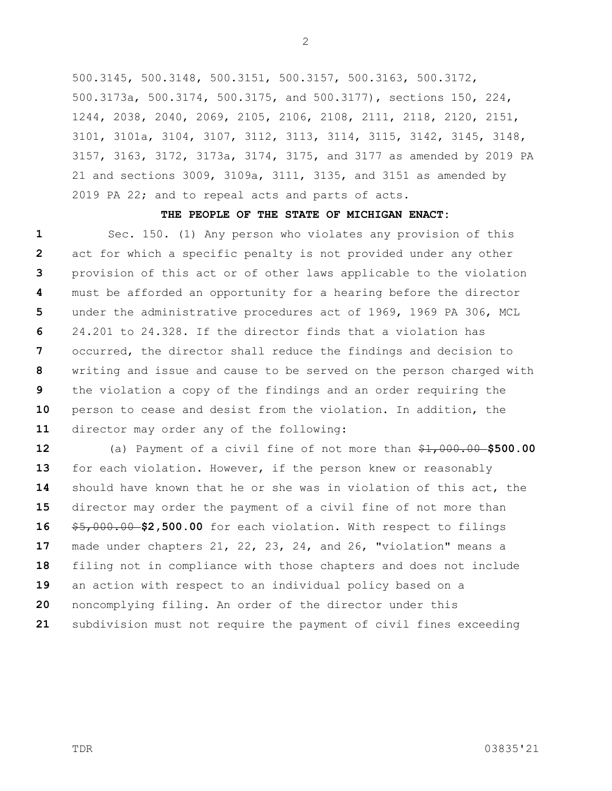500.3145, 500.3148, 500.3151, 500.3157, 500.3163, 500.3172, 500.3173a, 500.3174, 500.3175, and 500.3177), sections 150, 224, 1244, 2038, 2040, 2069, 2105, 2106, 2108, 2111, 2118, 2120, 2151, 3101, 3101a, 3104, 3107, 3112, 3113, 3114, 3115, 3142, 3145, 3148, 3157, 3163, 3172, 3173a, 3174, 3175, and 3177 as amended by 2019 PA 21 and sections 3009, 3109a, 3111, 3135, and 3151 as amended by 2019 PA 22; and to repeal acts and parts of acts.

## **THE PEOPLE OF THE STATE OF MICHIGAN ENACT:**

**1 2 3 4 5 6 7 8 9 10 11** Sec. 150. (1) Any person who violates any provision of this act for which a specific penalty is not provided under any other provision of this act or of other laws applicable to the violation must be afforded an opportunity for a hearing before the director under the administrative procedures act of 1969, 1969 PA 306, MCL 24.201 to 24.328. If the director finds that a violation has occurred, the director shall reduce the findings and decision to writing and issue and cause to be served on the person charged with the violation a copy of the findings and an order requiring the person to cease and desist from the violation. In addition, the director may order any of the following:

**12 13 14 15 16 17 18 19 20 21** (a) Payment of a civil fine of not more than \$1,000.00 **\$500.00**  for each violation. However, if the person knew or reasonably should have known that he or she was in violation of this act, the director may order the payment of a civil fine of not more than \$5,000.00 **\$2,500.00** for each violation. With respect to filings made under chapters 21, 22, 23, 24, and 26, "violation" means a filing not in compliance with those chapters and does not include an action with respect to an individual policy based on a noncomplying filing. An order of the director under this subdivision must not require the payment of civil fines exceeding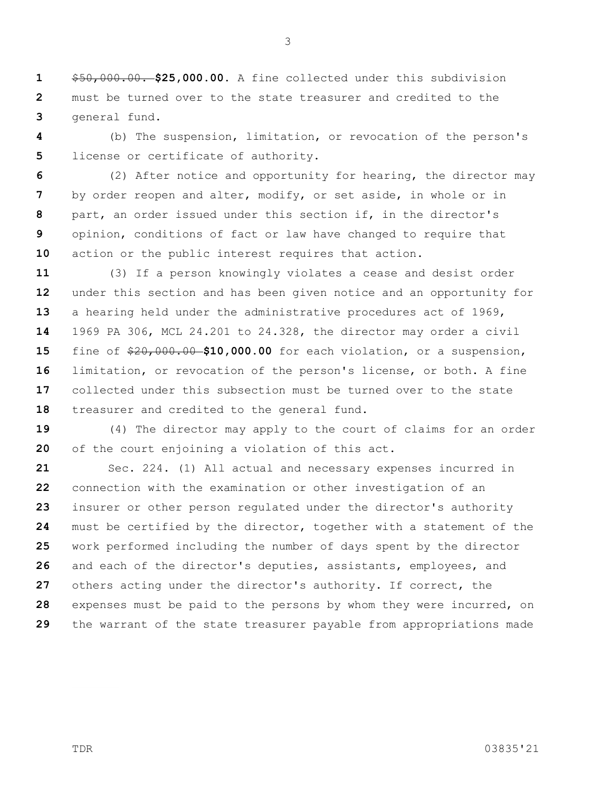**1 2 3** \$50,000.00. **\$25,000.00.** A fine collected under this subdivision must be turned over to the state treasurer and credited to the general fund.

**4 5** (b) The suspension, limitation, or revocation of the person's license or certificate of authority.

**6 7 8 9 10** (2) After notice and opportunity for hearing, the director may by order reopen and alter, modify, or set aside, in whole or in part, an order issued under this section if, in the director's opinion, conditions of fact or law have changed to require that action or the public interest requires that action.

**11 12 13 14 15 16 17 18** (3) If a person knowingly violates a cease and desist order under this section and has been given notice and an opportunity for a hearing held under the administrative procedures act of 1969, 1969 PA 306, MCL 24.201 to 24.328, the director may order a civil fine of \$20,000.00 **\$10,000.00** for each violation, or a suspension, limitation, or revocation of the person's license, or both. A fine collected under this subsection must be turned over to the state treasurer and credited to the general fund.

**19 20** (4) The director may apply to the court of claims for an order of the court enjoining a violation of this act.

**21 22 23 24 25 26 27 28 29** Sec. 224. (1) All actual and necessary expenses incurred in connection with the examination or other investigation of an insurer or other person regulated under the director's authority must be certified by the director, together with a statement of the work performed including the number of days spent by the director and each of the director's deputies, assistants, employees, and others acting under the director's authority. If correct, the expenses must be paid to the persons by whom they were incurred, on the warrant of the state treasurer payable from appropriations made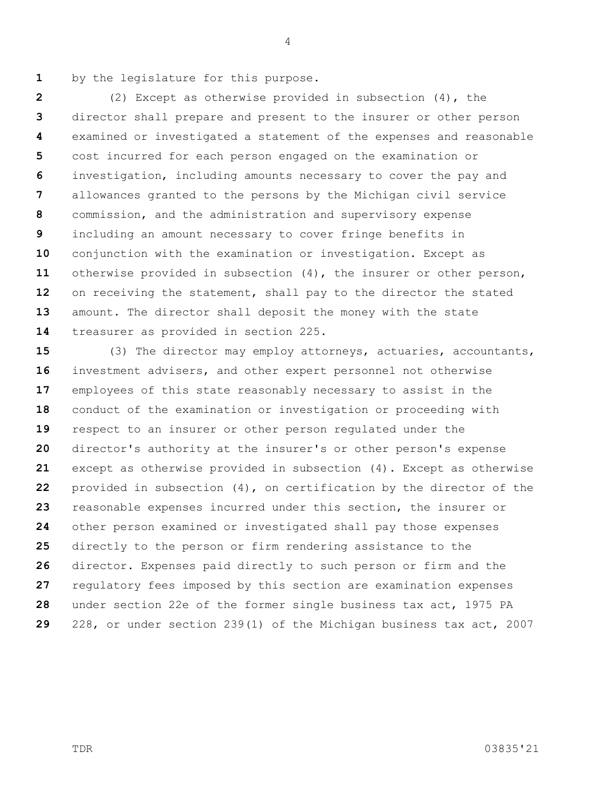**1** by the legislature for this purpose.

**2 3 4 5 6 7 8 9 10 11 12 13 14** (2) Except as otherwise provided in subsection (4), the director shall prepare and present to the insurer or other person examined or investigated a statement of the expenses and reasonable cost incurred for each person engaged on the examination or investigation, including amounts necessary to cover the pay and allowances granted to the persons by the Michigan civil service commission, and the administration and supervisory expense including an amount necessary to cover fringe benefits in conjunction with the examination or investigation. Except as otherwise provided in subsection (4), the insurer or other person, on receiving the statement, shall pay to the director the stated amount. The director shall deposit the money with the state treasurer as provided in section 225.

**15 16 17 18 19 20 21 22 23 24 25 26 27 28 29** (3) The director may employ attorneys, actuaries, accountants, investment advisers, and other expert personnel not otherwise employees of this state reasonably necessary to assist in the conduct of the examination or investigation or proceeding with respect to an insurer or other person regulated under the director's authority at the insurer's or other person's expense except as otherwise provided in subsection (4). Except as otherwise provided in subsection (4), on certification by the director of the reasonable expenses incurred under this section, the insurer or other person examined or investigated shall pay those expenses directly to the person or firm rendering assistance to the director. Expenses paid directly to such person or firm and the regulatory fees imposed by this section are examination expenses under section 22e of the former single business tax act, 1975 PA 228, or under section 239(1) of the Michigan business tax act, 2007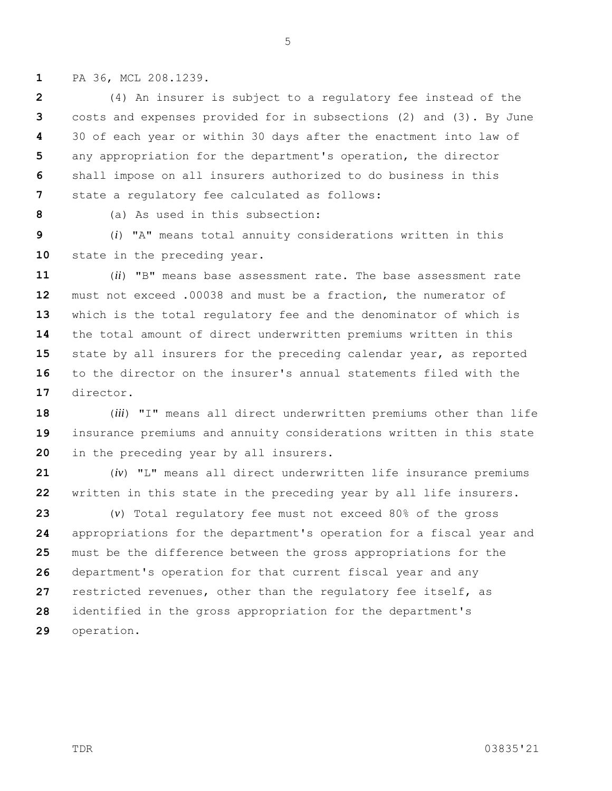**1** PA 36, MCL 208.1239.

**2 3 4 5 6 7** (4) An insurer is subject to a regulatory fee instead of the costs and expenses provided for in subsections (2) and (3). By June 30 of each year or within 30 days after the enactment into law of any appropriation for the department's operation, the director shall impose on all insurers authorized to do business in this state a regulatory fee calculated as follows:

**8**

(a) As used in this subsection:

**9 10** (*i*) "A" means total annuity considerations written in this state in the preceding year.

**11 12 13 14 15 16 17** (*ii*) "B" means base assessment rate. The base assessment rate must not exceed .00038 and must be a fraction, the numerator of which is the total regulatory fee and the denominator of which is the total amount of direct underwritten premiums written in this state by all insurers for the preceding calendar year, as reported to the director on the insurer's annual statements filed with the director.

**18 19 20** (*iii*) "I" means all direct underwritten premiums other than life insurance premiums and annuity considerations written in this state in the preceding year by all insurers.

**21 22** (*iv*) "L" means all direct underwritten life insurance premiums written in this state in the preceding year by all life insurers.

**23 24 25 26 27 28 29** (*v*) Total regulatory fee must not exceed 80% of the gross appropriations for the department's operation for a fiscal year and must be the difference between the gross appropriations for the department's operation for that current fiscal year and any restricted revenues, other than the regulatory fee itself, as identified in the gross appropriation for the department's operation.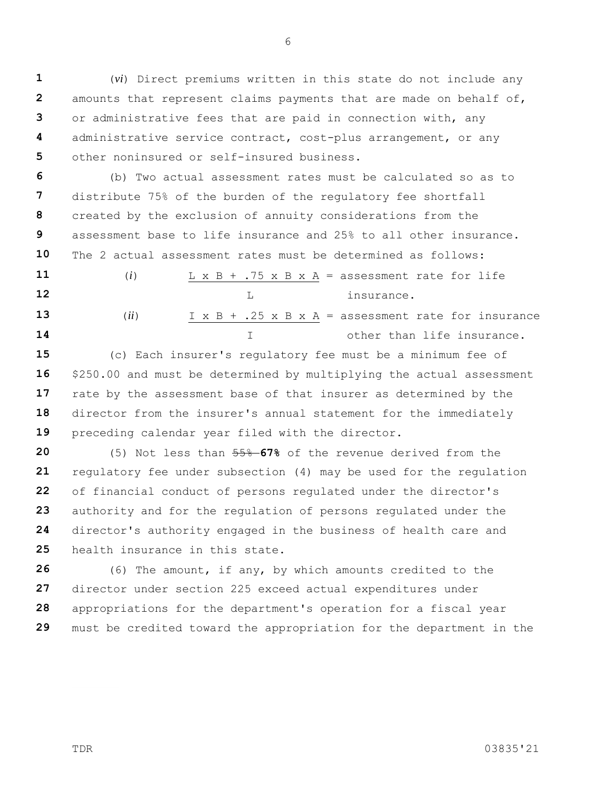**1 2 3 4 5** (*vi*) Direct premiums written in this state do not include any amounts that represent claims payments that are made on behalf of, or administrative fees that are paid in connection with, any administrative service contract, cost-plus arrangement, or any other noninsured or self-insured business.

**6 7 8 9 10** (b) Two actual assessment rates must be calculated so as to distribute 75% of the burden of the regulatory fee shortfall created by the exclusion of annuity considerations from the assessment base to life insurance and 25% to all other insurance. The 2 actual assessment rates must be determined as follows:

**11 12 13 14** (*i*)  $L \times B + .75 \times B \times A =$  assessment rate for life L insurance. (*ii*)  $I \times B + .25 \times B \times A = \text{assessment rate for insurance}$ other than life insurance.

**15 16 17 18 19** (c) Each insurer's regulatory fee must be a minimum fee of \$250.00 and must be determined by multiplying the actual assessment rate by the assessment base of that insurer as determined by the director from the insurer's annual statement for the immediately preceding calendar year filed with the director.

**20 21 22 23 24 25** (5) Not less than 55% **67%** of the revenue derived from the regulatory fee under subsection (4) may be used for the regulation of financial conduct of persons regulated under the director's authority and for the regulation of persons regulated under the director's authority engaged in the business of health care and health insurance in this state.

**26 27 28 29** (6) The amount, if any, by which amounts credited to the director under section 225 exceed actual expenditures under appropriations for the department's operation for a fiscal year must be credited toward the appropriation for the department in the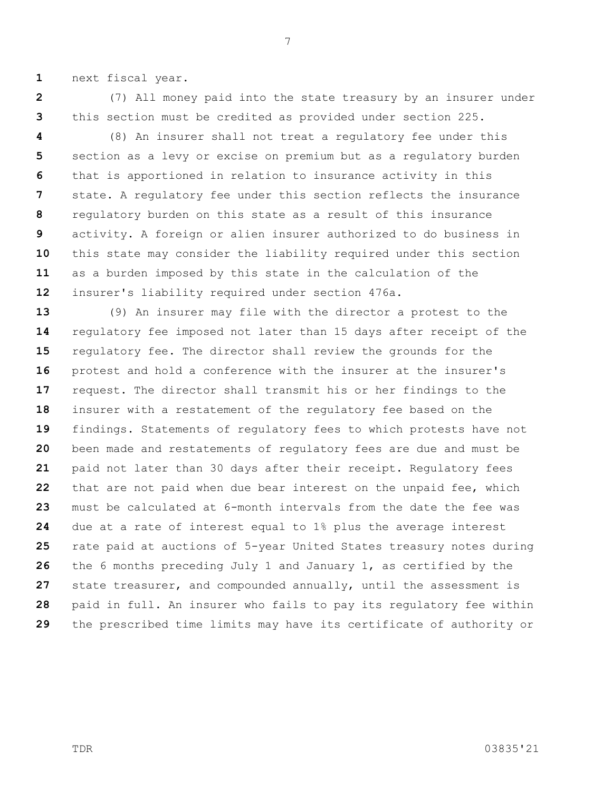**1** next fiscal year.

**2** (7) All money paid into the state treasury by an insurer under this section must be credited as provided under section 225.

**3**

**4 5 6 7 8 9 10 11 12** (8) An insurer shall not treat a regulatory fee under this section as a levy or excise on premium but as a regulatory burden that is apportioned in relation to insurance activity in this state. A regulatory fee under this section reflects the insurance regulatory burden on this state as a result of this insurance activity. A foreign or alien insurer authorized to do business in this state may consider the liability required under this section as a burden imposed by this state in the calculation of the insurer's liability required under section 476a.

**13 14 15 16 17 18 19 20 21 22 23 24 25 26 27 28 29** (9) An insurer may file with the director a protest to the regulatory fee imposed not later than 15 days after receipt of the regulatory fee. The director shall review the grounds for the protest and hold a conference with the insurer at the insurer's request. The director shall transmit his or her findings to the insurer with a restatement of the regulatory fee based on the findings. Statements of regulatory fees to which protests have not been made and restatements of regulatory fees are due and must be paid not later than 30 days after their receipt. Regulatory fees that are not paid when due bear interest on the unpaid fee, which must be calculated at 6-month intervals from the date the fee was due at a rate of interest equal to 1% plus the average interest rate paid at auctions of 5-year United States treasury notes during the 6 months preceding July 1 and January 1, as certified by the state treasurer, and compounded annually, until the assessment is paid in full. An insurer who fails to pay its regulatory fee within the prescribed time limits may have its certificate of authority or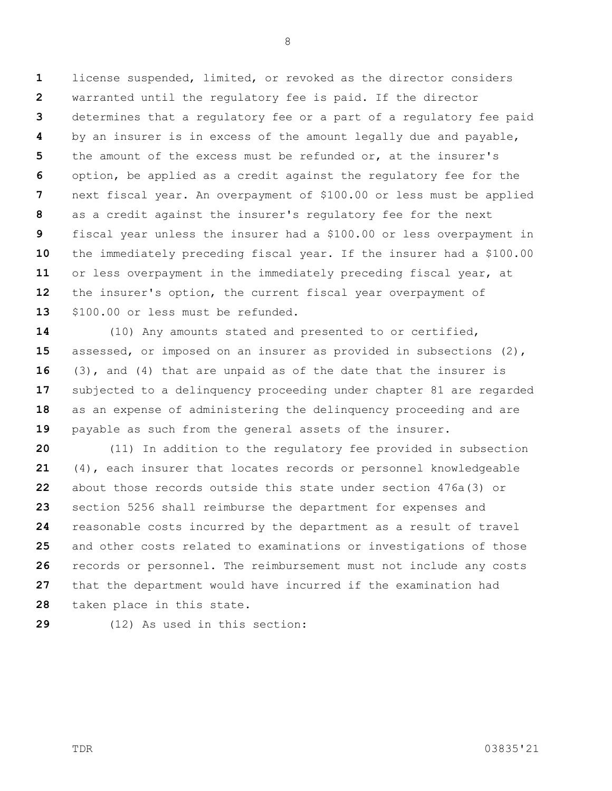**1 2 3 4 5 6 7 8 9 10 11 12 13** license suspended, limited, or revoked as the director considers warranted until the regulatory fee is paid. If the director determines that a regulatory fee or a part of a regulatory fee paid by an insurer is in excess of the amount legally due and payable, the amount of the excess must be refunded or, at the insurer's option, be applied as a credit against the regulatory fee for the next fiscal year. An overpayment of \$100.00 or less must be applied as a credit against the insurer's regulatory fee for the next fiscal year unless the insurer had a \$100.00 or less overpayment in the immediately preceding fiscal year. If the insurer had a \$100.00 or less overpayment in the immediately preceding fiscal year, at the insurer's option, the current fiscal year overpayment of \$100.00 or less must be refunded.

**14 15 16 17 18 19** (10) Any amounts stated and presented to or certified, assessed, or imposed on an insurer as provided in subsections (2), (3), and (4) that are unpaid as of the date that the insurer is subjected to a delinquency proceeding under chapter 81 are regarded as an expense of administering the delinquency proceeding and are payable as such from the general assets of the insurer.

**20 21 22 23 24 25 26 27 28** (11) In addition to the regulatory fee provided in subsection (4), each insurer that locates records or personnel knowledgeable about those records outside this state under section 476a(3) or section 5256 shall reimburse the department for expenses and reasonable costs incurred by the department as a result of travel and other costs related to examinations or investigations of those records or personnel. The reimbursement must not include any costs that the department would have incurred if the examination had taken place in this state.

**29**

(12) As used in this section: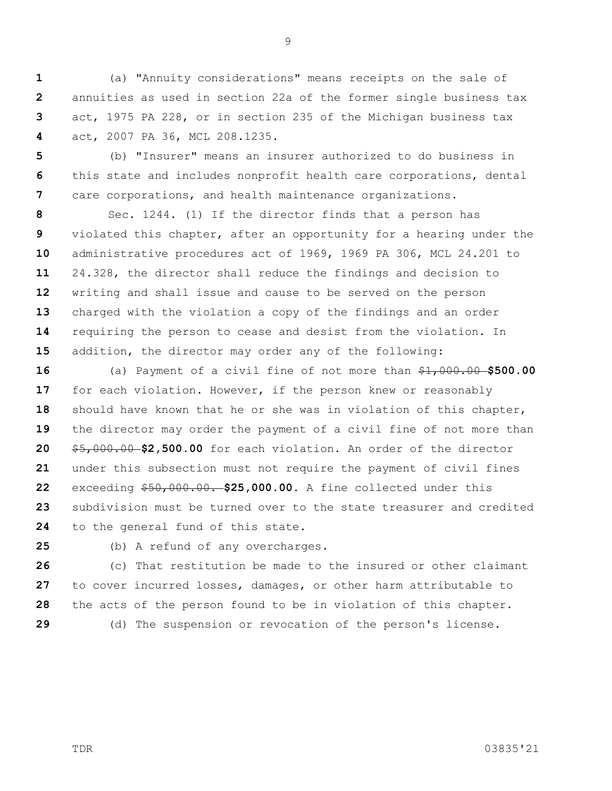**1 2 3 4** (a) "Annuity considerations" means receipts on the sale of annuities as used in section 22a of the former single business tax act, 1975 PA 228, or in section 235 of the Michigan business tax act, 2007 PA 36, MCL 208.1235.

**5 6 7** (b) "Insurer" means an insurer authorized to do business in this state and includes nonprofit health care corporations, dental care corporations, and health maintenance organizations.

**8 9 10 11 12 13 14 15** Sec. 1244. (1) If the director finds that a person has violated this chapter, after an opportunity for a hearing under the administrative procedures act of 1969, 1969 PA 306, MCL 24.201 to 24.328, the director shall reduce the findings and decision to writing and shall issue and cause to be served on the person charged with the violation a copy of the findings and an order requiring the person to cease and desist from the violation. In addition, the director may order any of the following:

**16 17 18 19 20 21 22 23 24** (a) Payment of a civil fine of not more than \$1,000.00 **\$500.00**  for each violation. However, if the person knew or reasonably should have known that he or she was in violation of this chapter, the director may order the payment of a civil fine of not more than \$5,000.00 **\$2,500.00** for each violation. An order of the director under this subsection must not require the payment of civil fines exceeding \$50,000.00. **\$25,000.00.** A fine collected under this subdivision must be turned over to the state treasurer and credited to the general fund of this state.

**25**

(b) A refund of any overcharges.

**26 27 28 29** (c) That restitution be made to the insured or other claimant to cover incurred losses, damages, or other harm attributable to the acts of the person found to be in violation of this chapter. (d) The suspension or revocation of the person's license.

TDR 03835'21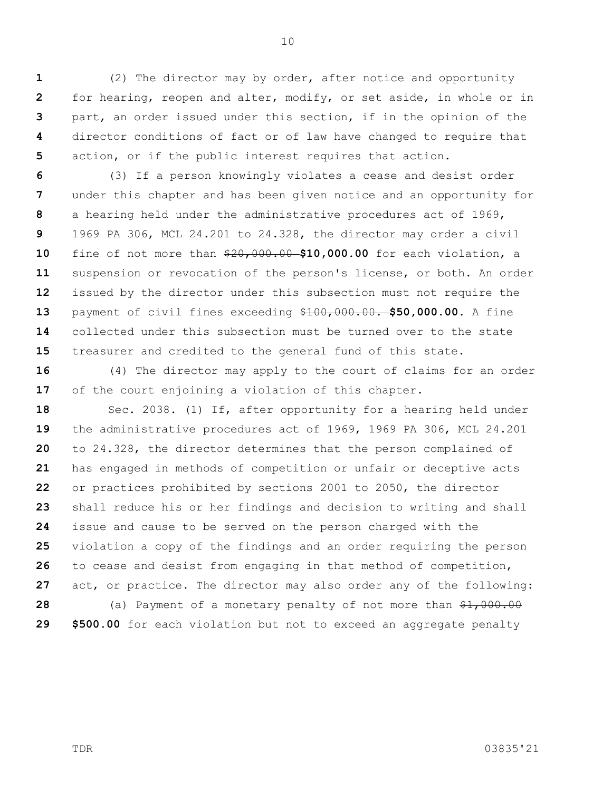**1 2 3 4 5** (2) The director may by order, after notice and opportunity for hearing, reopen and alter, modify, or set aside, in whole or in part, an order issued under this section, if in the opinion of the director conditions of fact or of law have changed to require that action, or if the public interest requires that action.

**6 7 8 9 10 11 12 13 14 15** (3) If a person knowingly violates a cease and desist order under this chapter and has been given notice and an opportunity for a hearing held under the administrative procedures act of 1969, 1969 PA 306, MCL 24.201 to 24.328, the director may order a civil fine of not more than \$20,000.00 **\$10,000.00** for each violation, a suspension or revocation of the person's license, or both. An order issued by the director under this subsection must not require the payment of civil fines exceeding \$100,000.00. **\$50,000.00.** A fine collected under this subsection must be turned over to the state treasurer and credited to the general fund of this state.

**16 17** (4) The director may apply to the court of claims for an order of the court enjoining a violation of this chapter.

**18 19 20 21 22 23 24 25 26 27 28 29** Sec. 2038. (1) If, after opportunity for a hearing held under the administrative procedures act of 1969, 1969 PA 306, MCL 24.201 to 24.328, the director determines that the person complained of has engaged in methods of competition or unfair or deceptive acts or practices prohibited by sections 2001 to 2050, the director shall reduce his or her findings and decision to writing and shall issue and cause to be served on the person charged with the violation a copy of the findings and an order requiring the person to cease and desist from engaging in that method of competition, act, or practice. The director may also order any of the following: (a) Payment of a monetary penalty of not more than  $$1,000.00$ **\$500.00** for each violation but not to exceed an aggregate penalty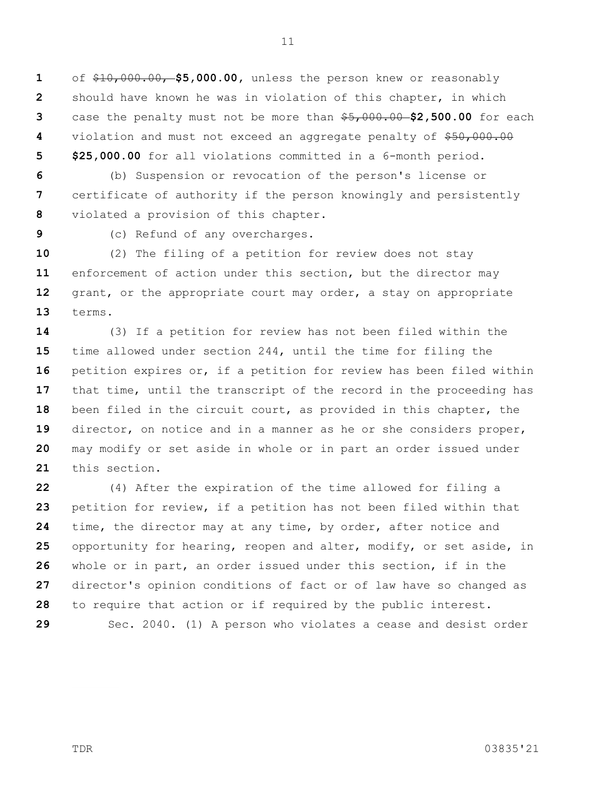**1 2 3 4 5** of \$10,000.00, **\$5,000.00,** unless the person knew or reasonably should have known he was in violation of this chapter, in which case the penalty must not be more than \$5,000.00 **\$2,500.00** for each violation and must not exceed an aggregate penalty of \$50,000.00 **\$25,000.00** for all violations committed in a 6-month period.

**6 7 8** (b) Suspension or revocation of the person's license or certificate of authority if the person knowingly and persistently violated a provision of this chapter.

**9**

(c) Refund of any overcharges.

**10 11 12 13** (2) The filing of a petition for review does not stay enforcement of action under this section, but the director may grant, or the appropriate court may order, a stay on appropriate terms.

**14 15 16 17 18 19 20 21** (3) If a petition for review has not been filed within the time allowed under section 244, until the time for filing the petition expires or, if a petition for review has been filed within that time, until the transcript of the record in the proceeding has been filed in the circuit court, as provided in this chapter, the director, on notice and in a manner as he or she considers proper, may modify or set aside in whole or in part an order issued under this section.

**22 23 24 25 26 27 28 29** (4) After the expiration of the time allowed for filing a petition for review, if a petition has not been filed within that time, the director may at any time, by order, after notice and opportunity for hearing, reopen and alter, modify, or set aside, in whole or in part, an order issued under this section, if in the director's opinion conditions of fact or of law have so changed as to require that action or if required by the public interest.

Sec. 2040. (1) A person who violates a cease and desist order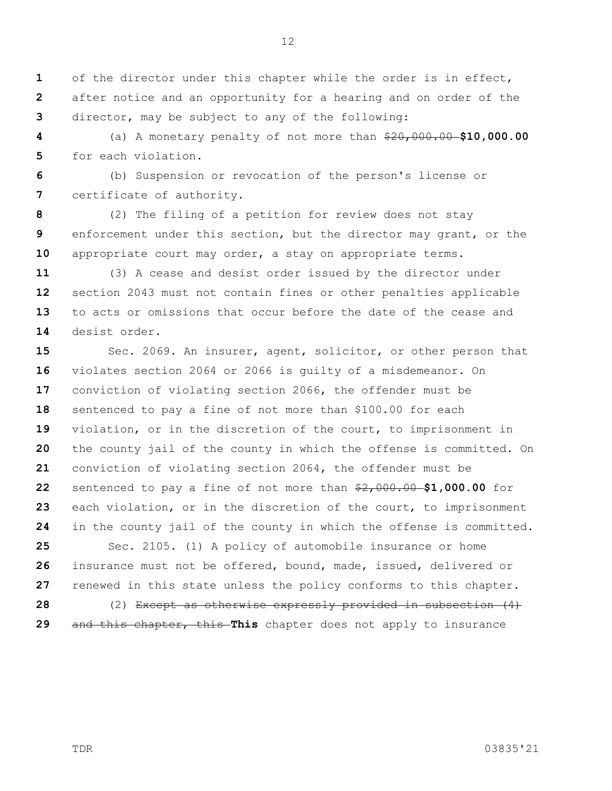**1 2 3** of the director under this chapter while the order is in effect, after notice and an opportunity for a hearing and on order of the director, may be subject to any of the following:

**4 5** (a) A monetary penalty of not more than  $$20,000.00 - $10,000.00$ for each violation.

**6 7** (b) Suspension or revocation of the person's license or certificate of authority.

**8 9 10** (2) The filing of a petition for review does not stay enforcement under this section, but the director may grant, or the appropriate court may order, a stay on appropriate terms.

**11 12 13 14** (3) A cease and desist order issued by the director under section 2043 must not contain fines or other penalties applicable to acts or omissions that occur before the date of the cease and desist order.

**15 16 17 18 19 20 21 22 23 24 25 26** Sec. 2069. An insurer, agent, solicitor, or other person that violates section 2064 or 2066 is guilty of a misdemeanor. On conviction of violating section 2066, the offender must be sentenced to pay a fine of not more than \$100.00 for each violation, or in the discretion of the court, to imprisonment in the county jail of the county in which the offense is committed. On conviction of violating section 2064, the offender must be sentenced to pay a fine of not more than \$2,000.00 **\$1,000.00** for each violation, or in the discretion of the court, to imprisonment in the county jail of the county in which the offense is committed. Sec. 2105. (1) A policy of automobile insurance or home insurance must not be offered, bound, made, issued, delivered or

**27** renewed in this state unless the policy conforms to this chapter.

**28 29** (2) Except as otherwise expressly provided in subsection (4) and this chapter, this **This** chapter does not apply to insurance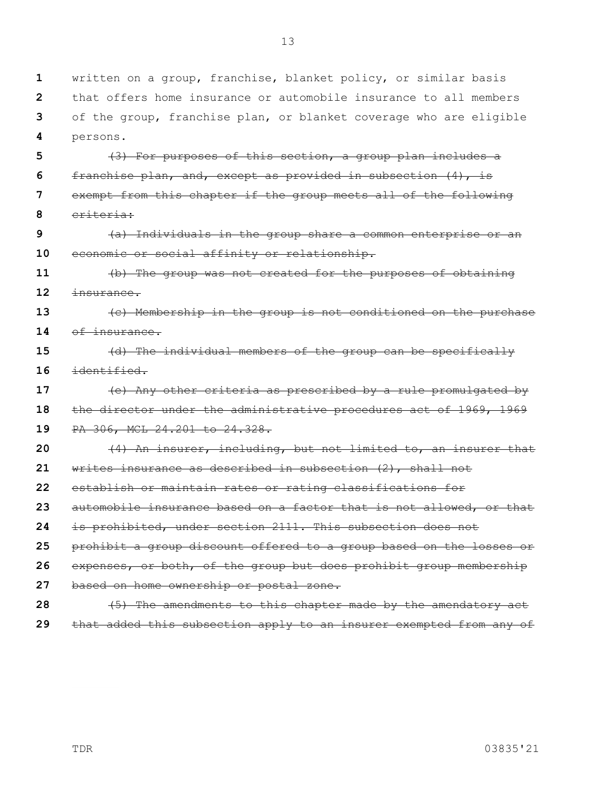13

| $\mathbf{1}$ | written on a group, franchise, blanket policy, or similar basis      |
|--------------|----------------------------------------------------------------------|
|              | 2 that offers home insurance or automobile insurance to all members  |
|              | 3 of the group, franchise plan, or blanket coverage who are eligible |
|              | 4 persons.                                                           |

**5 6 7 8** (3) For purposes of this section, a group plan includes a franchise plan, and, except as provided in subsection (4), is exempt from this chapter if the group meets all of the following criteria:

**9 10** (a) Individuals in the group share a common enterprise or an economic or social affinity or relationship.

**11 12** (b) The group was not created for the purposes of obtaining insurance.

**13 14** (c) Membership in the group is not conditioned on the purchase of insurance.

**15 16** (d) The individual members of the group can be specifically identified.

**17 18 19 20 21 22 23** (e) Any other criteria as prescribed by a rule promulgated by the director under the administrative procedures act of 1969, 1969 PA 306, MCL 24.201 to 24.328. (4) An insurer, including, but not limited to, an insurer that writes insurance as described in subsection (2), shall not establish or maintain rates or rating classifications for automobile insurance based on a factor that is not allowed, or that

**24** is prohibited, under section 2111. This subsection does not

**25** prohibit a group discount offered to a group based on the losses or

**26** expenses, or both, of the group but does prohibit group membership

- **27** based on home ownership or postal zone.
- **28 29** (5) The amendments to this chapter made by the amendatory act that added this subsection apply to an insurer exempted from any of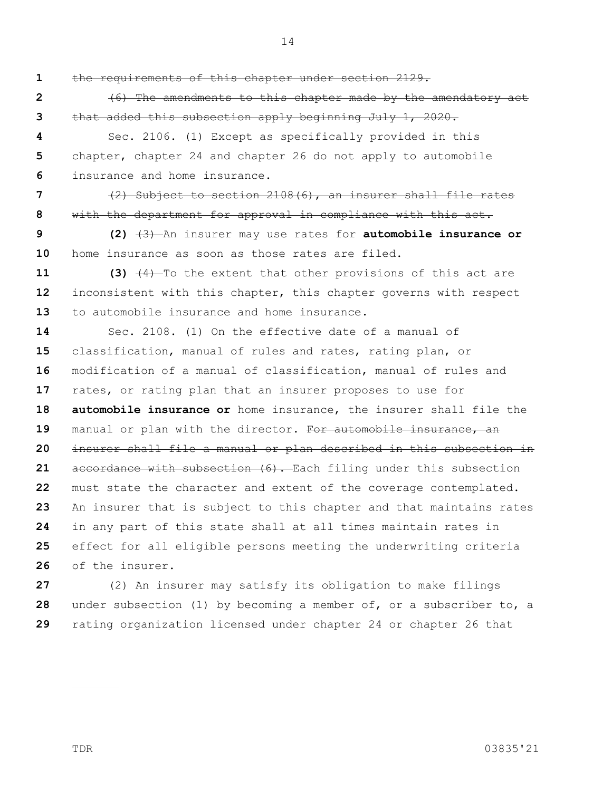14

**1**

the requirements of this chapter under section 2129.

**2 3** (6) The amendments to this chapter made by the amendatory act that added this subsection apply beginning July 1, 2020.

**4 5 6** Sec. 2106. (1) Except as specifically provided in this chapter, chapter 24 and chapter 26 do not apply to automobile insurance and home insurance.

**7 8** (2) Subject to section 2108(6), an insurer shall file rates with the department for approval in compliance with this act.

**9 10 (2)** (3) An insurer may use rates for **automobile insurance or**  home insurance as soon as those rates are filed.

**11 12 13 (3)** (4) To the extent that other provisions of this act are inconsistent with this chapter, this chapter governs with respect to automobile insurance and home insurance.

**14 15 16 17 18 19 20 21 22 23 24 25 26** Sec. 2108. (1) On the effective date of a manual of classification, manual of rules and rates, rating plan, or modification of a manual of classification, manual of rules and rates, or rating plan that an insurer proposes to use for **automobile insurance or** home insurance, the insurer shall file the manual or plan with the director. For automobile insurance, an insurer shall file a manual or plan described in this subsection in accordance with subsection (6). Each filing under this subsection must state the character and extent of the coverage contemplated. An insurer that is subject to this chapter and that maintains rates in any part of this state shall at all times maintain rates in effect for all eligible persons meeting the underwriting criteria of the insurer.

**27 28 29** (2) An insurer may satisfy its obligation to make filings under subsection (1) by becoming a member of, or a subscriber to, a rating organization licensed under chapter 24 or chapter 26 that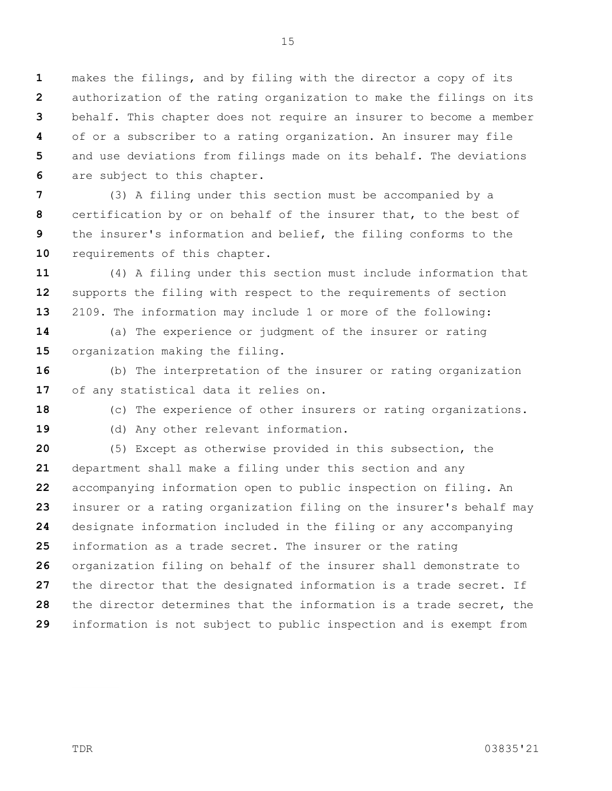**1 2 3 4 5 6** makes the filings, and by filing with the director a copy of its authorization of the rating organization to make the filings on its behalf. This chapter does not require an insurer to become a member of or a subscriber to a rating organization. An insurer may file and use deviations from filings made on its behalf. The deviations are subject to this chapter.

**7 8 9 10** (3) A filing under this section must be accompanied by a certification by or on behalf of the insurer that, to the best of the insurer's information and belief, the filing conforms to the requirements of this chapter.

**11 12 13** (4) A filing under this section must include information that supports the filing with respect to the requirements of section 2109. The information may include 1 or more of the following:

**14 15** (a) The experience or judgment of the insurer or rating organization making the filing.

**16 17** (b) The interpretation of the insurer or rating organization of any statistical data it relies on.

**18**

(c) The experience of other insurers or rating organizations.

**19**

(d) Any other relevant information.

**20 21 22 23 24 25 26 27 28 29** (5) Except as otherwise provided in this subsection, the department shall make a filing under this section and any accompanying information open to public inspection on filing. An insurer or a rating organization filing on the insurer's behalf may designate information included in the filing or any accompanying information as a trade secret. The insurer or the rating organization filing on behalf of the insurer shall demonstrate to the director that the designated information is a trade secret. If the director determines that the information is a trade secret, the information is not subject to public inspection and is exempt from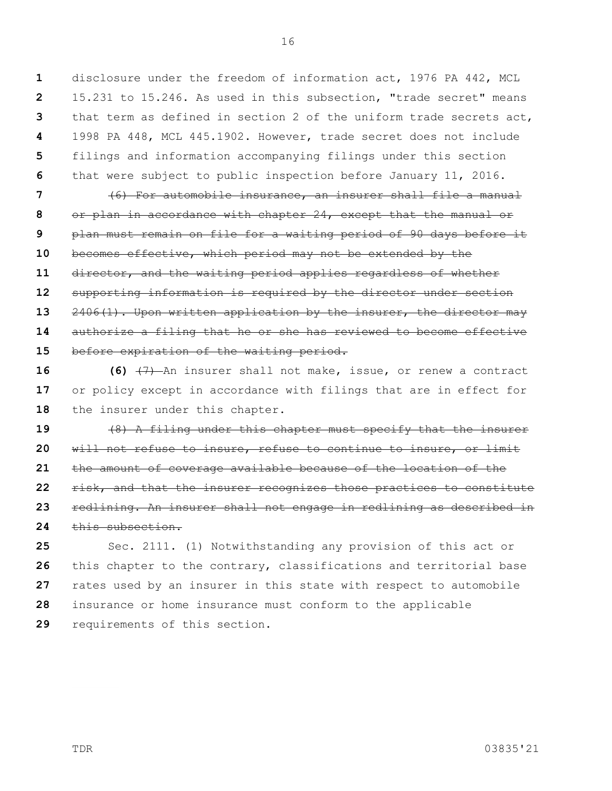**1 2 3 4 5 6** disclosure under the freedom of information act, 1976 PA 442, MCL 15.231 to 15.246. As used in this subsection, "trade secret" means that term as defined in section 2 of the uniform trade secrets act, 1998 PA 448, MCL 445.1902. However, trade secret does not include filings and information accompanying filings under this section that were subject to public inspection before January 11, 2016.

**7 8 9 10 11 12 13 14 15** (6) For automobile insurance, an insurer shall file a manual or plan in accordance with chapter 24, except that the manual or plan must remain on file for a waiting period of 90 days before it becomes effective, which period may not be extended by the director, and the waiting period applies regardless of whether supporting information is required by the director under section 2406(1). Upon written application by the insurer, the director may authorize a filing that he or she has reviewed to become effective before expiration of the waiting period.

**16 17 18 (6)** (7) An insurer shall not make, issue, or renew a contract or policy except in accordance with filings that are in effect for the insurer under this chapter.

**19 20 21 22 23 24** (8) A filing under this chapter must specify that the insurer will not refuse to insure, refuse to continue to insure, or limit the amount of coverage available because of the location of the risk, and that the insurer recognizes those practices to constitute redlining. An insurer shall not engage in redlining as described in this subsection.

**25 26 27 28 29** Sec. 2111. (1) Notwithstanding any provision of this act or this chapter to the contrary, classifications and territorial base rates used by an insurer in this state with respect to automobile insurance or home insurance must conform to the applicable requirements of this section.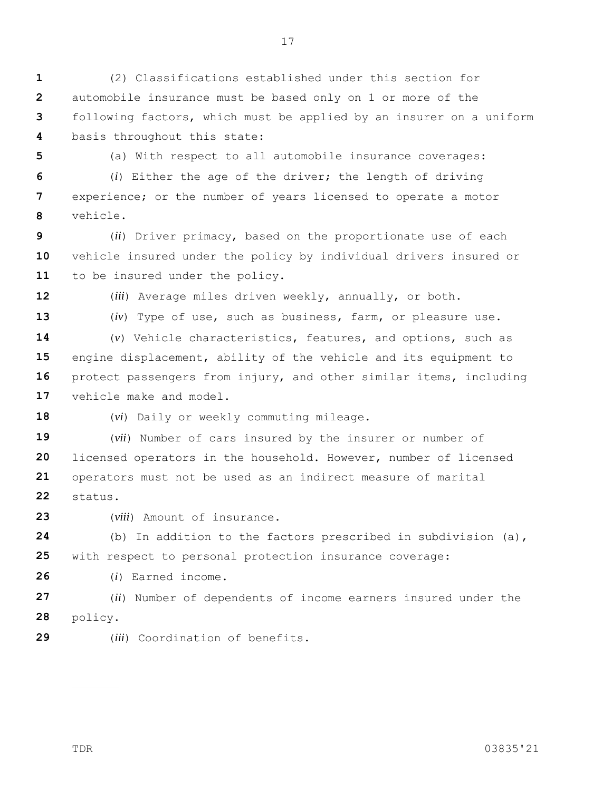**1 2 3 4** (2) Classifications established under this section for automobile insurance must be based only on 1 or more of the following factors, which must be applied by an insurer on a uniform basis throughout this state:

**5**

(a) With respect to all automobile insurance coverages:

**6 7 8** (*i*) Either the age of the driver; the length of driving experience; or the number of years licensed to operate a motor vehicle.

**9 10 11** (*ii*) Driver primacy, based on the proportionate use of each vehicle insured under the policy by individual drivers insured or to be insured under the policy.

**12**

(*iii*) Average miles driven weekly, annually, or both.

**13**

(*iv*) Type of use, such as business, farm, or pleasure use.

**14 15 16 17** (*v*) Vehicle characteristics, features, and options, such as engine displacement, ability of the vehicle and its equipment to protect passengers from injury, and other similar items, including vehicle make and model.

**18**

(*vi*) Daily or weekly commuting mileage.

**19 20 21 22** (*vii*) Number of cars insured by the insurer or number of licensed operators in the household. However, number of licensed operators must not be used as an indirect measure of marital status.

**23** (*viii*) Amount of insurance.

**24 25** (b) In addition to the factors prescribed in subdivision (a), with respect to personal protection insurance coverage:

**26** (*i*) Earned income.

**27 28** (*ii*) Number of dependents of income earners insured under the policy.

**29** (*iii*) Coordination of benefits.

TDR 03835'21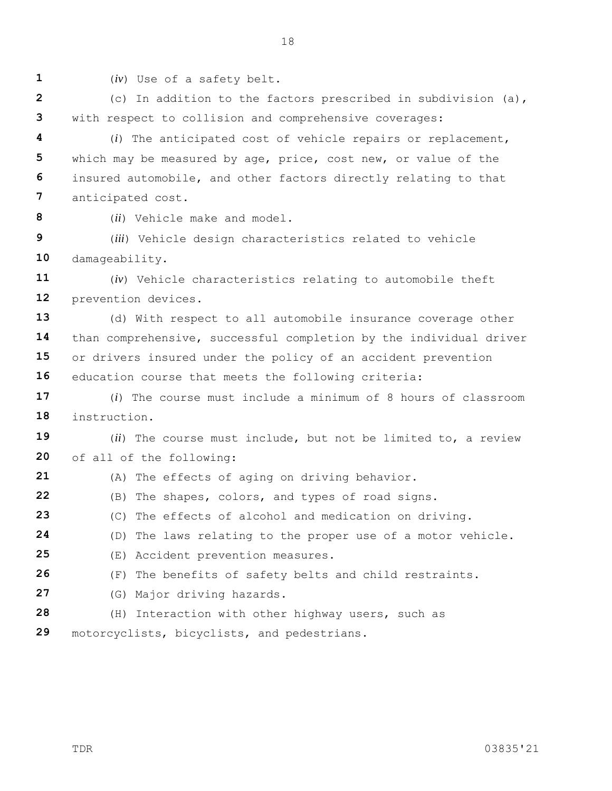**1**

(*iv*) Use of a safety belt.

**2 3** (c) In addition to the factors prescribed in subdivision (a), with respect to collision and comprehensive coverages:

18

**4 5 6 7** (*i*) The anticipated cost of vehicle repairs or replacement, which may be measured by age, price, cost new, or value of the insured automobile, and other factors directly relating to that anticipated cost.

**8**

(*ii*) Vehicle make and model.

**9 10** (*iii*) Vehicle design characteristics related to vehicle damageability.

**11 12** (*iv*) Vehicle characteristics relating to automobile theft prevention devices.

**13 14 15 16** (d) With respect to all automobile insurance coverage other than comprehensive, successful completion by the individual driver or drivers insured under the policy of an accident prevention education course that meets the following criteria:

**17 18** (*i*) The course must include a minimum of 8 hours of classroom instruction.

**19 20** (*ii*) The course must include, but not be limited to, a review of all of the following:

- **21** (A) The effects of aging on driving behavior.
- **22** (B) The shapes, colors, and types of road signs.
- **23** (C) The effects of alcohol and medication on driving.

**24** (D) The laws relating to the proper use of a motor vehicle.

- **25** (E) Accident prevention measures.
- **26** (F) The benefits of safety belts and child restraints.
- **27** (G) Major driving hazards.
- **28** (H) Interaction with other highway users, such as
- **29** motorcyclists, bicyclists, and pedestrians.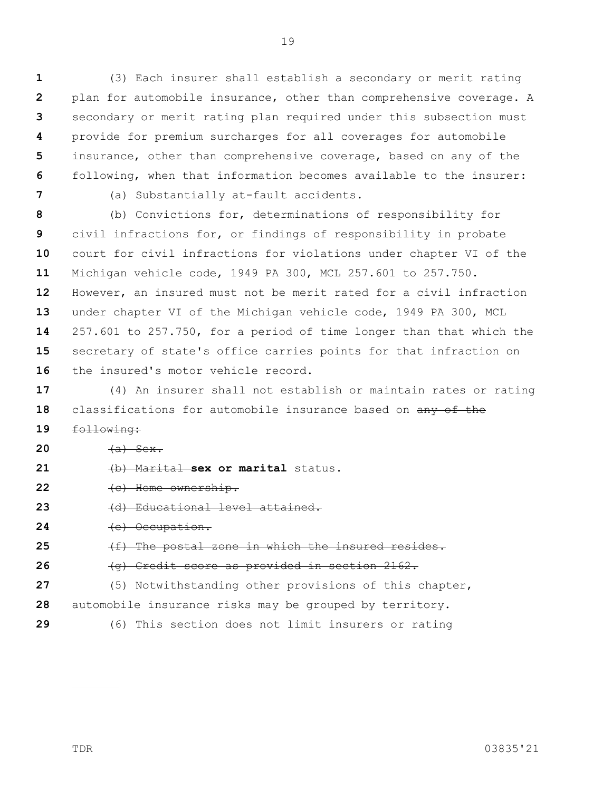**1 2 3 4 5 6** (3) Each insurer shall establish a secondary or merit rating plan for automobile insurance, other than comprehensive coverage. A secondary or merit rating plan required under this subsection must provide for premium surcharges for all coverages for automobile insurance, other than comprehensive coverage, based on any of the following, when that information becomes available to the insurer:

**7**

(a) Substantially at-fault accidents.

**8 9 10 11 12 13 14 15 16** (b) Convictions for, determinations of responsibility for civil infractions for, or findings of responsibility in probate court for civil infractions for violations under chapter VI of the Michigan vehicle code, 1949 PA 300, MCL 257.601 to 257.750. However, an insured must not be merit rated for a civil infraction under chapter VI of the Michigan vehicle code, 1949 PA 300, MCL 257.601 to 257.750, for a period of time longer than that which the secretary of state's office carries points for that infraction on the insured's motor vehicle record.

**17 18** (4) An insurer shall not establish or maintain rates or rating classifications for automobile insurance based on any of the

- **19** following:
- **20**  $(a)$  Sex.
- **21** (b) Marital **sex or marital** status.
- **22** (c) Home ownership.
- **23** (d) Educational level attained.
- **24** (e) Occupation.
- **25** (f) The postal zone in which the insured resides.
- **26** (g) Credit score as provided in section 2162.
- **27 28** (5) Notwithstanding other provisions of this chapter, automobile insurance risks may be grouped by territory.
- **29**

(6) This section does not limit insurers or rating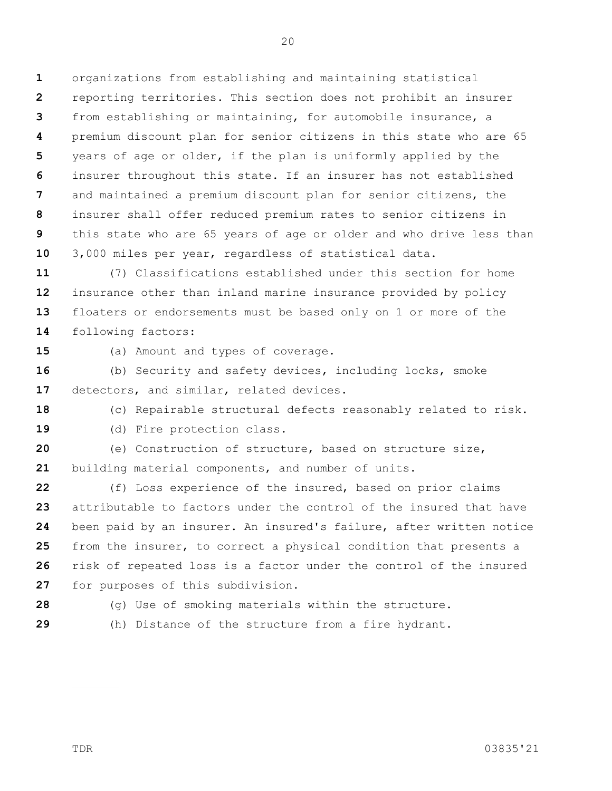**1 2 3 4 5 6 7 8 9 10** organizations from establishing and maintaining statistical reporting territories. This section does not prohibit an insurer from establishing or maintaining, for automobile insurance, a premium discount plan for senior citizens in this state who are 65 years of age or older, if the plan is uniformly applied by the insurer throughout this state. If an insurer has not established and maintained a premium discount plan for senior citizens, the insurer shall offer reduced premium rates to senior citizens in this state who are 65 years of age or older and who drive less than 3,000 miles per year, regardless of statistical data.

**11 12 13 14** (7) Classifications established under this section for home insurance other than inland marine insurance provided by policy floaters or endorsements must be based only on 1 or more of the following factors:

**15**

(a) Amount and types of coverage.

**16 17** (b) Security and safety devices, including locks, smoke detectors, and similar, related devices.

**18** (c) Repairable structural defects reasonably related to risk.

**19**

(d) Fire protection class.

**20 21** (e) Construction of structure, based on structure size, building material components, and number of units.

**22 23 24 25 26 27** (f) Loss experience of the insured, based on prior claims attributable to factors under the control of the insured that have been paid by an insurer. An insured's failure, after written notice from the insurer, to correct a physical condition that presents a risk of repeated loss is a factor under the control of the insured for purposes of this subdivision.

**28**

(g) Use of smoking materials within the structure.

**29**

(h) Distance of the structure from a fire hydrant.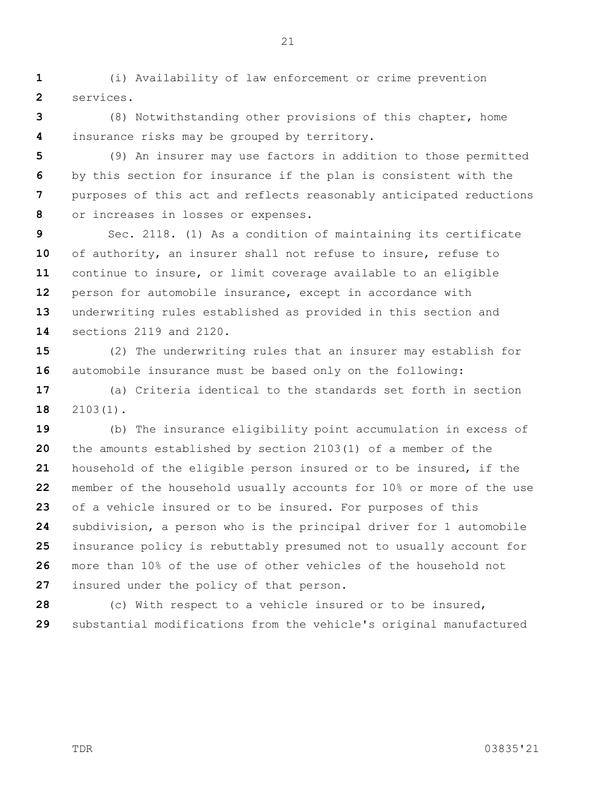**1 2** (i) Availability of law enforcement or crime prevention services.

**3 4** (8) Notwithstanding other provisions of this chapter, home insurance risks may be grouped by territory.

**5 6 7 8** (9) An insurer may use factors in addition to those permitted by this section for insurance if the plan is consistent with the purposes of this act and reflects reasonably anticipated reductions or increases in losses or expenses.

**9 10 11 12 13 14** Sec. 2118. (1) As a condition of maintaining its certificate of authority, an insurer shall not refuse to insure, refuse to continue to insure, or limit coverage available to an eligible person for automobile insurance, except in accordance with underwriting rules established as provided in this section and sections 2119 and 2120.

**15 16** (2) The underwriting rules that an insurer may establish for automobile insurance must be based only on the following:

**17 18** (a) Criteria identical to the standards set forth in section 2103(1).

**19 20 21 22 23 24 25 26 27** (b) The insurance eligibility point accumulation in excess of the amounts established by section 2103(1) of a member of the household of the eligible person insured or to be insured, if the member of the household usually accounts for 10% or more of the use of a vehicle insured or to be insured. For purposes of this subdivision, a person who is the principal driver for 1 automobile insurance policy is rebuttably presumed not to usually account for more than 10% of the use of other vehicles of the household not insured under the policy of that person.

**28 29** (c) With respect to a vehicle insured or to be insured, substantial modifications from the vehicle's original manufactured

TDR 03835'21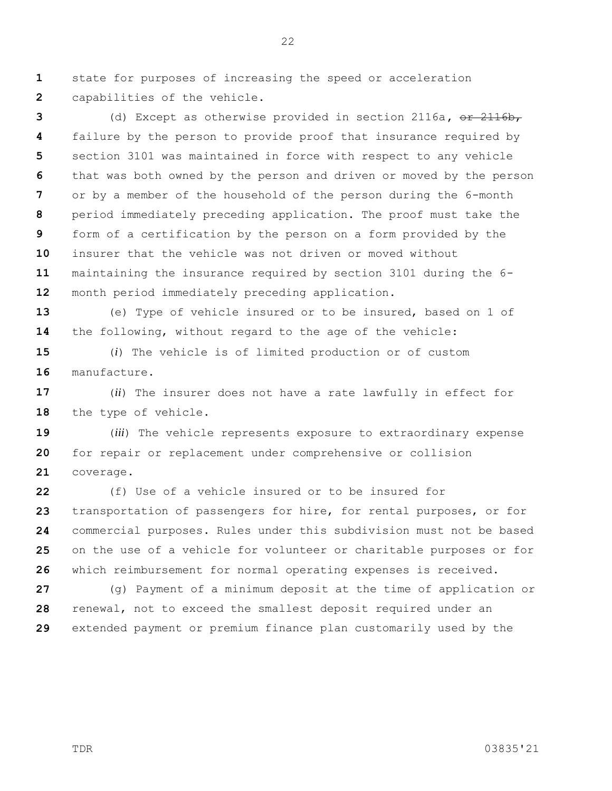**1 2** state for purposes of increasing the speed or acceleration capabilities of the vehicle.

**3 4 5 6 7 8 9 10 11 12** (d) Except as otherwise provided in section 2116a**,** or 2116b, failure by the person to provide proof that insurance required by section 3101 was maintained in force with respect to any vehicle that was both owned by the person and driven or moved by the person or by a member of the household of the person during the 6-month period immediately preceding application. The proof must take the form of a certification by the person on a form provided by the insurer that the vehicle was not driven or moved without maintaining the insurance required by section 3101 during the 6 month period immediately preceding application.

**13 14** (e) Type of vehicle insured or to be insured, based on 1 of the following, without regard to the age of the vehicle:

**15 16** (*i*) The vehicle is of limited production or of custom manufacture.

**17 18** (*ii*) The insurer does not have a rate lawfully in effect for the type of vehicle.

**19 20 21** (*iii*) The vehicle represents exposure to extraordinary expense for repair or replacement under comprehensive or collision coverage.

**22 23 24 25 26** (f) Use of a vehicle insured or to be insured for transportation of passengers for hire, for rental purposes, or for commercial purposes. Rules under this subdivision must not be based on the use of a vehicle for volunteer or charitable purposes or for which reimbursement for normal operating expenses is received.

**27 28 29** (g) Payment of a minimum deposit at the time of application or renewal, not to exceed the smallest deposit required under an extended payment or premium finance plan customarily used by the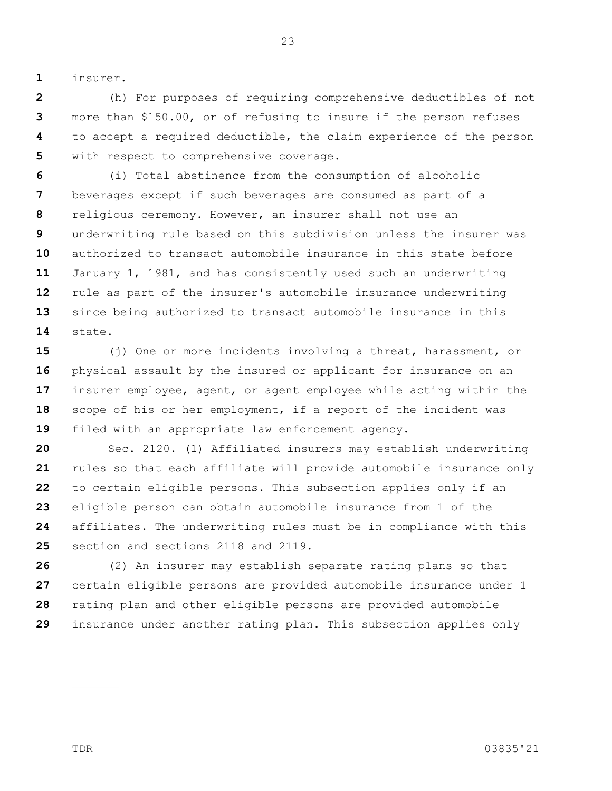**1** insurer.

**2 3 4 5** (h) For purposes of requiring comprehensive deductibles of not more than \$150.00, or of refusing to insure if the person refuses to accept a required deductible, the claim experience of the person with respect to comprehensive coverage.

**6 7 8 9 10 11 12 13 14** (i) Total abstinence from the consumption of alcoholic beverages except if such beverages are consumed as part of a religious ceremony. However, an insurer shall not use an underwriting rule based on this subdivision unless the insurer was authorized to transact automobile insurance in this state before January 1, 1981, and has consistently used such an underwriting rule as part of the insurer's automobile insurance underwriting since being authorized to transact automobile insurance in this state.

**15 16 17 18 19** (j) One or more incidents involving a threat, harassment, or physical assault by the insured or applicant for insurance on an insurer employee, agent, or agent employee while acting within the scope of his or her employment, if a report of the incident was filed with an appropriate law enforcement agency.

**20 21 22 23 24 25** Sec. 2120. (1) Affiliated insurers may establish underwriting rules so that each affiliate will provide automobile insurance only to certain eligible persons. This subsection applies only if an eligible person can obtain automobile insurance from 1 of the affiliates. The underwriting rules must be in compliance with this section and sections 2118 and 2119.

**26 27 28 29** (2) An insurer may establish separate rating plans so that certain eligible persons are provided automobile insurance under 1 rating plan and other eligible persons are provided automobile insurance under another rating plan. This subsection applies only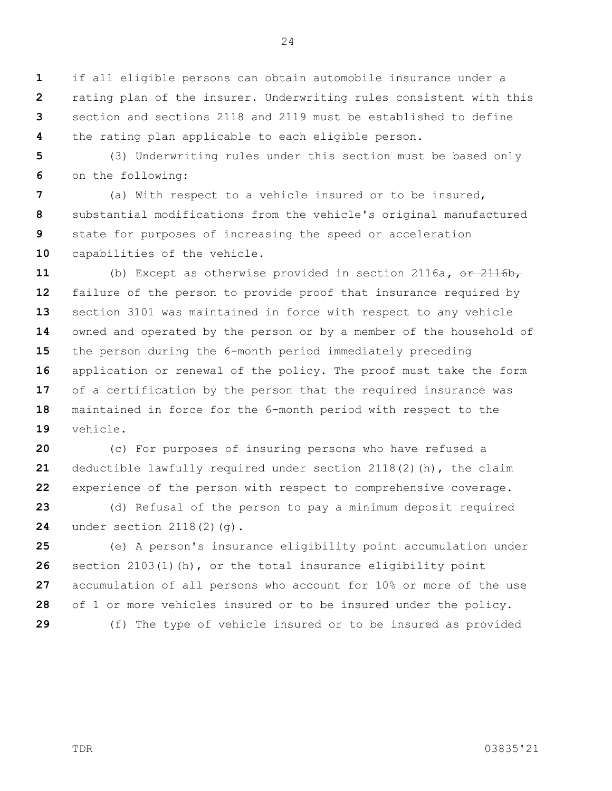**1 2 3 4** if all eligible persons can obtain automobile insurance under a rating plan of the insurer. Underwriting rules consistent with this section and sections 2118 and 2119 must be established to define the rating plan applicable to each eligible person.

**5 6** (3) Underwriting rules under this section must be based only on the following:

**7 8 9 10** (a) With respect to a vehicle insured or to be insured, substantial modifications from the vehicle's original manufactured state for purposes of increasing the speed or acceleration capabilities of the vehicle.

**11 12 13 14 15 16 17 18 19** (b) Except as otherwise provided in section 2116a**,** or 2116b, failure of the person to provide proof that insurance required by section 3101 was maintained in force with respect to any vehicle owned and operated by the person or by a member of the household of the person during the 6-month period immediately preceding application or renewal of the policy. The proof must take the form of a certification by the person that the required insurance was maintained in force for the 6-month period with respect to the vehicle.

**20 21 22** (c) For purposes of insuring persons who have refused a deductible lawfully required under section 2118(2)(h), the claim experience of the person with respect to comprehensive coverage.

**23 24** (d) Refusal of the person to pay a minimum deposit required under section 2118(2)(q).

**25 26 27 28 29** (e) A person's insurance eligibility point accumulation under section 2103(1)(h), or the total insurance eligibility point accumulation of all persons who account for 10% or more of the use of 1 or more vehicles insured or to be insured under the policy. (f) The type of vehicle insured or to be insured as provided

TDR 03835'21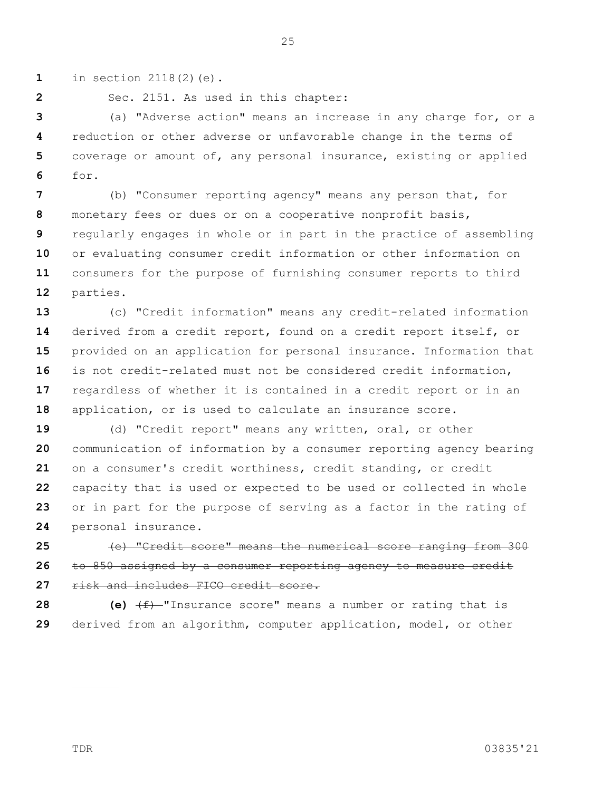**1** in section 2118(2)(e).

**2**

Sec. 2151. As used in this chapter:

**3 4 5 6** (a) "Adverse action" means an increase in any charge for, or a reduction or other adverse or unfavorable change in the terms of coverage or amount of, any personal insurance, existing or applied for.

25

**7 8 9 10 11 12** (b) "Consumer reporting agency" means any person that, for monetary fees or dues or on a cooperative nonprofit basis, regularly engages in whole or in part in the practice of assembling or evaluating consumer credit information or other information on consumers for the purpose of furnishing consumer reports to third parties.

**13 14 15 16 17 18** (c) "Credit information" means any credit-related information derived from a credit report, found on a credit report itself, or provided on an application for personal insurance. Information that is not credit-related must not be considered credit information, regardless of whether it is contained in a credit report or in an application, or is used to calculate an insurance score.

**19 20 21 22 23 24** (d) "Credit report" means any written, oral, or other communication of information by a consumer reporting agency bearing on a consumer's credit worthiness, credit standing, or credit capacity that is used or expected to be used or collected in whole or in part for the purpose of serving as a factor in the rating of personal insurance.

**25 26 27** (e) "Credit score" means the numerical score ranging from 300 to 850 assigned by a consumer reporting agency to measure credit risk and includes FICO credit score.

**28 29 (e)** (f) "Insurance score" means a number or rating that is derived from an algorithm, computer application, model, or other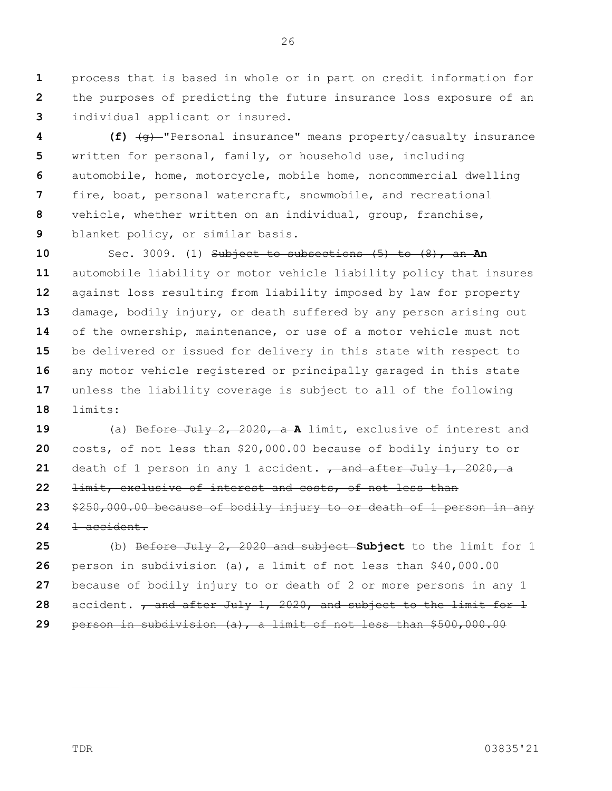**1 2 3** process that is based in whole or in part on credit information for the purposes of predicting the future insurance loss exposure of an individual applicant or insured.

**4 5 6 7 8 9 (f)** (g) "Personal insurance" means property/casualty insurance written for personal, family, or household use, including automobile, home, motorcycle, mobile home, noncommercial dwelling fire, boat, personal watercraft, snowmobile, and recreational vehicle, whether written on an individual, group, franchise, blanket policy, or similar basis.

**10 11 12 13 14 15 16 17 18** Sec. 3009. (1) Subject to subsections (5) to (8), an **An**  automobile liability or motor vehicle liability policy that insures against loss resulting from liability imposed by law for property damage, bodily injury, or death suffered by any person arising out of the ownership, maintenance, or use of a motor vehicle must not be delivered or issued for delivery in this state with respect to any motor vehicle registered or principally garaged in this state unless the liability coverage is subject to all of the following limits:

**19 20 21 22 23 24** (a) Before July 2, 2020, a **A** limit, exclusive of interest and costs, of not less than \$20,000.00 because of bodily injury to or death of 1 person in any 1 accident. <del>, and after July 1, 2020, a</del> limit, exclusive of interest and costs, of not less than \$250,000.00 because of bodily injury to or death of 1 person in any 1 accident.

**25 26 27 28 29** (b) Before July 2, 2020 and subject **Subject** to the limit for 1 person in subdivision (a), a limit of not less than \$40,000.00 because of bodily injury to or death of 2 or more persons in any 1 accident. **, and after July 1, 2020, and subject to the limit for 1** person in subdivision (a), a limit of not less than \$500,000.00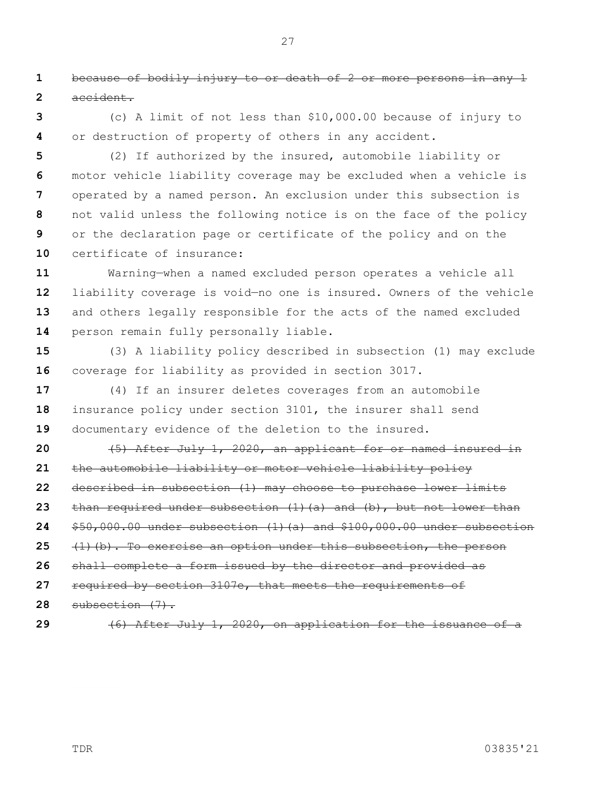**1 2** because of bodily injury to or death of 2 or more persons in any 1 accident.

**3 4** (c) A limit of not less than \$10,000.00 because of injury to or destruction of property of others in any accident.

**5 6 7 8 9 10** (2) If authorized by the insured, automobile liability or motor vehicle liability coverage may be excluded when a vehicle is operated by a named person. An exclusion under this subsection is not valid unless the following notice is on the face of the policy or the declaration page or certificate of the policy and on the certificate of insurance:

**11 12 13 14** Warning—when a named excluded person operates a vehicle all liability coverage is void—no one is insured. Owners of the vehicle and others legally responsible for the acts of the named excluded person remain fully personally liable.

**15 16** (3) A liability policy described in subsection (1) may exclude coverage for liability as provided in section 3017.

**17 18 19** (4) If an insurer deletes coverages from an automobile insurance policy under section 3101, the insurer shall send documentary evidence of the deletion to the insured.

**20 21 22 23 24 25 26 27 28** (5) After July 1, 2020, an applicant for or named insured in the automobile liability or motor vehicle liability policy described in subsection (1) may choose to purchase lower limits than required under subsection (1)(a) and (b), but not lower than \$50,000.00 under subsection (1)(a) and \$100,000.00 under subsection (1)(b). To exercise an option under this subsection, the person shall complete a form issued by the director and provided as required by section 3107e, that meets the requirements of subsection (7).

**29**

(6) After July 1, 2020, on application for the issuance of a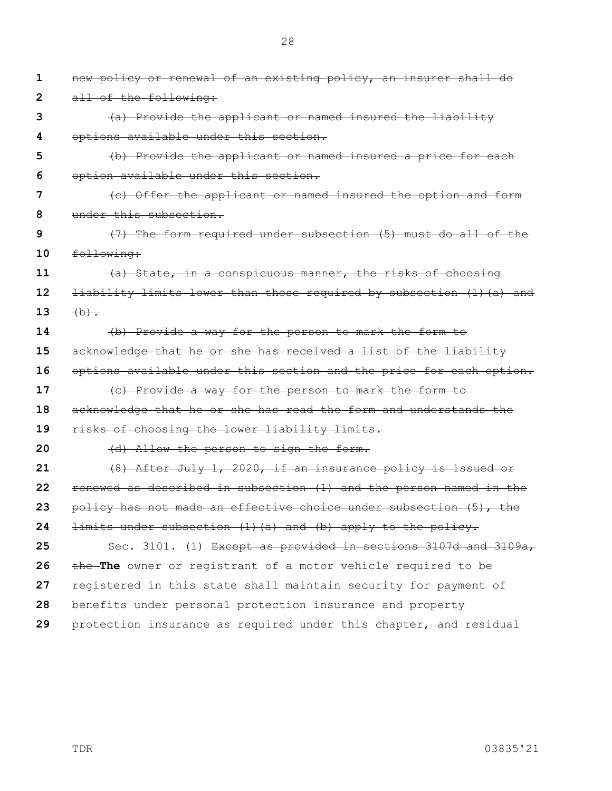**1 2 3 4 5 6 7 8 9 10 11 12 13 14 15 16 17 18 19 20 21 22 23 24 25 26 27 28 29** new policy or renewal of an existing policy, an insurer shall do all of the following: (a) Provide the applicant or named insured the liability options available under this section. (b) Provide the applicant or named insured a price for each option available under this section. (c) Offer the applicant or named insured the option and form under this subsection. (7) The form required under subsection (5) must do all of the following: (a) State, in a conspicuous manner, the risks of choosing liability limits lower than those required by subsection (1)(a) and  $(b)$ . (b) Provide a way for the person to mark the form to acknowledge that he or she has received a list of the liability options available under this section and the price for each option. (c) Provide a way for the person to mark the form to acknowledge that he or she has read the form and understands the risks of choosing the lower liability limits. (d) Allow the person to sign the form. (8) After July 1, 2020, if an insurance policy is issued or renewed as described in subsection (1) and the person named in the policy has not made an effective choice under subsection (5), the limits under subsection (1)(a) and (b) apply to the policy. Sec. 3101. (1) Except as provided in sections 3107d and 3109a, the **The** owner or registrant of a motor vehicle required to be registered in this state shall maintain security for payment of benefits under personal protection insurance and property protection insurance as required under this chapter, and residual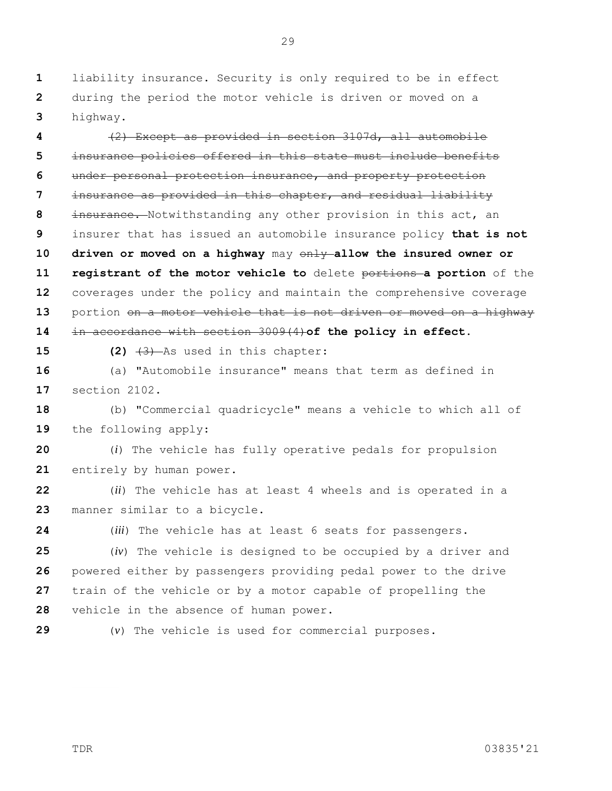**1 2 3** liability insurance. Security is only required to be in effect during the period the motor vehicle is driven or moved on a highway.

**4 5 6 7 8 9 10 11 12 13 14** (2) Except as provided in section 3107d, all automobile insurance policies offered in this state must include benefits under personal protection insurance, and property protection insurance as provided in this chapter, and residual liability insurance. Notwithstanding any other provision in this act, an insurer that has issued an automobile insurance policy **that is not driven or moved on a highway** may only **allow the insured owner or registrant of the motor vehicle to** delete portions **a portion** of the coverages under the policy and maintain the comprehensive coverage portion on a motor vehicle that is not driven or moved on a highway in accordance with section 3009(4)**of the policy in effect**.

**15**

**(2)** (3) As used in this chapter:

**16 17** (a) "Automobile insurance" means that term as defined in section 2102.

**18 19** (b) "Commercial quadricycle" means a vehicle to which all of the following apply:

**20 21** (*i*) The vehicle has fully operative pedals for propulsion entirely by human power.

**22 23** (*ii*) The vehicle has at least 4 wheels and is operated in a manner similar to a bicycle.

(*iii*) The vehicle has at least 6 seats for passengers.

**25 26 27 28** (*iv*) The vehicle is designed to be occupied by a driver and powered either by passengers providing pedal power to the drive train of the vehicle or by a motor capable of propelling the vehicle in the absence of human power.

**29**

**24**

(*v*) The vehicle is used for commercial purposes.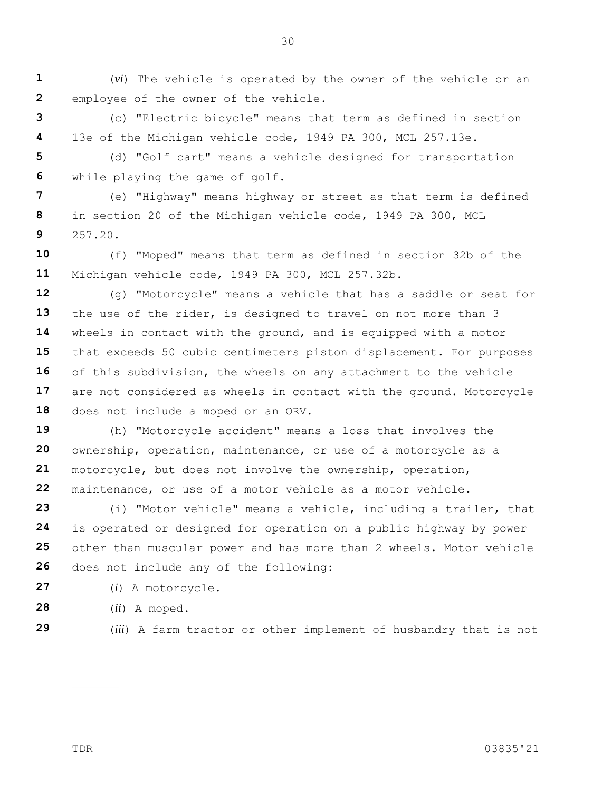**1 2** (*vi*) The vehicle is operated by the owner of the vehicle or an employee of the owner of the vehicle.

**3 4** (c) "Electric bicycle" means that term as defined in section 13e of the Michigan vehicle code, 1949 PA 300, MCL 257.13e.

**5 6** (d) "Golf cart" means a vehicle designed for transportation while playing the game of golf.

**7 8 9** (e) "Highway" means highway or street as that term is defined in section 20 of the Michigan vehicle code, 1949 PA 300, MCL 257.20.

**10 11** (f) "Moped" means that term as defined in section 32b of the Michigan vehicle code, 1949 PA 300, MCL 257.32b.

**12 13 14 15 16 17 18** (g) "Motorcycle" means a vehicle that has a saddle or seat for the use of the rider, is designed to travel on not more than 3 wheels in contact with the ground, and is equipped with a motor that exceeds 50 cubic centimeters piston displacement. For purposes of this subdivision, the wheels on any attachment to the vehicle are not considered as wheels in contact with the ground. Motorcycle does not include a moped or an ORV.

**19 20 21 22** (h) "Motorcycle accident" means a loss that involves the ownership, operation, maintenance, or use of a motorcycle as a motorcycle, but does not involve the ownership, operation, maintenance, or use of a motor vehicle as a motor vehicle.

**23 24 25 26** (i) "Motor vehicle" means a vehicle, including a trailer, that is operated or designed for operation on a public highway by power other than muscular power and has more than 2 wheels. Motor vehicle does not include any of the following:

**27** (*i*) A motorcycle.

**28** (*ii*) A moped.

**29**

(*iii*) A farm tractor or other implement of husbandry that is not

TDR 03835'21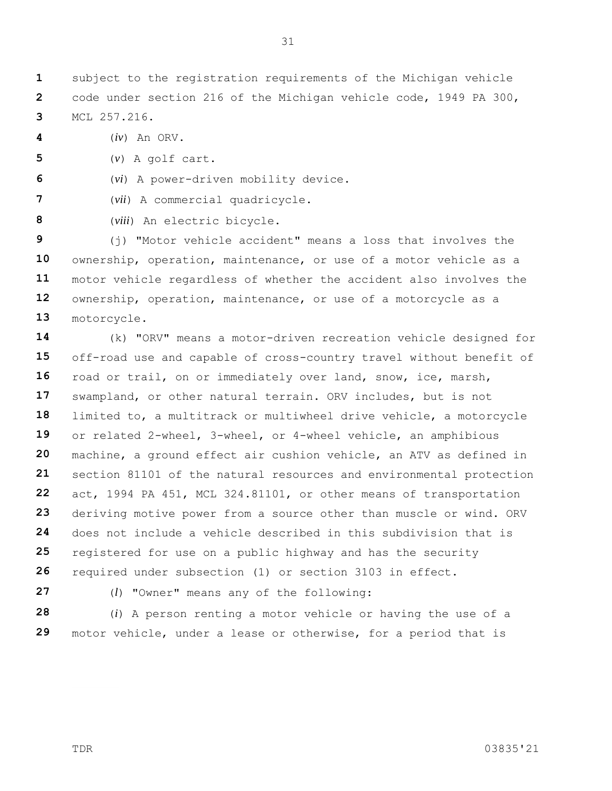**1 2 3** subject to the registration requirements of the Michigan vehicle code under section 216 of the Michigan vehicle code, 1949 PA 300, MCL 257.216.

**4** (*iv*) An ORV.

**5** (*v*) A golf cart.

**6** (*vi*) A power-driven mobility device.

**7** (*vii*) A commercial quadricycle.

**8** (*viii*) An electric bicycle.

**9 10 11 12 13** (j) "Motor vehicle accident" means a loss that involves the ownership, operation, maintenance, or use of a motor vehicle as a motor vehicle regardless of whether the accident also involves the ownership, operation, maintenance, or use of a motorcycle as a motorcycle.

**14 15 16 17 18 19 20 21 22 23 24 25 26** (k) "ORV" means a motor-driven recreation vehicle designed for off-road use and capable of cross-country travel without benefit of road or trail, on or immediately over land, snow, ice, marsh, swampland, or other natural terrain. ORV includes, but is not limited to, a multitrack or multiwheel drive vehicle, a motorcycle or related 2-wheel, 3-wheel, or 4-wheel vehicle, an amphibious machine, a ground effect air cushion vehicle, an ATV as defined in section 81101 of the natural resources and environmental protection act, 1994 PA 451, MCL 324.81101, or other means of transportation deriving motive power from a source other than muscle or wind. ORV does not include a vehicle described in this subdivision that is registered for use on a public highway and has the security required under subsection (1) or section 3103 in effect.

**27**

(*l*) "Owner" means any of the following:

**28 29** (*i*) A person renting a motor vehicle or having the use of a motor vehicle, under a lease or otherwise, for a period that is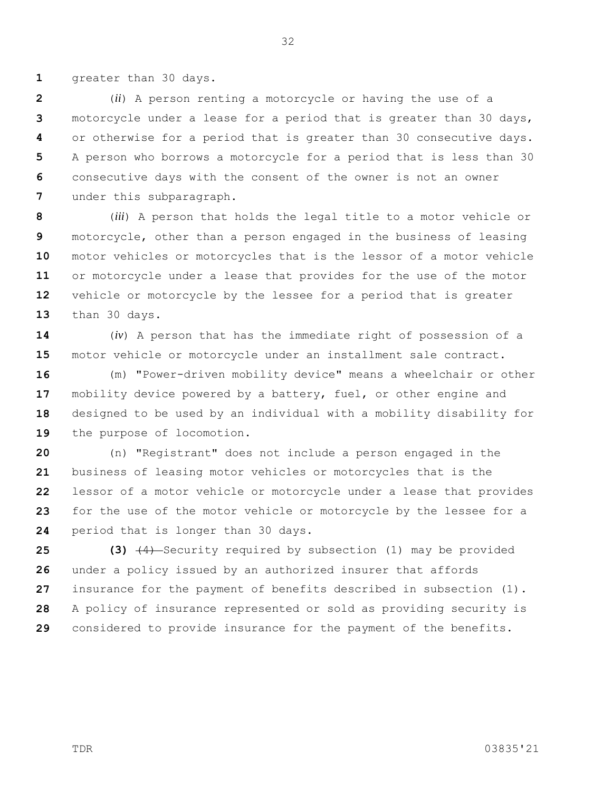**1** greater than 30 days.

**2 3 4 5 6 7** (*ii*) A person renting a motorcycle or having the use of a motorcycle under a lease for a period that is greater than 30 days, or otherwise for a period that is greater than 30 consecutive days. A person who borrows a motorcycle for a period that is less than 30 consecutive days with the consent of the owner is not an owner under this subparagraph.

**8 9 10 11 12 13** (*iii*) A person that holds the legal title to a motor vehicle or motorcycle, other than a person engaged in the business of leasing motor vehicles or motorcycles that is the lessor of a motor vehicle or motorcycle under a lease that provides for the use of the motor vehicle or motorcycle by the lessee for a period that is greater than 30 days.

**14 15** (*iv*) A person that has the immediate right of possession of a motor vehicle or motorcycle under an installment sale contract.

**16 17 18 19** (m) "Power-driven mobility device" means a wheelchair or other mobility device powered by a battery, fuel, or other engine and designed to be used by an individual with a mobility disability for the purpose of locomotion.

**20 21 22 23 24** (n) "Registrant" does not include a person engaged in the business of leasing motor vehicles or motorcycles that is the lessor of a motor vehicle or motorcycle under a lease that provides for the use of the motor vehicle or motorcycle by the lessee for a period that is longer than 30 days.

**25 26 27 28 29 (3)** (4) Security required by subsection (1) may be provided under a policy issued by an authorized insurer that affords insurance for the payment of benefits described in subsection (1). A policy of insurance represented or sold as providing security is considered to provide insurance for the payment of the benefits.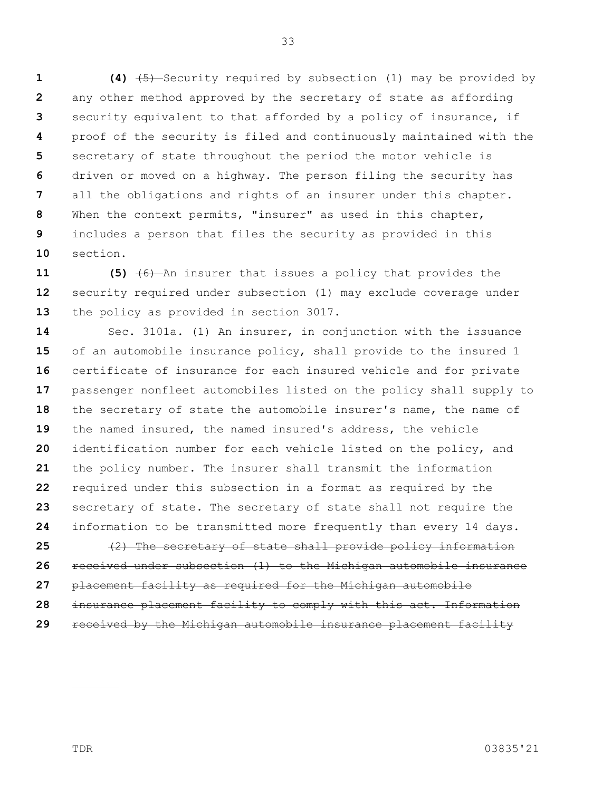**1 2 3 4 5 6 7 8 9 10 (4)** (5) Security required by subsection (1) may be provided by any other method approved by the secretary of state as affording security equivalent to that afforded by a policy of insurance, if proof of the security is filed and continuously maintained with the secretary of state throughout the period the motor vehicle is driven or moved on a highway. The person filing the security has all the obligations and rights of an insurer under this chapter. When the context permits, "insurer" as used in this chapter, includes a person that files the security as provided in this section.

**11 12 13 (5)** (6) An insurer that issues a policy that provides the security required under subsection (1) may exclude coverage under the policy as provided in section 3017.

**14 15 16 17 18 19 20 21 22 23 24 25** Sec. 3101a. (1) An insurer, in conjunction with the issuance of an automobile insurance policy, shall provide to the insured 1 certificate of insurance for each insured vehicle and for private passenger nonfleet automobiles listed on the policy shall supply to the secretary of state the automobile insurer's name, the name of the named insured, the named insured's address, the vehicle identification number for each vehicle listed on the policy, and the policy number. The insurer shall transmit the information required under this subsection in a format as required by the secretary of state. The secretary of state shall not require the information to be transmitted more frequently than every 14 days. (2) The secretary of state shall provide policy information

**26 27 28 29** received under subsection (1) to the Michigan automobile insurance placement facility as required for the Michigan automobile insurance placement facility to comply with this act. Information received by the Michigan automobile insurance placement facility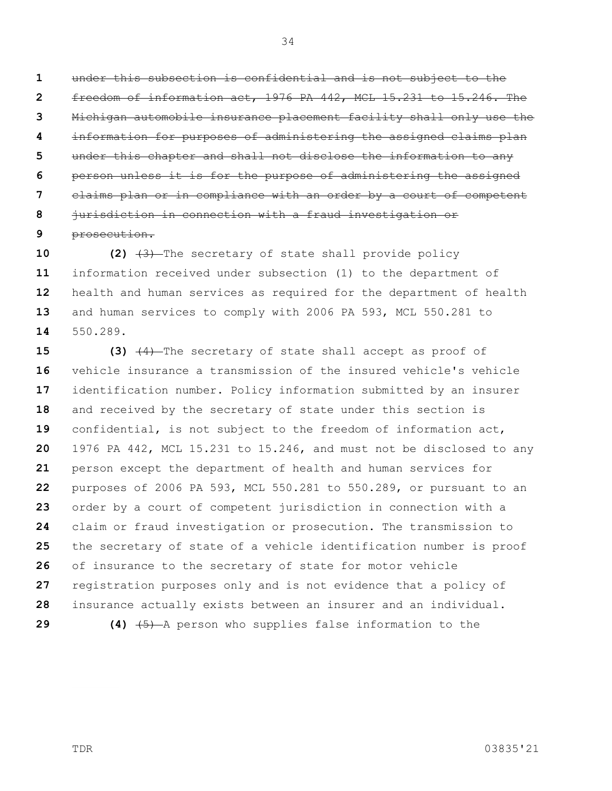**1 2 3 4 5 6 7 8** under this subsection is confidential and is not subject to the freedom of information act, 1976 PA 442, MCL 15.231 to 15.246. The Michigan automobile insurance placement facility shall only use the information for purposes of administering the assigned claims plan under this chapter and shall not disclose the information to any person unless it is for the purpose of administering the assigned claims plan or in compliance with an order by a court of competent jurisdiction in connection with a fraud investigation or

**9** prosecution.

**10 11 12 13 14 (2)** (3) The secretary of state shall provide policy information received under subsection (1) to the department of health and human services as required for the department of health and human services to comply with 2006 PA 593, MCL 550.281 to 550.289.

**15 16 17 18 19 20 21 22 23 24 25 26 27 28 (3)** (4) The secretary of state shall accept as proof of vehicle insurance a transmission of the insured vehicle's vehicle identification number. Policy information submitted by an insurer and received by the secretary of state under this section is confidential, is not subject to the freedom of information act, 1976 PA 442, MCL 15.231 to 15.246, and must not be disclosed to any person except the department of health and human services for purposes of 2006 PA 593, MCL 550.281 to 550.289, or pursuant to an order by a court of competent jurisdiction in connection with a claim or fraud investigation or prosecution. The transmission to the secretary of state of a vehicle identification number is proof of insurance to the secretary of state for motor vehicle registration purposes only and is not evidence that a policy of insurance actually exists between an insurer and an individual.

**29**

**(4)** (5) A person who supplies false information to the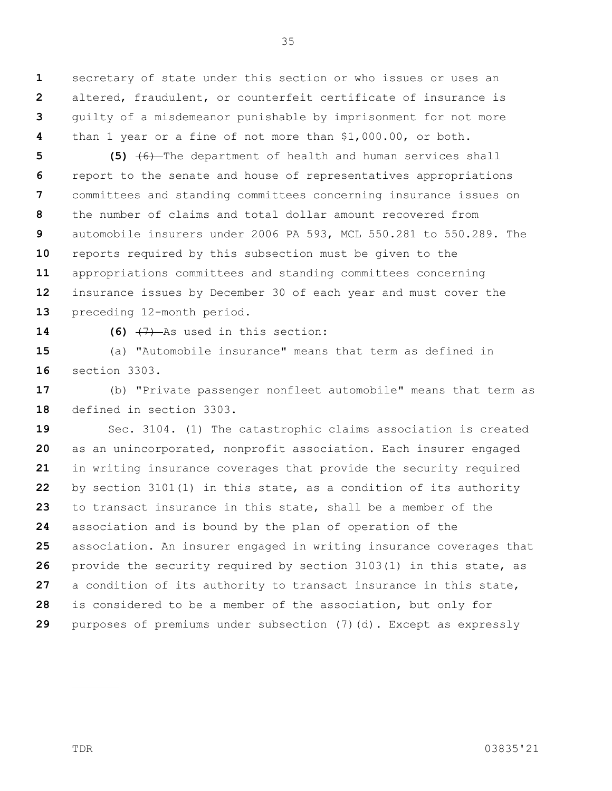**1 2 3 4** secretary of state under this section or who issues or uses an altered, fraudulent, or counterfeit certificate of insurance is guilty of a misdemeanor punishable by imprisonment for not more than 1 year or a fine of not more than \$1,000.00, or both.

**5 6 7 8 9 10 11 12 13 (5)** (6) The department of health and human services shall report to the senate and house of representatives appropriations committees and standing committees concerning insurance issues on the number of claims and total dollar amount recovered from automobile insurers under 2006 PA 593, MCL 550.281 to 550.289. The reports required by this subsection must be given to the appropriations committees and standing committees concerning insurance issues by December 30 of each year and must cover the preceding 12-month period.

**14**

**(6)** (7) As used in this section:

**15 16** (a) "Automobile insurance" means that term as defined in section 3303.

**17 18** (b) "Private passenger nonfleet automobile" means that term as defined in section 3303.

**19 20 21 22 23 24 25 26 27 28 29** Sec. 3104. (1) The catastrophic claims association is created as an unincorporated, nonprofit association. Each insurer engaged in writing insurance coverages that provide the security required by section 3101(1) in this state, as a condition of its authority to transact insurance in this state, shall be a member of the association and is bound by the plan of operation of the association. An insurer engaged in writing insurance coverages that provide the security required by section 3103(1) in this state, as a condition of its authority to transact insurance in this state, is considered to be a member of the association, but only for purposes of premiums under subsection (7)(d). Except as expressly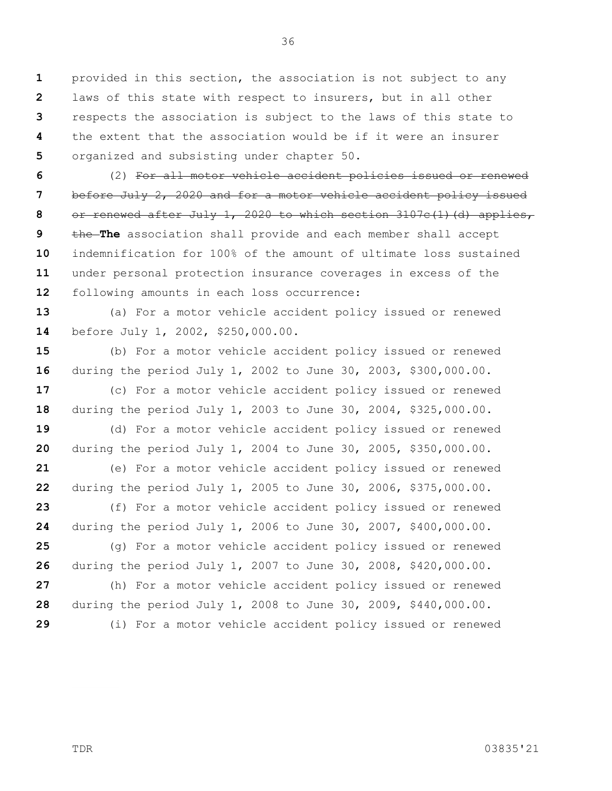**1 2 3 4 5** provided in this section, the association is not subject to any laws of this state with respect to insurers, but in all other respects the association is subject to the laws of this state to the extent that the association would be if it were an insurer organized and subsisting under chapter 50.

36

**6 7 8 9 10 11 12** (2) For all motor vehicle accident policies issued or renewed before July 2, 2020 and for a motor vehicle accident policy issued or renewed after July 1, 2020 to which section 3107c(1)(d) applies, the **The** association shall provide and each member shall accept indemnification for 100% of the amount of ultimate loss sustained under personal protection insurance coverages in excess of the following amounts in each loss occurrence:

**13 14** (a) For a motor vehicle accident policy issued or renewed before July 1, 2002, \$250,000.00.

**15 16** (b) For a motor vehicle accident policy issued or renewed during the period July 1, 2002 to June 30, 2003, \$300,000.00.

**17 18** (c) For a motor vehicle accident policy issued or renewed during the period July 1, 2003 to June 30, 2004, \$325,000.00.

**19 20** (d) For a motor vehicle accident policy issued or renewed during the period July 1, 2004 to June 30, 2005, \$350,000.00.

**21 22** (e) For a motor vehicle accident policy issued or renewed during the period July 1, 2005 to June 30, 2006, \$375,000.00.

**23 24** (f) For a motor vehicle accident policy issued or renewed during the period July 1, 2006 to June 30, 2007, \$400,000.00.

**25 26** (g) For a motor vehicle accident policy issued or renewed during the period July 1, 2007 to June 30, 2008, \$420,000.00.

**27 28 29** (h) For a motor vehicle accident policy issued or renewed during the period July 1, 2008 to June 30, 2009, \$440,000.00. (i) For a motor vehicle accident policy issued or renewed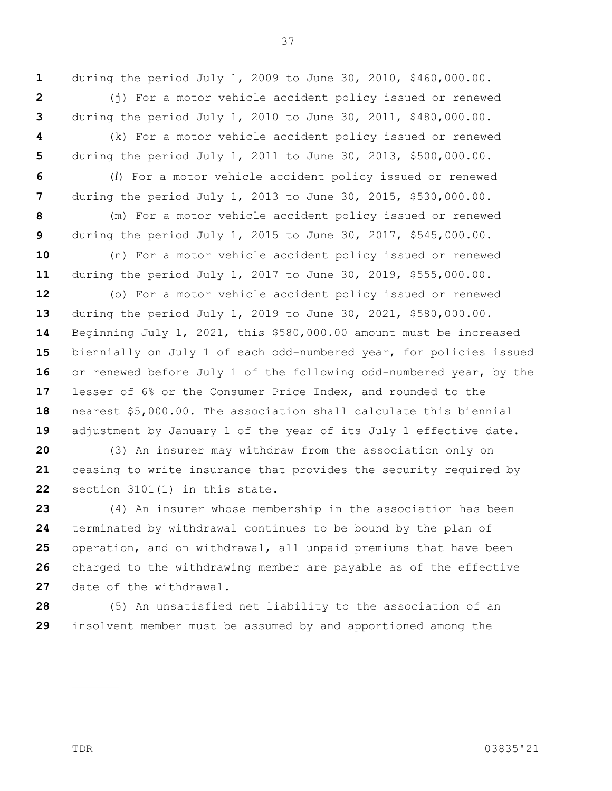37

during the period July 1, 2009 to June 30, 2010, \$460,000.00.

**2 3 4 5 6 7 8 9 10 11 12 13 14 15 16 17 18 19 20 21 22 23 24** (i) For a motor vehicle accident policy issued or renewed during the period July 1, 2010 to June 30, 2011, \$480,000.00. (k) For a motor vehicle accident policy issued or renewed during the period July 1, 2011 to June 30, 2013, \$500,000.00. (*l*) For a motor vehicle accident policy issued or renewed during the period July 1, 2013 to June 30, 2015, \$530,000.00. (m) For a motor vehicle accident policy issued or renewed during the period July 1, 2015 to June 30, 2017, \$545,000.00. (n) For a motor vehicle accident policy issued or renewed during the period July 1, 2017 to June 30, 2019, \$555,000.00. (o) For a motor vehicle accident policy issued or renewed during the period July 1, 2019 to June 30, 2021, \$580,000.00. Beginning July 1, 2021, this \$580,000.00 amount must be increased biennially on July 1 of each odd-numbered year, for policies issued or renewed before July 1 of the following odd-numbered year, by the lesser of 6% or the Consumer Price Index, and rounded to the nearest \$5,000.00. The association shall calculate this biennial adjustment by January 1 of the year of its July 1 effective date. (3) An insurer may withdraw from the association only on ceasing to write insurance that provides the security required by section 3101(1) in this state. (4) An insurer whose membership in the association has been terminated by withdrawal continues to be bound by the plan of

**25 26 27** operation, and on withdrawal, all unpaid premiums that have been charged to the withdrawing member are payable as of the effective date of the withdrawal.

**28 29** (5) An unsatisfied net liability to the association of an insolvent member must be assumed by and apportioned among the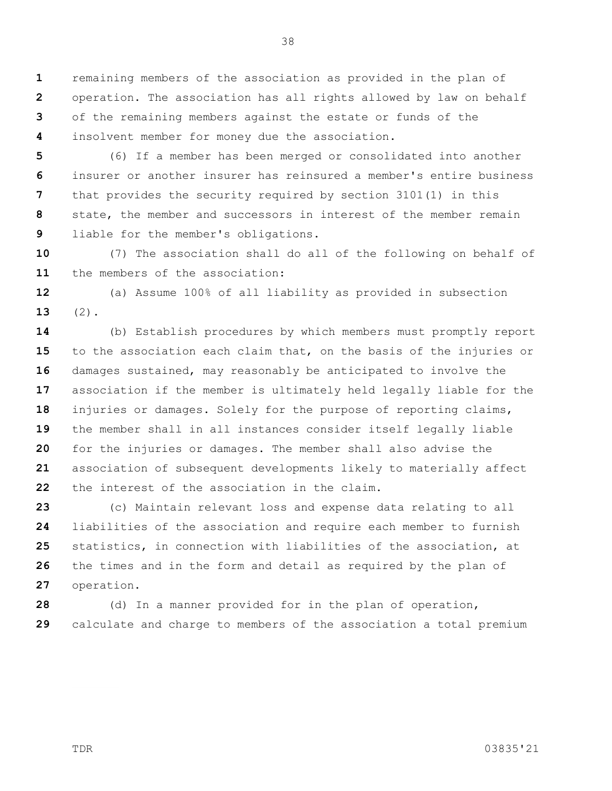**1 2 3 4** remaining members of the association as provided in the plan of operation. The association has all rights allowed by law on behalf of the remaining members against the estate or funds of the insolvent member for money due the association.

**5 6 7 8 9** (6) If a member has been merged or consolidated into another insurer or another insurer has reinsured a member's entire business that provides the security required by section 3101(1) in this state, the member and successors in interest of the member remain liable for the member's obligations.

**10 11** (7) The association shall do all of the following on behalf of the members of the association:

**12 13** (a) Assume 100% of all liability as provided in subsection  $(2)$ .

**14 15 16 17 18 19 20 21 22** (b) Establish procedures by which members must promptly report to the association each claim that, on the basis of the injuries or damages sustained, may reasonably be anticipated to involve the association if the member is ultimately held legally liable for the injuries or damages. Solely for the purpose of reporting claims, the member shall in all instances consider itself legally liable for the injuries or damages. The member shall also advise the association of subsequent developments likely to materially affect the interest of the association in the claim.

**23 24 25 26 27** (c) Maintain relevant loss and expense data relating to all liabilities of the association and require each member to furnish statistics, in connection with liabilities of the association, at the times and in the form and detail as required by the plan of operation.

**28 29** (d) In a manner provided for in the plan of operation, calculate and charge to members of the association a total premium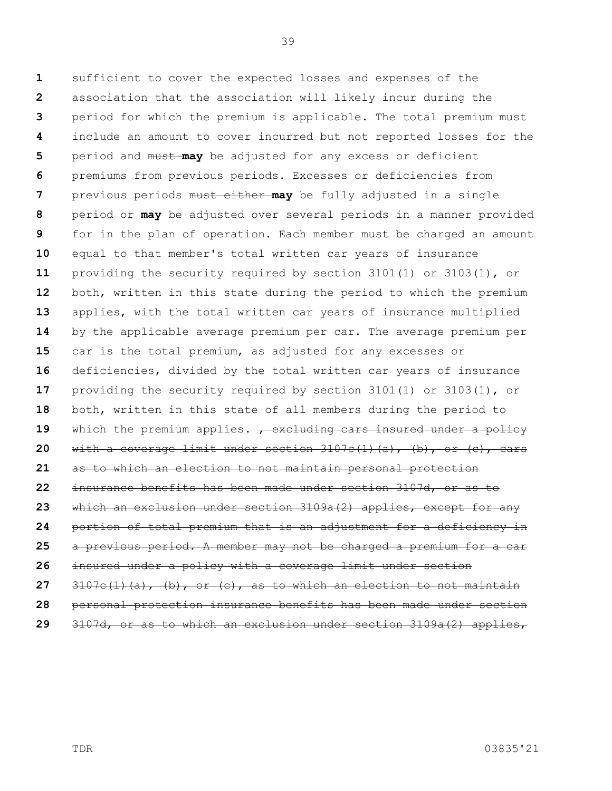**1 2 3 4 5 6 7 8 9 10 11 12 13 14 15 16 17 18 19 20 21 22 23 24 25 26 27 28** sufficient to cover the expected losses and expenses of the association that the association will likely incur during the period for which the premium is applicable. The total premium must include an amount to cover incurred but not reported losses for the period and must **may** be adjusted for any excess or deficient premiums from previous periods. Excesses or deficiencies from previous periods must either **may** be fully adjusted in a single period or **may** be adjusted over several periods in a manner provided for in the plan of operation. Each member must be charged an amount equal to that member's total written car years of insurance providing the security required by section 3101(1) or 3103(1), or both, written in this state during the period to which the premium applies, with the total written car years of insurance multiplied by the applicable average premium per car. The average premium per car is the total premium, as adjusted for any excesses or deficiencies, divided by the total written car years of insurance providing the security required by section 3101(1) or 3103(1), or both, written in this state of all members during the period to which the premium applies. <del>, excluding cars insured under a policy</del> with a coverage limit under section  $3107c(1)(a)$ , (b), or (c), cars as to which an election to not maintain personal protection insurance benefits has been made under section 3107d, or as to which an exclusion under section 3109a(2) applies, except for any portion of total premium that is an adjustment for a deficiency in a previous period. A member may not be charged a premium for a car insured under a policy with a coverage limit under section  $3107c(1)(a)$ , (b), or (c), as to which an election to not maintain personal protection insurance benefits has been made under section

**29** 3107d, or as to which an exclusion under section 3109a(2) applies,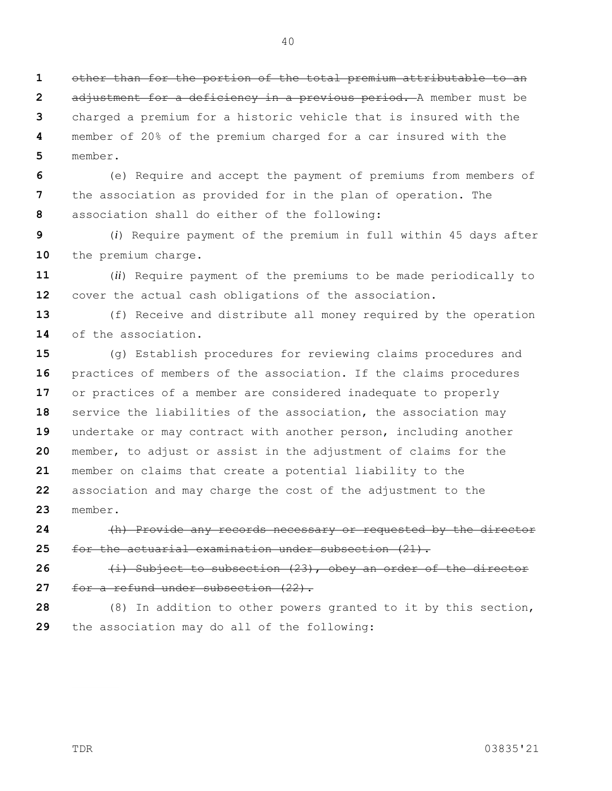**1 2 3 4 5** other than for the portion of the total premium attributable to an adjustment for a deficiency in a previous period. A member must be charged a premium for a historic vehicle that is insured with the member of 20% of the premium charged for a car insured with the member.

**6 7 8** (e) Require and accept the payment of premiums from members of the association as provided for in the plan of operation. The association shall do either of the following:

**9 10** (*i*) Require payment of the premium in full within 45 days after the premium charge.

**11 12** (*ii*) Require payment of the premiums to be made periodically to cover the actual cash obligations of the association.

**13 14** (f) Receive and distribute all money required by the operation of the association.

**15 16 17 18 19 20 21 22 23** (g) Establish procedures for reviewing claims procedures and practices of members of the association. If the claims procedures or practices of a member are considered inadequate to properly service the liabilities of the association, the association may undertake or may contract with another person, including another member, to adjust or assist in the adjustment of claims for the member on claims that create a potential liability to the association and may charge the cost of the adjustment to the member.

**24 25** (h) Provide any records necessary or requested by the director for the actuarial examination under subsection (21).

**26 27** (i) Subject to subsection (23), obey an order of the director for a refund under subsection (22).

**28 29** (8) In addition to other powers granted to it by this section, the association may do all of the following: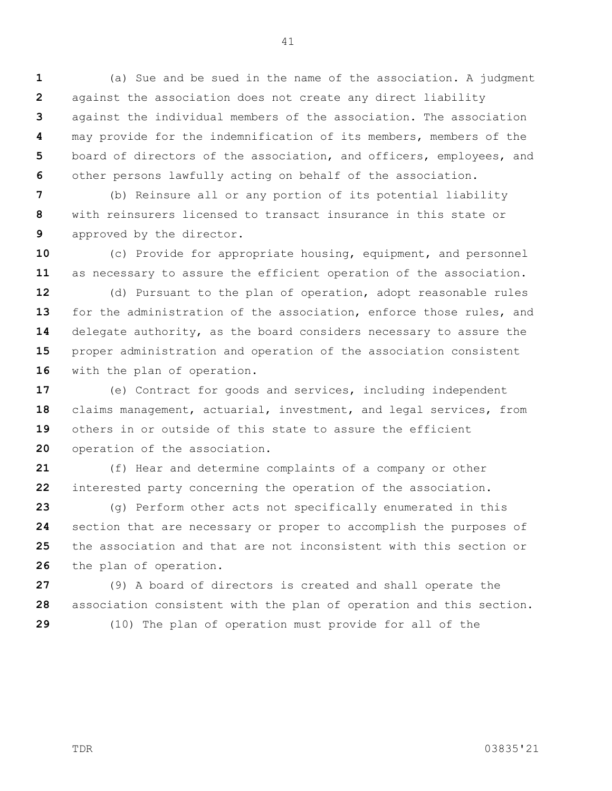**1 2 3 4 5 6** (a) Sue and be sued in the name of the association. A judgment against the association does not create any direct liability against the individual members of the association. The association may provide for the indemnification of its members, members of the board of directors of the association, and officers, employees, and other persons lawfully acting on behalf of the association.

**7 8 9** (b) Reinsure all or any portion of its potential liability with reinsurers licensed to transact insurance in this state or approved by the director.

**10 11** (c) Provide for appropriate housing, equipment, and personnel as necessary to assure the efficient operation of the association.

**12 13 14 15 16** (d) Pursuant to the plan of operation, adopt reasonable rules for the administration of the association, enforce those rules, and delegate authority, as the board considers necessary to assure the proper administration and operation of the association consistent with the plan of operation.

**17 18 19 20** (e) Contract for goods and services, including independent claims management, actuarial, investment, and legal services, from others in or outside of this state to assure the efficient operation of the association.

**21 22** (f) Hear and determine complaints of a company or other interested party concerning the operation of the association.

**23 24 25 26** (g) Perform other acts not specifically enumerated in this section that are necessary or proper to accomplish the purposes of the association and that are not inconsistent with this section or the plan of operation.

**27 28 29** (9) A board of directors is created and shall operate the association consistent with the plan of operation and this section. (10) The plan of operation must provide for all of the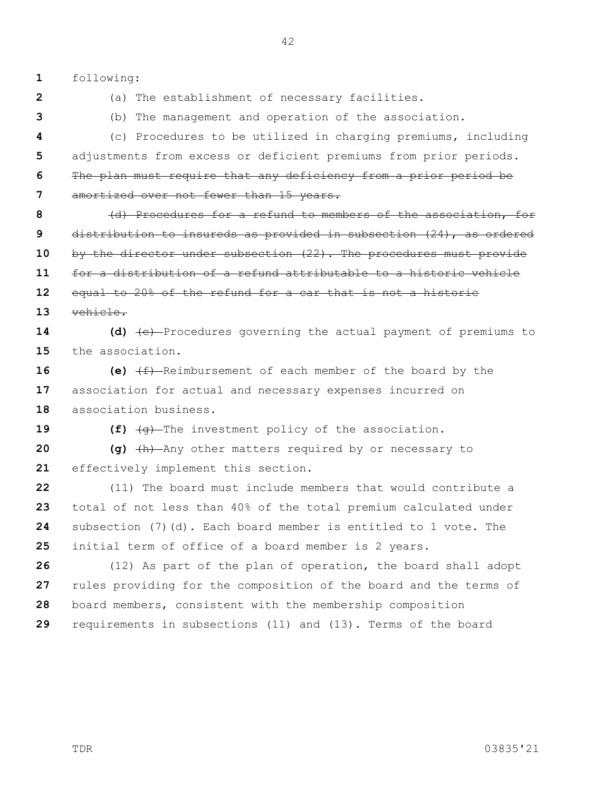**1** following:

**2 3** (a) The establishment of necessary facilities.

(b) The management and operation of the association.

**4 5 6 7** (c) Procedures to be utilized in charging premiums, including adjustments from excess or deficient premiums from prior periods. The plan must require that any deficiency from a prior period be amortized over not fewer than 15 years.

**8 9 10 11 12 13** (d) Procedures for a refund to members of the association, for distribution to insureds as provided in subsection (24), as ordered by the director under subsection (22). The procedures must provide for a distribution of a refund attributable to a historic vehicle equal to 20% of the refund for a car that is not a historic vehicle.

**14 15 (d)** (e) Procedures governing the actual payment of premiums to the association.

**16 17 18 (e)** (f) Reimbursement of each member of the board by the association for actual and necessary expenses incurred on association business.

**19**

**(f)** (g) The investment policy of the association.

**20 21 (g)** (h) Any other matters required by or necessary to effectively implement this section.

**22 23 24 25** (11) The board must include members that would contribute a total of not less than 40% of the total premium calculated under subsection (7)(d). Each board member is entitled to 1 vote. The initial term of office of a board member is 2 years.

**26 27 28 29** (12) As part of the plan of operation, the board shall adopt rules providing for the composition of the board and the terms of board members, consistent with the membership composition requirements in subsections (11) and (13). Terms of the board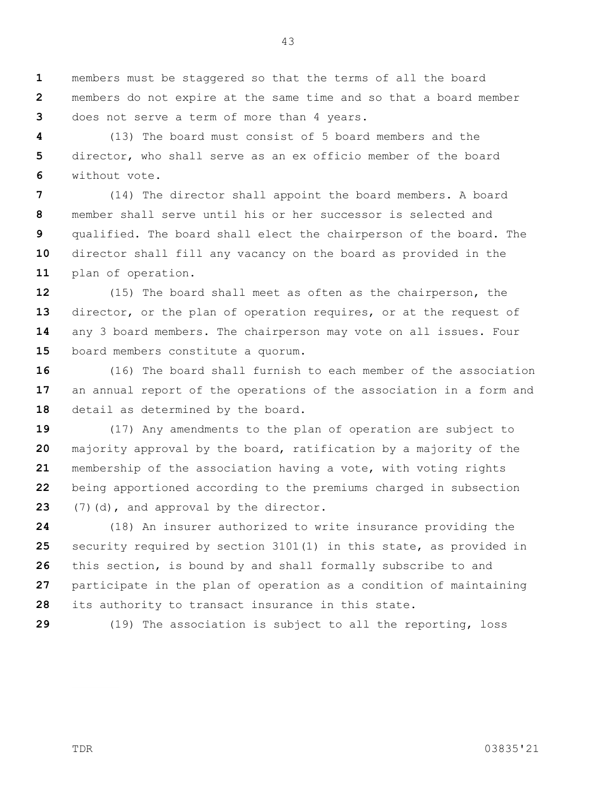**1 2 3** members must be staggered so that the terms of all the board members do not expire at the same time and so that a board member does not serve a term of more than 4 years.

**4 5 6** (13) The board must consist of 5 board members and the director, who shall serve as an ex officio member of the board without vote.

**7 8 9 10 11** (14) The director shall appoint the board members. A board member shall serve until his or her successor is selected and qualified. The board shall elect the chairperson of the board. The director shall fill any vacancy on the board as provided in the plan of operation.

**12 13 14 15** (15) The board shall meet as often as the chairperson, the director, or the plan of operation requires, or at the request of any 3 board members. The chairperson may vote on all issues. Four board members constitute a quorum.

**16 17 18** (16) The board shall furnish to each member of the association an annual report of the operations of the association in a form and detail as determined by the board.

**19 20 21 22 23** (17) Any amendments to the plan of operation are subject to majority approval by the board, ratification by a majority of the membership of the association having a vote, with voting rights being apportioned according to the premiums charged in subsection (7)(d), and approval by the director.

**24 25 26 27 28** (18) An insurer authorized to write insurance providing the security required by section 3101(1) in this state, as provided in this section, is bound by and shall formally subscribe to and participate in the plan of operation as a condition of maintaining its authority to transact insurance in this state.

**29**

(19) The association is subject to all the reporting, loss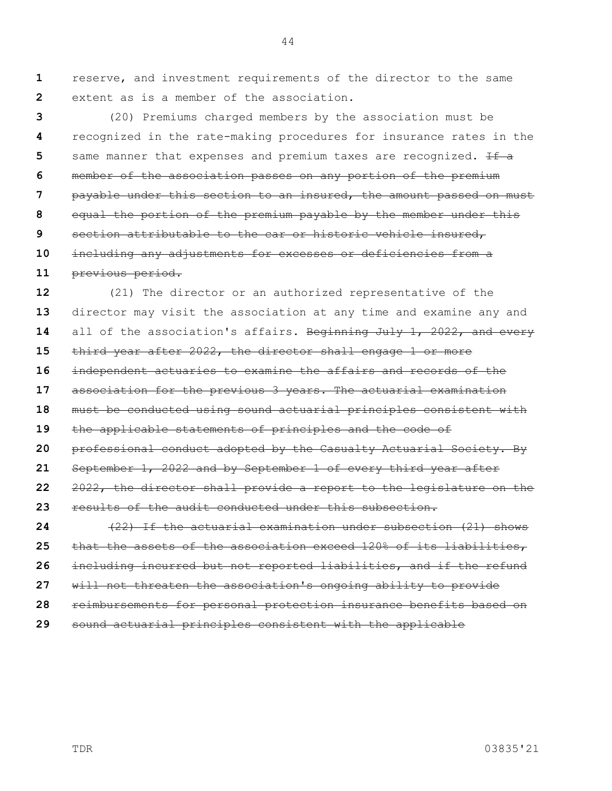**1 2** reserve, and investment requirements of the director to the same extent as is a member of the association.

**3 4 5 6 7 8 9 10 11** (20) Premiums charged members by the association must be recognized in the rate-making procedures for insurance rates in the same manner that expenses and premium taxes are recognized.  $\pm \text{f}$  a member of the association passes on any portion of the premium payable under this section to an insured, the amount passed on must equal the portion of the premium payable by the member under this section attributable to the car or historic vehicle insured, including any adjustments for excesses or deficiencies from a previous period.

**12 13 14 15 16 17 18 19 20 21 22 23 24 25 26** (21) The director or an authorized representative of the director may visit the association at any time and examine any and all of the association's affairs. Beginning July 1, 2022, and every third year after 2022, the director shall engage 1 or more independent actuaries to examine the affairs and records of the association for the previous 3 years. The actuarial examination must be conducted using sound actuarial principles consistent with the applicable statements of principles and the code of professional conduct adopted by the Casualty Actuarial Society. By September 1, 2022 and by September 1 of every third year after 2022, the director shall provide a report to the legislature on the results of the audit conducted under this subsection. (22) If the actuarial examination under subsection (21) shows that the assets of the association exceed 120% of its liabilities, including incurred but not reported liabilities, and if the refund

**27** will not threaten the association's ongoing ability to provide

**28** reimbursements for personal protection insurance benefits based on

**29** sound actuarial principles consistent with the applicable

TDR 03835'21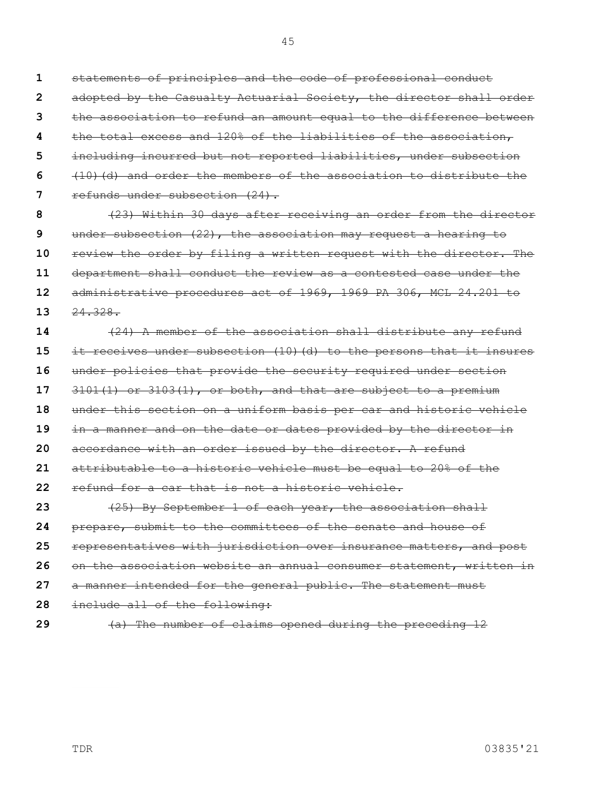statements of principles and the code of professional conduct adopted by the Casualty Actuarial Society, the director shall order the association to refund an amount equal to the difference between the total excess and 120% of the liabilities of the association, including incurred but not reported liabilities, under subsection

**6 7** (10)(d) and order the members of the association to distribute the refunds under subsection (24).

**8 9 10 11 12 13** (23) Within 30 days after receiving an order from the director under subsection (22), the association may request a hearing to review the order by filing a written request with the director. The department shall conduct the review as a contested case under the administrative procedures act of 1969, 1969 PA 306, MCL 24.201 to 24.328.

**14 15 16 17 18 19 20 21 22 23 24 25 26 27 28** (24) A member of the association shall distribute any refund it receives under subsection (10)(d) to the persons that it insures under policies that provide the security required under section 3101(1) or 3103(1), or both, and that are subject to a premium under this section on a uniform basis per car and historic vehicle in a manner and on the date or dates provided by the director in accordance with an order issued by the director. A refund attributable to a historic vehicle must be equal to 20% of the refund for a car that is not a historic vehicle. (25) By September 1 of each year, the association shall prepare, submit to the committees of the senate and house of representatives with jurisdiction over insurance matters, and post on the association website an annual consumer statement, written in a manner intended for the general public. The statement must include all of the following:

**29**

(a) The number of claims opened during the preceding 12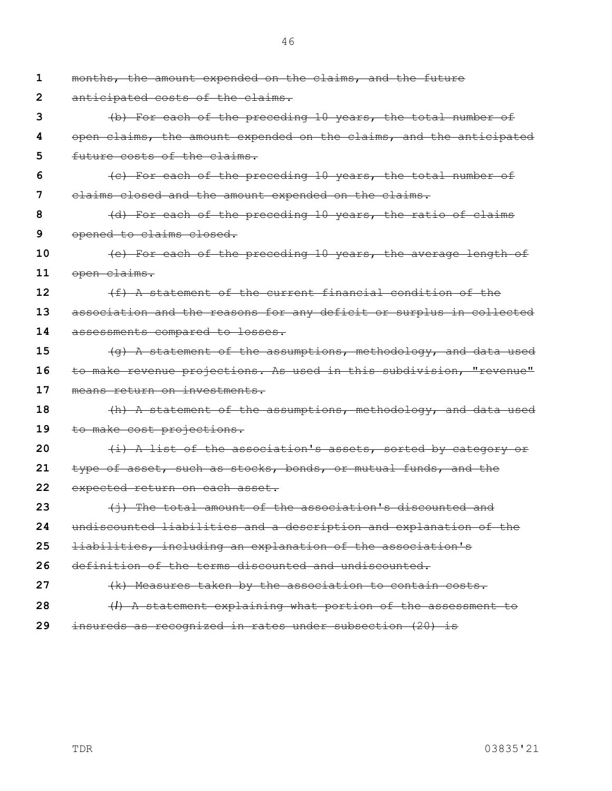**1 2 3 4 5 6 7 8 9 10 11 12 13 14 15 16 17 18 19 20 21 22 23 24 25 26 27 28 29** months, the amount expended on the claims, and the future anticipated costs of the claims. (b) For each of the preceding 10 years, the total number of open claims, the amount expended on the claims, and the anticipated future costs of the claims. (c) For each of the preceding 10 years, the total number of claims closed and the amount expended on the claims. (d) For each of the preceding 10 years, the ratio of claims opened to claims closed. (e) For each of the preceding 10 years, the average length of open claims. (f) A statement of the current financial condition of the association and the reasons for any deficit or surplus in collected assessments compared to losses. (g) A statement of the assumptions, methodology, and data used to make revenue projections. As used in this subdivision, "revenue" means return on investments. (h) A statement of the assumptions, methodology, and data used to make cost projections. (i) A list of the association's assets, sorted by category or type of asset, such as stocks, bonds, or mutual funds, and the expected return on each asset. (j) The total amount of the association's discounted and undiscounted liabilities and a description and explanation of the liabilities, including an explanation of the association's definition of the terms discounted and undiscounted. (k) Measures taken by the association to contain costs. (*l*) A statement explaining what portion of the assessment to insureds as recognized in rates under subsection (20) is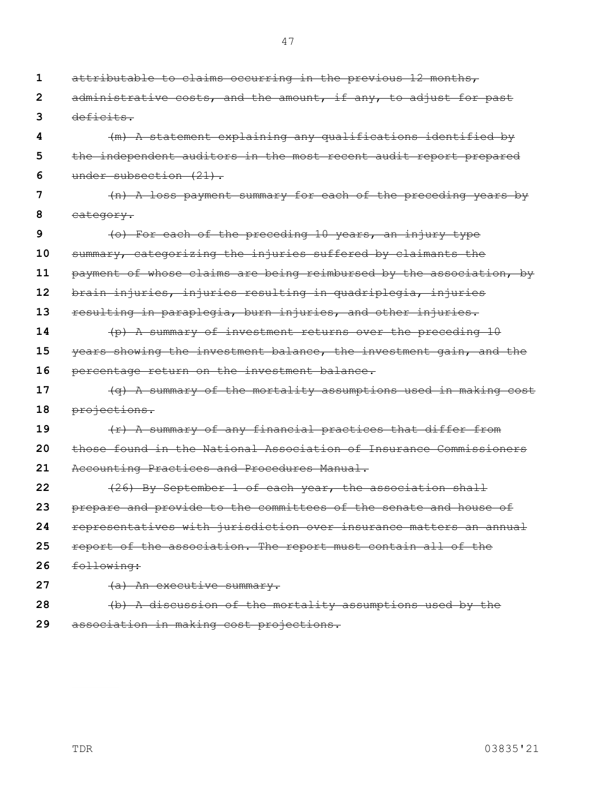**1 2 3 4 5 6 7 8 9 10 11 12 13 14 15 16 17 18 19 20 21 22 23 24 25 26 27 28 29** attributable to claims occurring in the previous 12 months, administrative costs, and the amount, if any, to adjust for past deficits. (m) A statement explaining any qualifications identified by the independent auditors in the most recent audit report prepared under subsection (21). (n) A loss payment summary for each of the preceding years by category. (o) For each of the preceding 10 years, an injury type summary, categorizing the injuries suffered by claimants the payment of whose claims are being reimbursed by the association, by brain injuries, injuries resulting in quadriplegia, injuries resulting in paraplegia, burn injuries, and other injuries. (p) A summary of investment returns over the preceding 10 years showing the investment balance, the investment gain, and the percentage return on the investment balance. (q) A summary of the mortality assumptions used in making cost projections. (r) A summary of any financial practices that differ from those found in the National Association of Insurance Commissioners Accounting Practices and Procedures Manual. (26) By September 1 of each year, the association shall prepare and provide to the committees of the senate and house of representatives with jurisdiction over insurance matters an annual report of the association. The report must contain all of the following: (a) An executive summary. (b) A discussion of the mortality assumptions used by the association in making cost projections.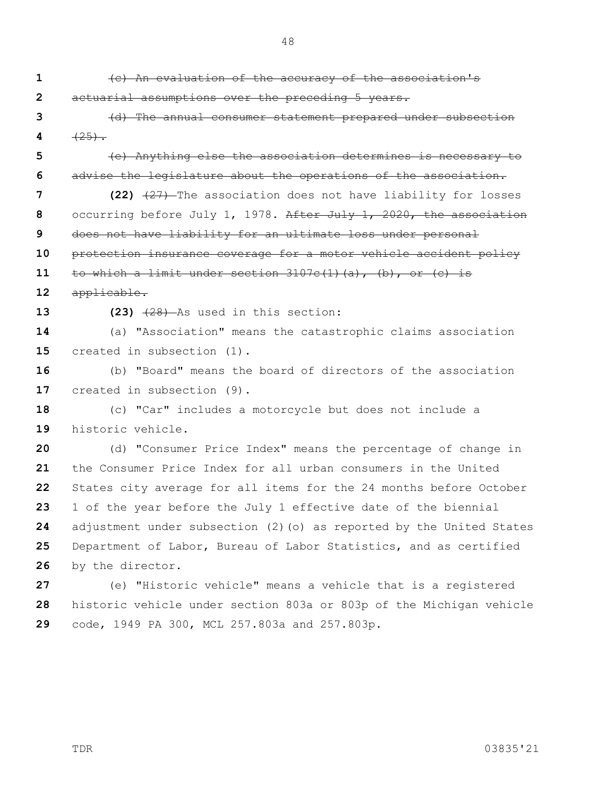**1 2 3 4 5 6 7 8 9 10 11 12 13 14 15 16 17 18 19 20 21 22 23 24 25 26 27 28 29** (c) An evaluation of the accuracy of the association's actuarial assumptions over the preceding 5 years. (d) The annual consumer statement prepared under subsection  $(25)$ . (e) Anything else the association determines is necessary to advise the legislature about the operations of the association. **(22)** (27) The association does not have liability for losses occurring before July 1, 1978. After July 1, 2020, the association does not have liability for an ultimate loss under personal protection insurance coverage for a motor vehicle accident policy to which a limit under section  $3107c(1)(a)$ , (b), or (c) is applicable. **(23)** (28) As used in this section: (a) "Association" means the catastrophic claims association created in subsection (1). (b) "Board" means the board of directors of the association created in subsection (9). (c) "Car" includes a motorcycle but does not include a historic vehicle. (d) "Consumer Price Index" means the percentage of change in the Consumer Price Index for all urban consumers in the United States city average for all items for the 24 months before October 1 of the year before the July 1 effective date of the biennial adjustment under subsection (2)(o) as reported by the United States Department of Labor, Bureau of Labor Statistics, and as certified by the director. (e) "Historic vehicle" means a vehicle that is a registered historic vehicle under section 803a or 803p of the Michigan vehicle code, 1949 PA 300, MCL 257.803a and 257.803p.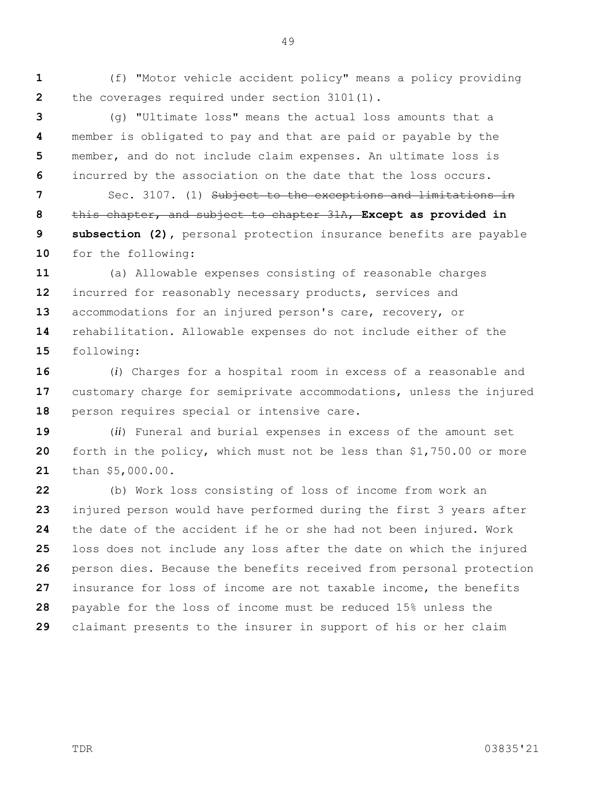**1 2** (f) "Motor vehicle accident policy" means a policy providing the coverages required under section 3101(1).

**3 4 5 6** (g) "Ultimate loss" means the actual loss amounts that a member is obligated to pay and that are paid or payable by the member, and do not include claim expenses. An ultimate loss is incurred by the association on the date that the loss occurs.

**7 8 9 10** Sec. 3107. (1) Subject to the exceptions and limitations in this chapter, and subject to chapter 31A, **Except as provided in subsection (2),** personal protection insurance benefits are payable for the following:

**11 12 13 14 15** (a) Allowable expenses consisting of reasonable charges incurred for reasonably necessary products, services and accommodations for an injured person's care, recovery, or rehabilitation. Allowable expenses do not include either of the following:

**16 17 18** (*i*) Charges for a hospital room in excess of a reasonable and customary charge for semiprivate accommodations, unless the injured person requires special or intensive care.

**19 20 21** (*ii*) Funeral and burial expenses in excess of the amount set forth in the policy, which must not be less than \$1,750.00 or more than \$5,000.00.

**22 23 24 25 26 27 28 29** (b) Work loss consisting of loss of income from work an injured person would have performed during the first 3 years after the date of the accident if he or she had not been injured. Work loss does not include any loss after the date on which the injured person dies. Because the benefits received from personal protection insurance for loss of income are not taxable income, the benefits payable for the loss of income must be reduced 15% unless the claimant presents to the insurer in support of his or her claim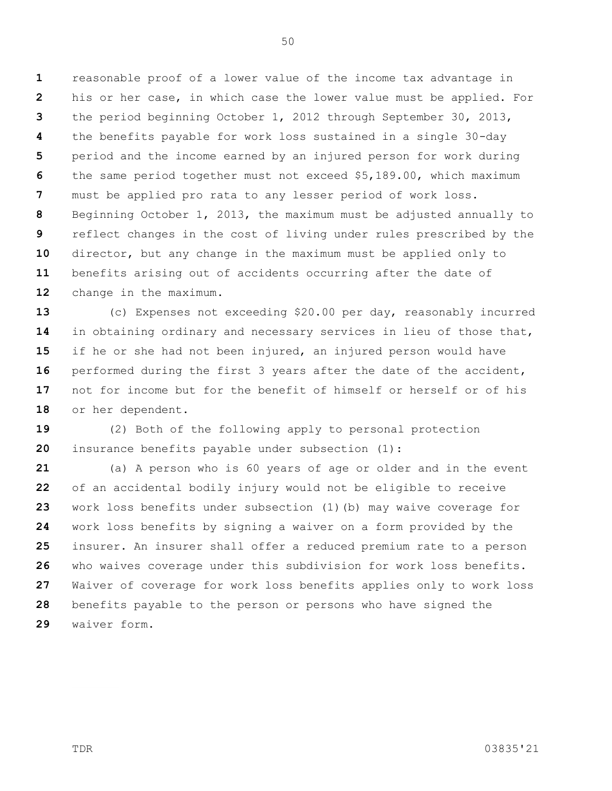**1 2 3 4 5 6 7 8 9 10 11 12** reasonable proof of a lower value of the income tax advantage in his or her case, in which case the lower value must be applied. For the period beginning October 1, 2012 through September 30, 2013, the benefits payable for work loss sustained in a single 30-day period and the income earned by an injured person for work during the same period together must not exceed \$5,189.00, which maximum must be applied pro rata to any lesser period of work loss. Beginning October 1, 2013, the maximum must be adjusted annually to reflect changes in the cost of living under rules prescribed by the director, but any change in the maximum must be applied only to benefits arising out of accidents occurring after the date of change in the maximum.

**13 14 15 16 17 18** (c) Expenses not exceeding \$20.00 per day, reasonably incurred in obtaining ordinary and necessary services in lieu of those that, if he or she had not been injured, an injured person would have performed during the first 3 years after the date of the accident, not for income but for the benefit of himself or herself or of his or her dependent.

**19 20** (2) Both of the following apply to personal protection insurance benefits payable under subsection (1):

**21 22 23 24 25 26 27 28 29** (a) A person who is 60 years of age or older and in the event of an accidental bodily injury would not be eligible to receive work loss benefits under subsection (1)(b) may waive coverage for work loss benefits by signing a waiver on a form provided by the insurer. An insurer shall offer a reduced premium rate to a person who waives coverage under this subdivision for work loss benefits. Waiver of coverage for work loss benefits applies only to work loss benefits payable to the person or persons who have signed the waiver form.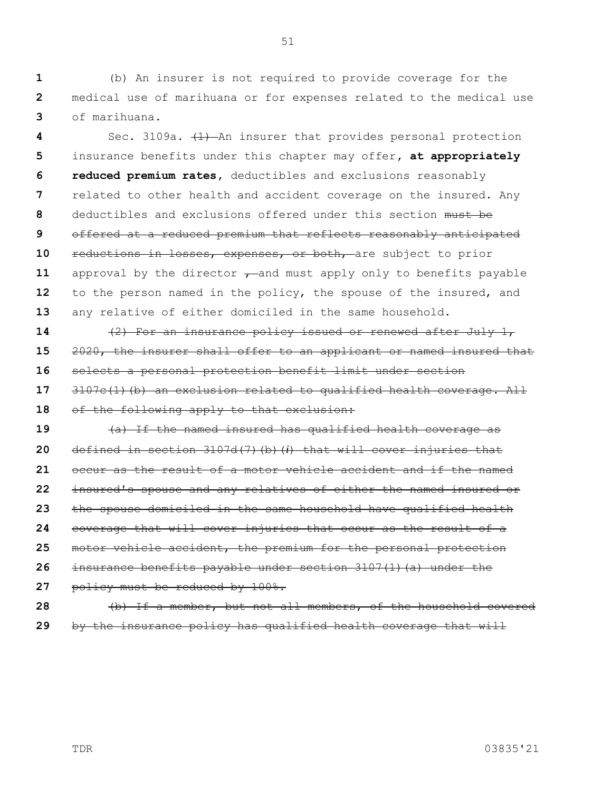**1 2 3** (b) An insurer is not required to provide coverage for the medical use of marihuana or for expenses related to the medical use of marihuana.

**4 5 6 7 8 9 10 11 12 13** Sec. 3109a.  $(1)$  An insurer that provides personal protection insurance benefits under this chapter may offer**, at appropriately reduced premium rates,** deductibles and exclusions reasonably related to other health and accident coverage on the insured. Any deductibles and exclusions offered under this section must be offered at a reduced premium that reflects reasonably anticipated reductions in losses, expenses, or both, are subject to prior approval by the director  $\tau$  and must apply only to benefits payable to the person named in the policy, the spouse of the insured, and any relative of either domiciled in the same household.

**14 15 16 17** (2) For an insurance policy issued or renewed after July 1, 2020, the insurer shall offer to an applicant or named insured that selects a personal protection benefit limit under section 3107c(1)(b) an exclusion related to qualified health coverage. All

**18** of the following apply to that exclusion:

**19 20 21 22 23 24 25 26 27** (a) If the named insured has qualified health coverage as defined in section 3107d(7)(b)(*i*) that will cover injuries that occur as the result of a motor vehicle accident and if the named insured's spouse and any relatives of either the named insured or the spouse domiciled in the same household have qualified health coverage that will cover injuries that occur as the result of a motor vehicle accident, the premium for the personal protection insurance benefits payable under section  $3107(1)$  (a) under the policy must be reduced by 100%.

**28 29** (b) If a member, but not all members, of the household covered by the insurance policy has qualified health coverage that will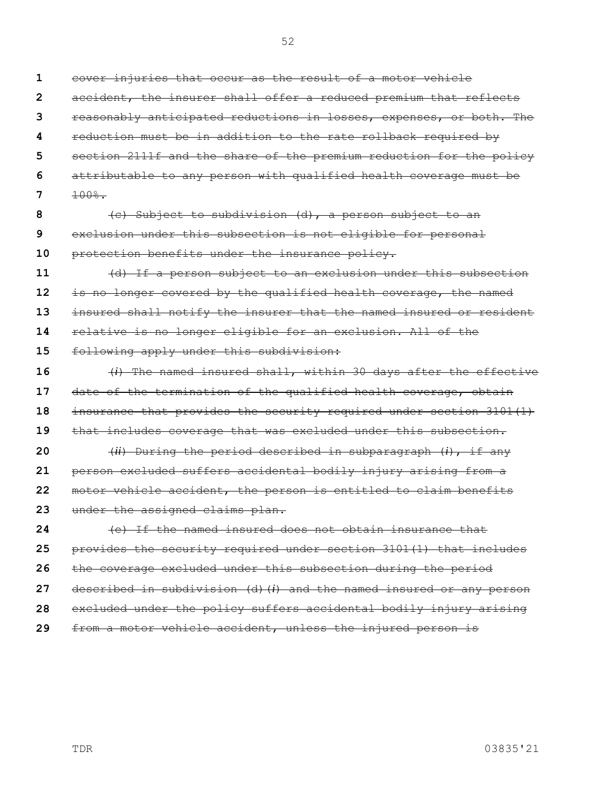| 1  | cover injuries that occur as the result of a motor vehicle          |
|----|---------------------------------------------------------------------|
| 2  | accident, the insurer shall offer a reduced premium that reflects   |
| 3  | reasonably anticipated reductions in losses, expenses, or both. The |
| 4  | reduction must be in addition to the rate rollback required by      |
| 5  | section 2111f and the share of the premium reduction for the policy |
| 6  | attributable to any person with qualified health coverage must be   |
| 7  | $100%$ .                                                            |
| 8  | (c) Subject to subdivision (d), a person subject to an              |
| 9  | exclusion under this subsection is not eligible for personal        |
| 10 | protection benefits under the insurance policy.                     |
| 11 | (d) If a person subject to an exclusion under this subsection       |
| 12 | is no longer covered by the qualified health coverage, the named    |
| 13 | insured shall notify the insurer that the named insured or resident |
| 14 | relative is no longer eligible for an exclusion. All of the         |
| 15 | following apply under this subdivision:                             |
| 16 | (i) The named insured shall, within 30 days after the effective     |
| 17 | date of the termination of the qualified health coverage, obtain    |
| 18 | insurance that provides the security required under section 3101(1) |
| 19 | that includes coverage that was excluded under this subsection.     |
| 20 | $(ii)$ During the period described in subparagraph $(i)$ , if any   |
| 21 | person excluded suffers accidental bodily injury arising from a     |
| 22 | motor vehicle accident, the person is entitled to claim benefits    |
| 23 | under the assigned claims plan.                                     |
| 24 | (e) If the named insured does not obtain insurance that             |
| 25 | provides the security required under section 3101(1) that includes  |
| 26 | the coverage excluded under this subsection during the period       |
| 27 | described in subdivision (d)(i) and the named insured or any person |
| 28 | excluded under the policy suffers accidental bodily injury arising  |
|    |                                                                     |

**29** from a motor vehicle accident, unless the injured person is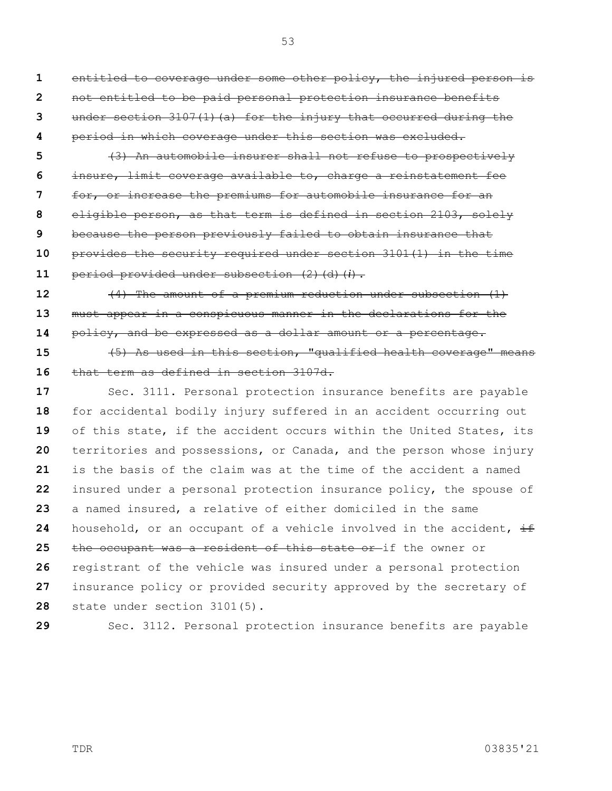53

**1 2 3** entitled to coverage under some other policy, the injured person is not entitled to be paid personal protection insurance benefits under section  $3107(1)$  (a) for the injury that occurred during the

**4** period in which coverage under this section was excluded.

**5 6 7 8 9 10** (3) An automobile insurer shall not refuse to prospectively insure, limit coverage available to, charge a reinstatement fee for, or increase the premiums for automobile insurance for an eligible person, as that term is defined in section 2103, solely because the person previously failed to obtain insurance that provides the security required under section 3101(1) in the time

**11 12** period provided under subsection (2)(d)(*i*). (4) The amount of a premium reduction under subsection (1)

**13 14** must appear in a conspicuous manner in the declarations for the policy, and be expressed as a dollar amount or a percentage.

**15 16** (5) As used in this section, "qualified health coverage" means that term as defined in section 3107d.

**17 18 19 20 21 22 23 24 25 26 27 28** Sec. 3111. Personal protection insurance benefits are payable for accidental bodily injury suffered in an accident occurring out of this state, if the accident occurs within the United States, its territories and possessions, or Canada, and the person whose injury is the basis of the claim was at the time of the accident a named insured under a personal protection insurance policy, the spouse of a named insured, a relative of either domiciled in the same household, or an occupant of a vehicle involved in the accident,  $\pm$ the occupant was a resident of this state or if the owner or registrant of the vehicle was insured under a personal protection insurance policy or provided security approved by the secretary of state under section 3101(5).

**29**

Sec. 3112. Personal protection insurance benefits are payable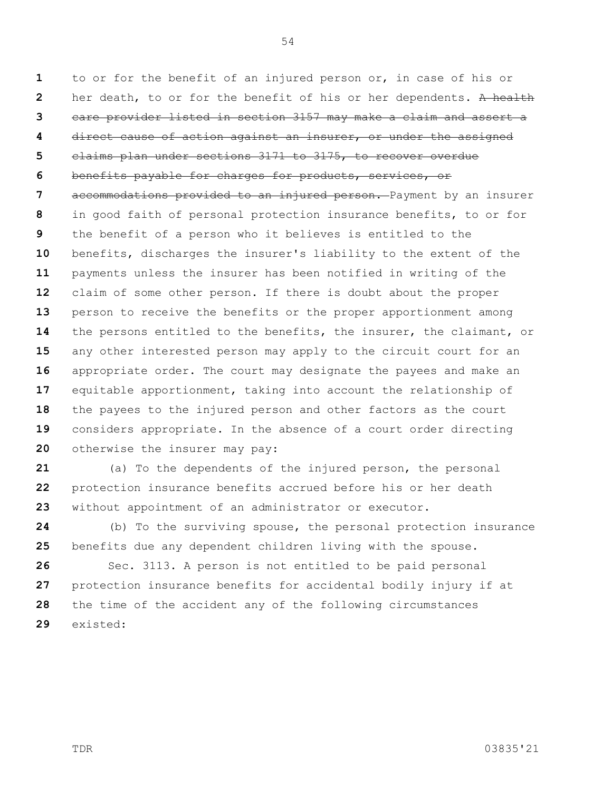**1 2 3 4 5 6 7 8 9 10 11 12 13 14 15 16 17 18 19 20** to or for the benefit of an injured person or, in case of his or her death, to or for the benefit of his or her dependents. A health care provider listed in section 3157 may make a claim and assert a direct cause of action against an insurer, or under the assigned claims plan under sections 3171 to 3175, to recover overdue benefits payable for charges for products, services, or accommodations provided to an injured person. Payment by an insurer in good faith of personal protection insurance benefits, to or for the benefit of a person who it believes is entitled to the benefits, discharges the insurer's liability to the extent of the payments unless the insurer has been notified in writing of the claim of some other person. If there is doubt about the proper person to receive the benefits or the proper apportionment among the persons entitled to the benefits, the insurer, the claimant, or any other interested person may apply to the circuit court for an appropriate order. The court may designate the payees and make an equitable apportionment, taking into account the relationship of the payees to the injured person and other factors as the court considers appropriate. In the absence of a court order directing otherwise the insurer may pay:

**21 22 23** (a) To the dependents of the injured person, the personal protection insurance benefits accrued before his or her death without appointment of an administrator or executor.

**24 25** (b) To the surviving spouse, the personal protection insurance benefits due any dependent children living with the spouse.

**26 27 28 29** Sec. 3113. A person is not entitled to be paid personal protection insurance benefits for accidental bodily injury if at the time of the accident any of the following circumstances existed: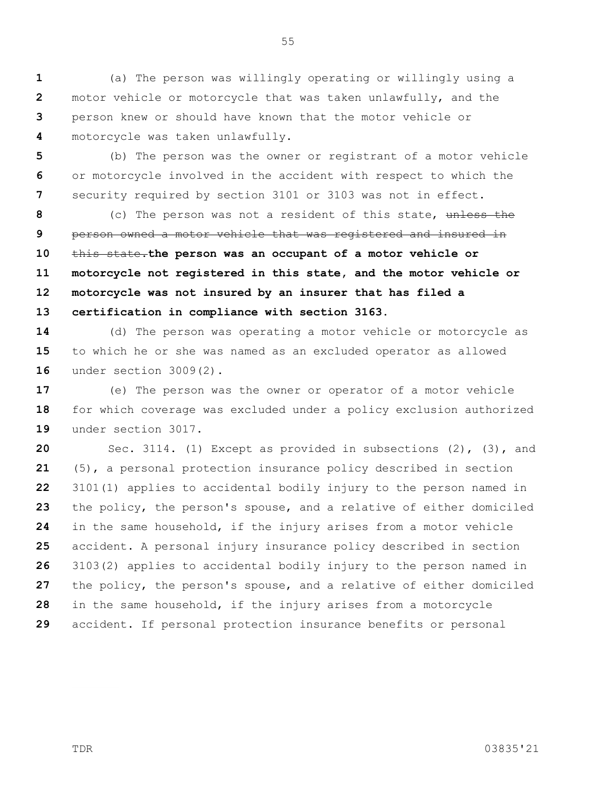**5 6 7** (b) The person was the owner or registrant of a motor vehicle or motorcycle involved in the accident with respect to which the security required by section 3101 or 3103 was not in effect.

55

**8 9 10 11 12 13** (c) The person was not a resident of this state, unless the person owned a motor vehicle that was registered and insured in this state.**the person was an occupant of a motor vehicle or motorcycle not registered in this state, and the motor vehicle or motorcycle was not insured by an insurer that has filed a certification in compliance with section 3163.**

**14 15 16** (d) The person was operating a motor vehicle or motorcycle as to which he or she was named as an excluded operator as allowed under section 3009(2).

**17 18 19** (e) The person was the owner or operator of a motor vehicle for which coverage was excluded under a policy exclusion authorized under section 3017.

**20 21 22 23 24 25 26 27 28 29** Sec. 3114. (1) Except as provided in subsections (2), (3), and (5), a personal protection insurance policy described in section 3101(1) applies to accidental bodily injury to the person named in the policy, the person's spouse, and a relative of either domiciled in the same household, if the injury arises from a motor vehicle accident. A personal injury insurance policy described in section 3103(2) applies to accidental bodily injury to the person named in the policy, the person's spouse, and a relative of either domiciled in the same household, if the injury arises from a motorcycle accident. If personal protection insurance benefits or personal

**1 2 3 4** (a) The person was willingly operating or willingly using a motor vehicle or motorcycle that was taken unlawfully, and the person knew or should have known that the motor vehicle or motorcycle was taken unlawfully.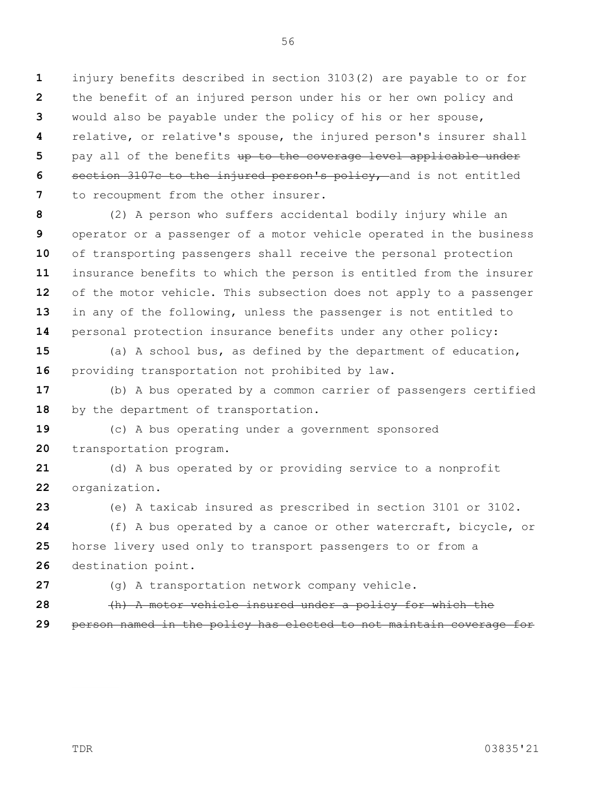**1 2 3 4 5 6 7** injury benefits described in section 3103(2) are payable to or for the benefit of an injured person under his or her own policy and would also be payable under the policy of his or her spouse, relative, or relative's spouse, the injured person's insurer shall pay all of the benefits up to the coverage level applicable under section 3107c to the injured person's policy, and is not entitled to recoupment from the other insurer.

**8 9 10 11 12 13 14** (2) A person who suffers accidental bodily injury while an operator or a passenger of a motor vehicle operated in the business of transporting passengers shall receive the personal protection insurance benefits to which the person is entitled from the insurer of the motor vehicle. This subsection does not apply to a passenger in any of the following, unless the passenger is not entitled to personal protection insurance benefits under any other policy:

**15 16** (a) A school bus, as defined by the department of education, providing transportation not prohibited by law.

**17 18** (b) A bus operated by a common carrier of passengers certified by the department of transportation.

**19 20** (c) A bus operating under a government sponsored transportation program.

**21 22** (d) A bus operated by or providing service to a nonprofit organization.

**23**

(e) A taxicab insured as prescribed in section 3101 or 3102.

**24 25 26** (f) A bus operated by a canoe or other watercraft, bicycle, or horse livery used only to transport passengers to or from a destination point.

**27**

(g) A transportation network company vehicle.

**28 29** (h) A motor vehicle insured under a policy for which the person named in the policy has elected to not maintain coverage for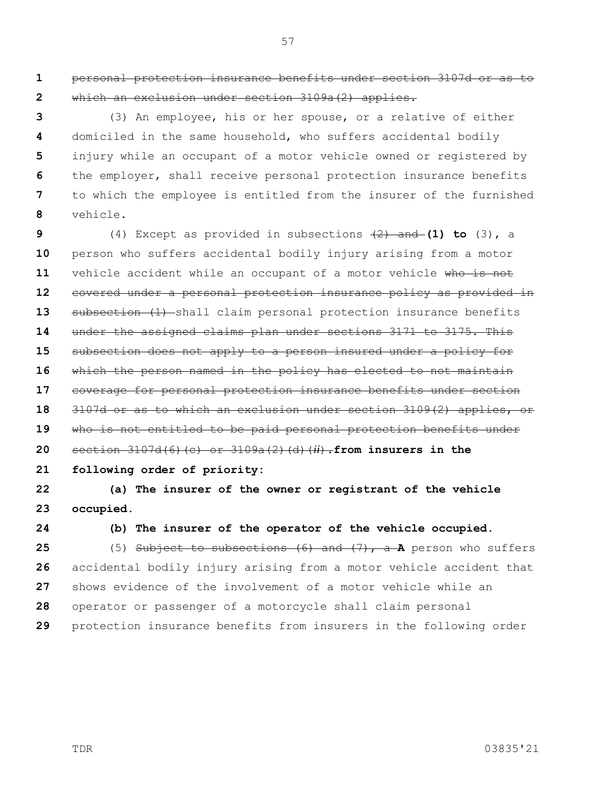**1 2** personal protection insurance benefits under section 3107d or as to which an exclusion under section 3109a(2) applies.

57

**3 4 5 6 7 8** (3) An employee, his or her spouse, or a relative of either domiciled in the same household, who suffers accidental bodily injury while an occupant of a motor vehicle owned or registered by the employer, shall receive personal protection insurance benefits to which the employee is entitled from the insurer of the furnished vehicle.

**9 10 11 12 13 14 15 16 17 18 19 20 21** (4) Except as provided in subsections  $(2)$  and (1) to (3), a person who suffers accidental bodily injury arising from a motor vehicle accident while an occupant of a motor vehicle who is not covered under a personal protection insurance policy as provided in subsection (1) shall claim personal protection insurance benefits under the assigned claims plan under sections 3171 to 3175. This subsection does not apply to a person insured under a policy for which the person named in the policy has elected to not maintain coverage for personal protection insurance benefits under section 3107d or as to which an exclusion under section 3109(2) applies, or who is not entitled to be paid personal protection benefits under section 3107d(6)(c) or 3109a(2)(d)(*ii*).**from insurers in the following order of priority:**

**22 23 (a) The insurer of the owner or registrant of the vehicle occupied.**

**24**

**(b) The insurer of the operator of the vehicle occupied.**

**25 26 27 28 29** (5) Subject to subsections (6) and (7), a **A** person who suffers accidental bodily injury arising from a motor vehicle accident that shows evidence of the involvement of a motor vehicle while an operator or passenger of a motorcycle shall claim personal protection insurance benefits from insurers in the following order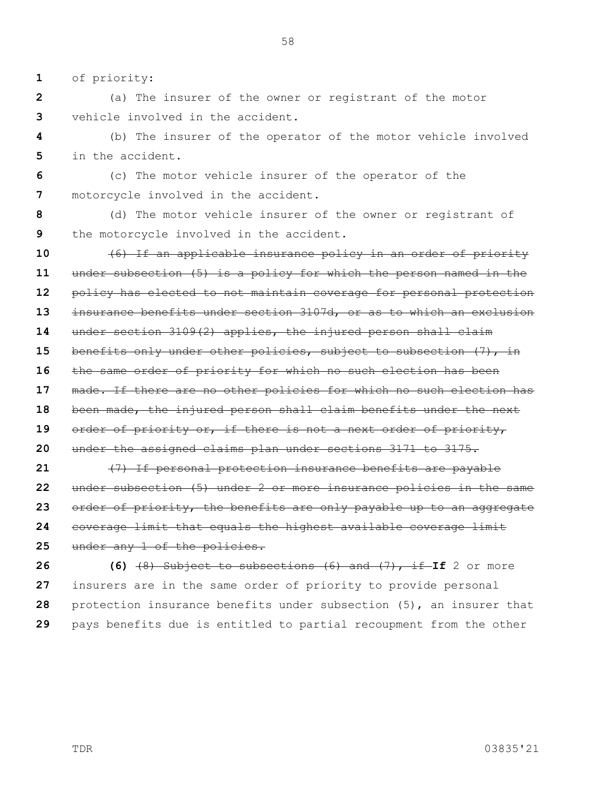**1** of priority:

**2 3** (a) The insurer of the owner or registrant of the motor vehicle involved in the accident.

**4 5** (b) The insurer of the operator of the motor vehicle involved in the accident.

**6 7** (c) The motor vehicle insurer of the operator of the motorcycle involved in the accident.

**8 9** (d) The motor vehicle insurer of the owner or registrant of the motorcycle involved in the accident.

**10 11 12 13 14 15 16 17 18 19 20 21 22 23** (6) If an applicable insurance policy in an order of priority under subsection (5) is a policy for which the person named in the policy has elected to not maintain coverage for personal protection insurance benefits under section 3107d, or as to which an exclusion under section 3109(2) applies, the injured person shall claim benefits only under other policies, subject to subsection (7), in the same order of priority for which no such election has been made. If there are no other policies for which no such election has been made, the injured person shall claim benefits under the next order of priority or, if there is not a next order of priority, under the assigned claims plan under sections 3171 to 3175. (7) If personal protection insurance benefits are payable under subsection (5) under 2 or more insurance policies in the same order of priority, the benefits are only payable up to an aggregate

**24** coverage limit that equals the highest available coverage limit

**25** under any 1 of the policies.

**26 27 28 29 (6)**  $(8)$  Subject to subsections  $(6)$  and  $(7)$ , if If 2 or more insurers are in the same order of priority to provide personal protection insurance benefits under subsection (5), an insurer that pays benefits due is entitled to partial recoupment from the other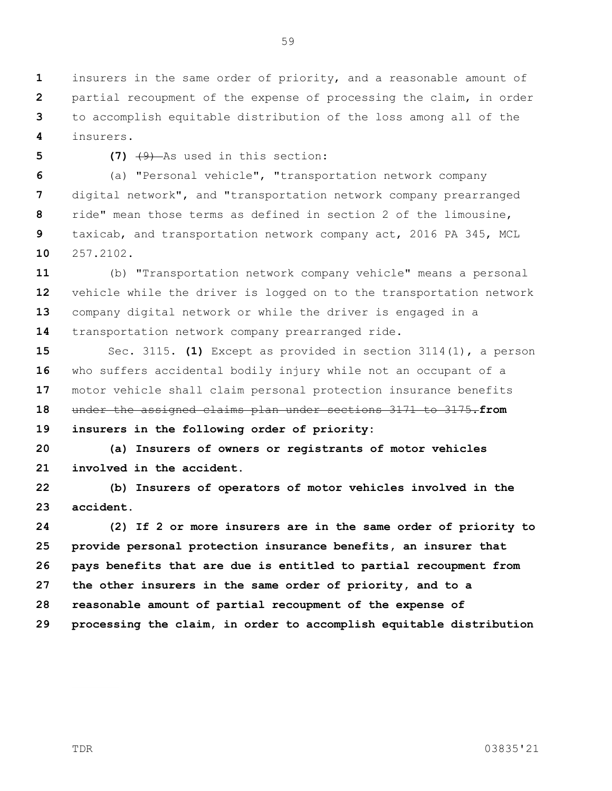**1 2 3 4** insurers in the same order of priority, and a reasonable amount of partial recoupment of the expense of processing the claim, in order to accomplish equitable distribution of the loss among all of the insurers.

**5**

**(7)** (9) As used in this section:

**6 7 8 9 10** (a) "Personal vehicle", "transportation network company digital network", and "transportation network company prearranged ride" mean those terms as defined in section 2 of the limousine, taxicab, and transportation network company act, 2016 PA 345, MCL 257.2102.

**11 12 13 14** (b) "Transportation network company vehicle" means a personal vehicle while the driver is logged on to the transportation network company digital network or while the driver is engaged in a transportation network company prearranged ride.

**15 16 17 18 19** Sec. 3115. **(1)** Except as provided in section 3114(1), a person who suffers accidental bodily injury while not an occupant of a motor vehicle shall claim personal protection insurance benefits under the assigned claims plan under sections 3171 to 3175.**from insurers in the following order of priority:**

**20 21 (a) Insurers of owners or registrants of motor vehicles involved in the accident.**

**22 23 (b) Insurers of operators of motor vehicles involved in the accident.**

**24 25 26 27 28 29 (2) If 2 or more insurers are in the same order of priority to provide personal protection insurance benefits, an insurer that pays benefits that are due is entitled to partial recoupment from the other insurers in the same order of priority, and to a reasonable amount of partial recoupment of the expense of processing the claim, in order to accomplish equitable distribution**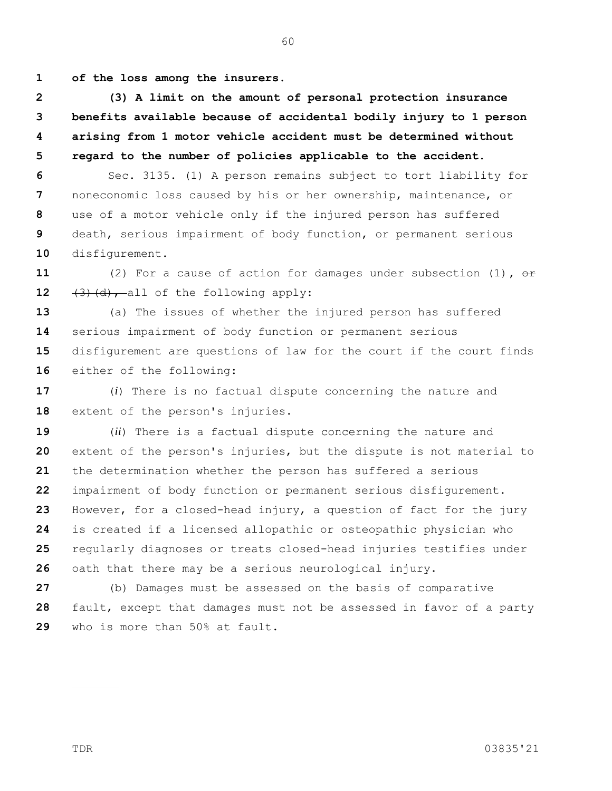**1 of the loss among the insurers.**

**2 3 4 5 (3) A limit on the amount of personal protection insurance benefits available because of accidental bodily injury to 1 person arising from 1 motor vehicle accident must be determined without regard to the number of policies applicable to the accident.**

**6 7 8 9 10** Sec. 3135. (1) A person remains subject to tort liability for noneconomic loss caused by his or her ownership, maintenance, or use of a motor vehicle only if the injured person has suffered death, serious impairment of body function, or permanent serious disfigurement.

**11 12** (2) For a cause of action for damages under subsection (1)**,** or  $(3)$   $(d)$ , all of the following apply:

**13 14 15 16** (a) The issues of whether the injured person has suffered serious impairment of body function or permanent serious disfigurement are questions of law for the court if the court finds either of the following:

**17 18** (*i*) There is no factual dispute concerning the nature and extent of the person's injuries.

**19 20 21 22 23 24 25 26** (*ii*) There is a factual dispute concerning the nature and extent of the person's injuries, but the dispute is not material to the determination whether the person has suffered a serious impairment of body function or permanent serious disfigurement. However, for a closed-head injury, a question of fact for the jury is created if a licensed allopathic or osteopathic physician who regularly diagnoses or treats closed-head injuries testifies under oath that there may be a serious neurological injury.

**27 28 29** (b) Damages must be assessed on the basis of comparative fault, except that damages must not be assessed in favor of a party who is more than 50% at fault.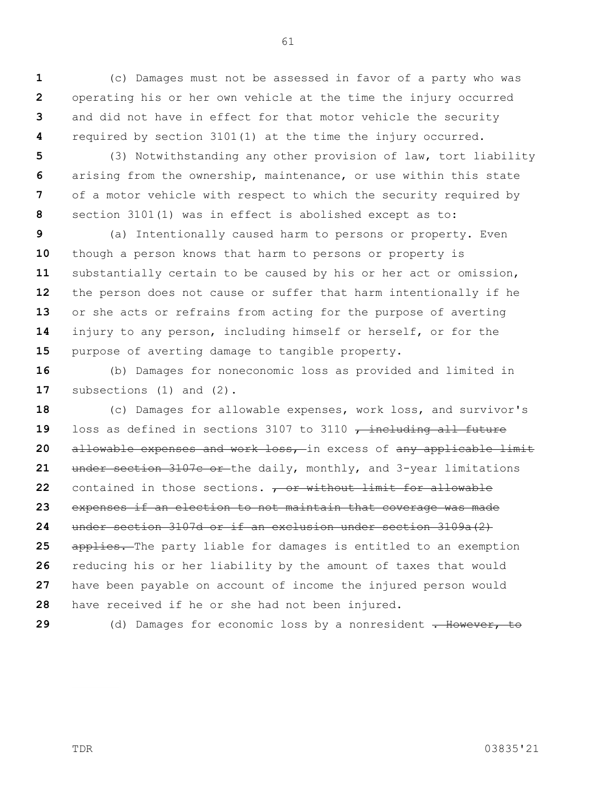**1 2 3 4** (c) Damages must not be assessed in favor of a party who was operating his or her own vehicle at the time the injury occurred and did not have in effect for that motor vehicle the security required by section 3101(1) at the time the injury occurred.

**5 6 7 8** (3) Notwithstanding any other provision of law, tort liability arising from the ownership, maintenance, or use within this state of a motor vehicle with respect to which the security required by section 3101(1) was in effect is abolished except as to:

**9 10 11 12 13 14 15** (a) Intentionally caused harm to persons or property. Even though a person knows that harm to persons or property is substantially certain to be caused by his or her act or omission, the person does not cause or suffer that harm intentionally if he or she acts or refrains from acting for the purpose of averting injury to any person, including himself or herself, or for the purpose of averting damage to tangible property.

**16 17** (b) Damages for noneconomic loss as provided and limited in subsections (1) and (2).

**18 19 20 21 22 23 24 25 26 27 28** (c) Damages for allowable expenses, work loss, and survivor's loss as defined in sections 3107 to 3110  $\tau$  including all future allowable expenses and work loss, in excess of any applicable limit under section 3107c or the daily, monthly, and 3-year limitations contained in those sections. **, or without limit for allowable** expenses if an election to not maintain that coverage was made under section 3107d or if an exclusion under section 3109a(2) applies. The party liable for damages is entitled to an exemption reducing his or her liability by the amount of taxes that would have been payable on account of income the injured person would have received if he or she had not been injured.

**29**

(d) Damages for economic loss by a nonresident . However, to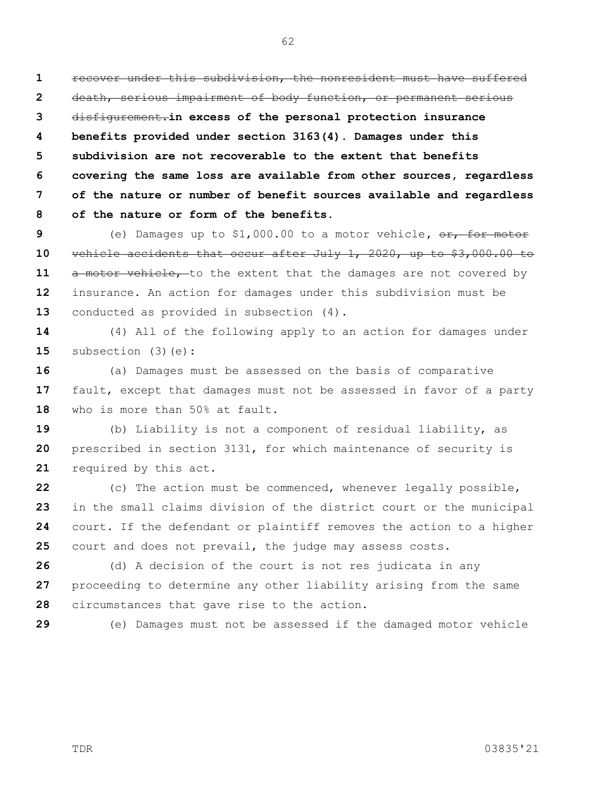**1 2 3 4 5 6 7 8** recover under this subdivision, the nonresident must have suffered death, serious impairment of body function, or permanent serious disfigurement.**in excess of the personal protection insurance benefits provided under section 3163(4). Damages under this subdivision are not recoverable to the extent that benefits covering the same loss are available from other sources, regardless of the nature or number of benefit sources available and regardless of the nature or form of the benefits.**

**9 10 11 12 13** (e) Damages up to \$1,000.00 to a motor vehicle,  $\frac{1}{100}$  or vehicle accidents that occur after July 1, 2020, up to \$3,000.00 to a motor vehicle, to the extent that the damages are not covered by insurance. An action for damages under this subdivision must be conducted as provided in subsection (4).

**14 15** (4) All of the following apply to an action for damages under subsection (3)(e):

**16 17 18** (a) Damages must be assessed on the basis of comparative fault, except that damages must not be assessed in favor of a party who is more than 50% at fault.

**19 20 21** (b) Liability is not a component of residual liability, as prescribed in section 3131, for which maintenance of security is required by this act.

**22 23 24 25** (c) The action must be commenced, whenever legally possible, in the small claims division of the district court or the municipal court. If the defendant or plaintiff removes the action to a higher court and does not prevail, the judge may assess costs.

**26 27 28** (d) A decision of the court is not res judicata in any proceeding to determine any other liability arising from the same circumstances that gave rise to the action.

**29**

(e) Damages must not be assessed if the damaged motor vehicle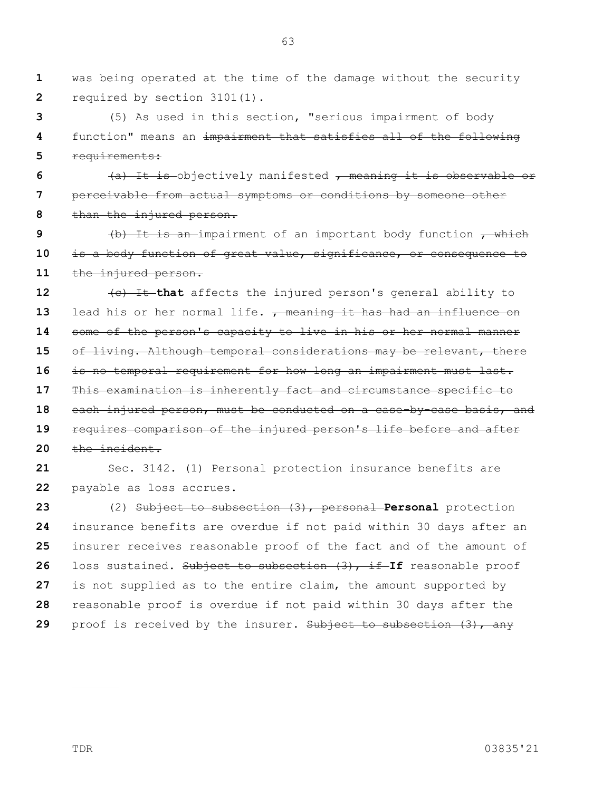**1 2** was being operated at the time of the damage without the security required by section 3101(1).

**3 4 5** (5) As used in this section, "serious impairment of body function" means an impairment that satisfies all of the following requirements:

**6 7 8** (a) It is objectively manifested , meaning it is observable or perceivable from actual symptoms or conditions by someone other than the injured person.

**9 10 11**  $(b)$  It is an impairment of an important body function  $,$  which is a body function of great value, significance, or consequence to the injured person.

**12 13 14 15 16 17 18 19 20** (c) It **that** affects the injured person's general ability to lead his or her normal life.  $\tau$  meaning it has had an influence on some of the person's capacity to live in his or her normal manner of living. Although temporal considerations may be relevant, there is no temporal requirement for how long an impairment must last. This examination is inherently fact and circumstance specific to each injured person, must be conducted on a case-by-case basis, and requires comparison of the injured person's life before and after the incident.

**21 22** Sec. 3142. (1) Personal protection insurance benefits are payable as loss accrues.

**23 24 25 26 27 28 29** (2) Subject to subsection (3), personal **Personal** protection insurance benefits are overdue if not paid within 30 days after an insurer receives reasonable proof of the fact and of the amount of loss sustained. Subject to subsection (3), if **If** reasonable proof is not supplied as to the entire claim, the amount supported by reasonable proof is overdue if not paid within 30 days after the proof is received by the insurer. Subject to subsection (3), any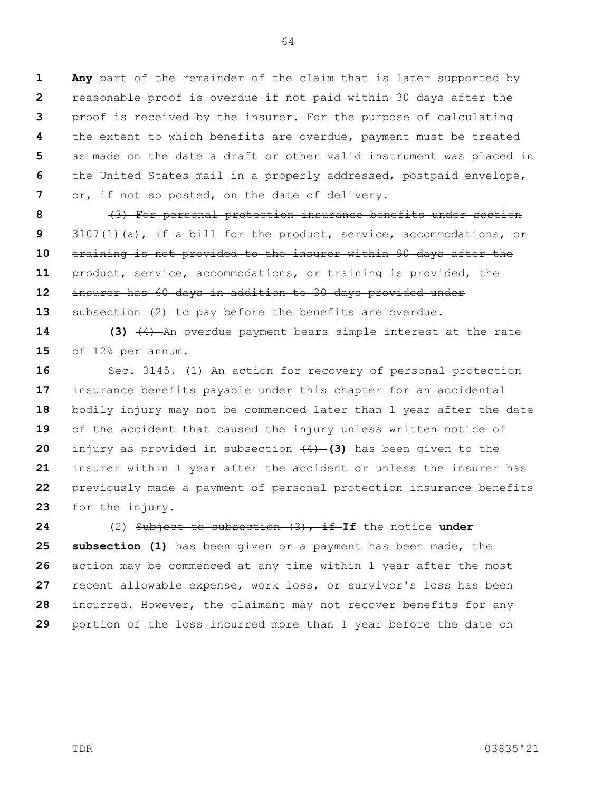**1 2 3 4 5 6 7 Any** part of the remainder of the claim that is later supported by reasonable proof is overdue if not paid within 30 days after the proof is received by the insurer. For the purpose of calculating the extent to which benefits are overdue, payment must be treated as made on the date a draft or other valid instrument was placed in the United States mail in a properly addressed, postpaid envelope, or, if not so posted, on the date of delivery.

64

**8 9 10 11 12 13** (3) For personal protection insurance benefits under section  $3107(1)(a)$ , if a bill for the product, service, accommodations, or training is not provided to the insurer within 90 days after the product, service, accommodations, or training is provided, the insurer has 60 days in addition to 30 days provided under subsection (2) to pay before the benefits are overdue.

**14 15 (3)** (4) An overdue payment bears simple interest at the rate of 12% per annum.

**16 17 18 19 20 21 22 23** Sec. 3145. (1) An action for recovery of personal protection insurance benefits payable under this chapter for an accidental bodily injury may not be commenced later than 1 year after the date of the accident that caused the injury unless written notice of injury as provided in subsection (4) **(3)** has been given to the insurer within 1 year after the accident or unless the insurer has previously made a payment of personal protection insurance benefits for the injury.

**24 25 26 27 28 29** (2) Subject to subsection (3), if **If** the notice **under subsection (1)** has been given or a payment has been made, the action may be commenced at any time within 1 year after the most recent allowable expense, work loss, or survivor's loss has been incurred. However, the claimant may not recover benefits for any portion of the loss incurred more than 1 year before the date on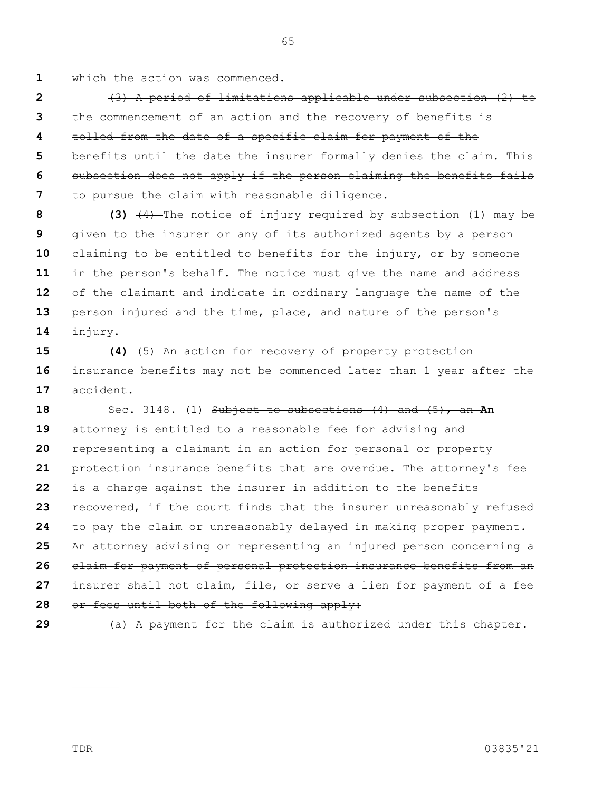**1** which the action was commenced.

**2 3 4 5 6 7** (3) A period of limitations applicable under subsection (2) to the commencement of an action and the recovery of benefits is tolled from the date of a specific claim for payment of the benefits until the date the insurer formally denies the claim. This subsection does not apply if the person claiming the benefits fails to pursue the claim with reasonable diligence.

**8 9 10 11 12 13 14 (3)** (4) The notice of injury required by subsection (1) may be given to the insurer or any of its authorized agents by a person claiming to be entitled to benefits for the injury, or by someone in the person's behalf. The notice must give the name and address of the claimant and indicate in ordinary language the name of the person injured and the time, place, and nature of the person's injury.

**15 16 17 (4)** (5) An action for recovery of property protection insurance benefits may not be commenced later than 1 year after the accident.

**18 19 20 21 22 23 24 25 26 27 28** Sec. 3148. (1) Subject to subsections (4) and (5), an **An**  attorney is entitled to a reasonable fee for advising and representing a claimant in an action for personal or property protection insurance benefits that are overdue. The attorney's fee is a charge against the insurer in addition to the benefits recovered, if the court finds that the insurer unreasonably refused to pay the claim or unreasonably delayed in making proper payment. An attorney advising or representing an injured person concerning a claim for payment of personal protection insurance benefits from an insurer shall not claim, file, or serve a lien for payment of a fee or fees until both of the following apply:

**29**

(a) A payment for the claim is authorized under this chapter.

TDR 03835'21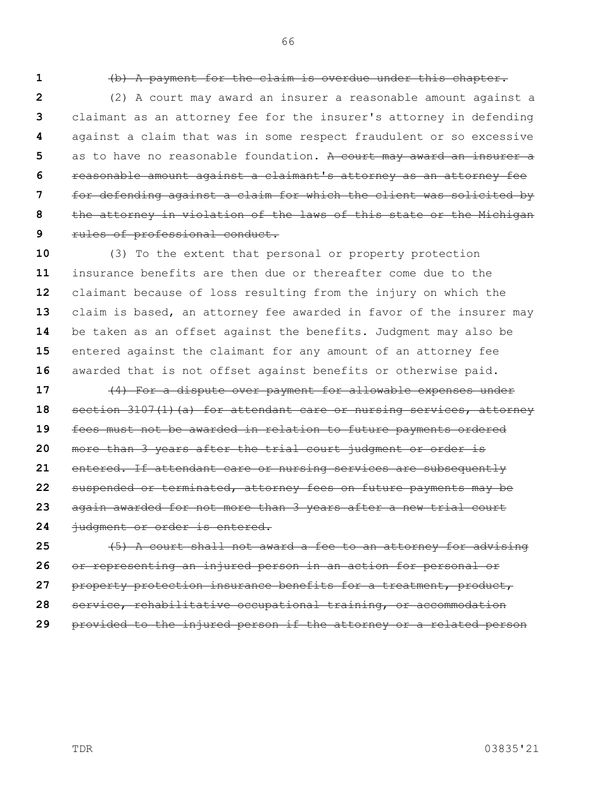66

**1**

## (b) A payment for the claim is overdue under this chapter.

**2 3 4 5 6 7 8 9** (2) A court may award an insurer a reasonable amount against a claimant as an attorney fee for the insurer's attorney in defending against a claim that was in some respect fraudulent or so excessive as to have no reasonable foundation. A court may award an insurer a reasonable amount against a claimant's attorney as an attorney fee for defending against a claim for which the client was solicited by the attorney in violation of the laws of this state or the Michigan rules of professional conduct.

**10 11 12 13 14 15 16** (3) To the extent that personal or property protection insurance benefits are then due or thereafter come due to the claimant because of loss resulting from the injury on which the claim is based, an attorney fee awarded in favor of the insurer may be taken as an offset against the benefits. Judgment may also be entered against the claimant for any amount of an attorney fee awarded that is not offset against benefits or otherwise paid.

**17 18 19 20 21 22 23 24** (4) For a dispute over payment for allowable expenses under section 3107(1)(a) for attendant care or nursing services, attorney fees must not be awarded in relation to future payments ordered more than 3 years after the trial court judgment or order is entered. If attendant care or nursing services are subsequently suspended or terminated, attorney fees on future payments may be again awarded for not more than 3 years after a new trial court judgment or order is entered.

**25 26 27 28 29** (5) A court shall not award a fee to an attorney for advising or representing an injured person in an action for personal or property protection insurance benefits for a treatment, product, service, rehabilitative occupational training, or accommodation provided to the injured person if the attorney or a related person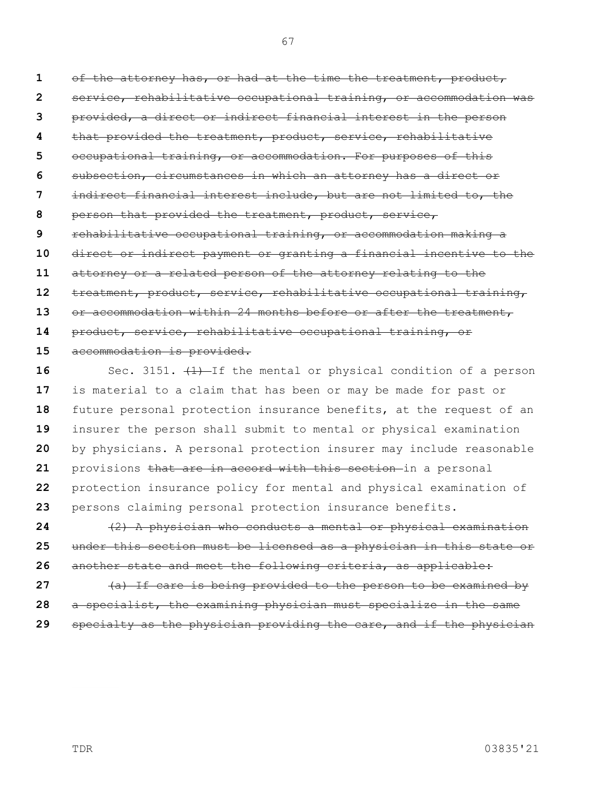**1 2 3 4 5 6 7 8 9 10 11 12 13 14 15 16** of the attorney has, or had at the time the treatment, product, service, rehabilitative occupational training, or accommodation was provided, a direct or indirect financial interest in the person that provided the treatment, product, service, rehabilitative occupational training, or accommodation. For purposes of this subsection, circumstances in which an attorney has a direct or indirect financial interest include, but are not limited to, the person that provided the treatment, product, service, rehabilitative occupational training, or accommodation making a direct or indirect payment or granting a financial incentive to the attorney or a related person of the attorney relating to the treatment, product, service, rehabilitative occupational training, or accommodation within 24 months before or after the treatment, product, service, rehabilitative occupational training, or accommodation is provided. Sec. 3151.  $(1)$ -If the mental or physical condition of a person

**17 18 19 20 21 22 23** is material to a claim that has been or may be made for past or future personal protection insurance benefits, at the request of an insurer the person shall submit to mental or physical examination by physicians. A personal protection insurer may include reasonable provisions that are in accord with this section in a personal protection insurance policy for mental and physical examination of persons claiming personal protection insurance benefits.

**24 25 26** (2) A physician who conducts a mental or physical examination under this section must be licensed as a physician in this state or another state and meet the following criteria, as applicable:

**27 28 29** (a) If care is being provided to the person to be examined by a specialist, the examining physician must specialize in the same specialty as the physician providing the care, and if the physician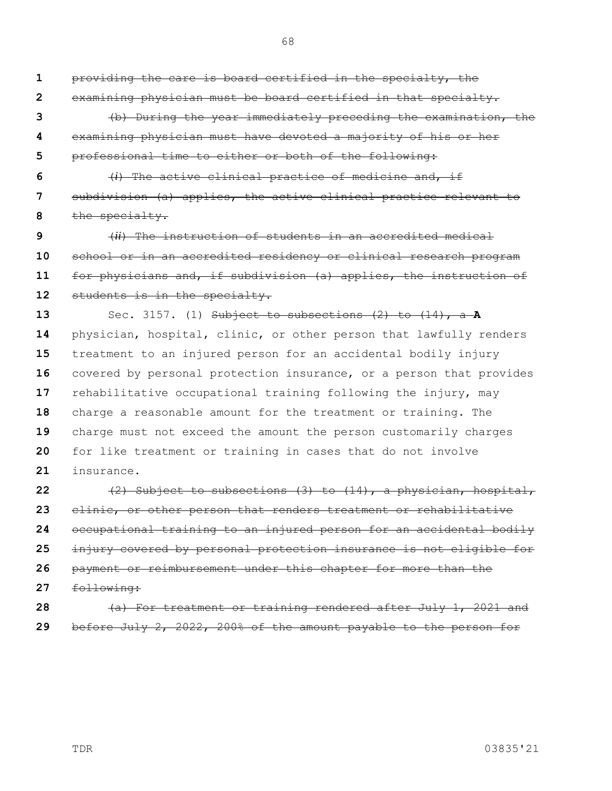providing the care is board certified in the specialty, the examining physician must be board certified in that specialty. (b) During the year immediately preceding the examination, the examining physician must have devoted a majority of his or her

**5** professional time to either or both of the following:

**6 7 8** (*i*) The active clinical practice of medicine and, if subdivision (a) applies, the active clinical practice relevant to the specialty.

**9 10 11 12** (*ii*) The instruction of students in an accredited medical school or in an accredited residency or clinical research program for physicians and, if subdivision (a) applies, the instruction of students is in the specialty.

**13 14 15 16 17 18 19 20 21** Sec. 3157. (1) Subject to subsections (2) to (14), a **A**  physician, hospital, clinic, or other person that lawfully renders treatment to an injured person for an accidental bodily injury covered by personal protection insurance, or a person that provides rehabilitative occupational training following the injury, may charge a reasonable amount for the treatment or training. The charge must not exceed the amount the person customarily charges for like treatment or training in cases that do not involve insurance.

**22 23 24 25 26 27 28** (2) Subject to subsections (3) to (14), a physician, hospital, clinic, or other person that renders treatment or rehabilitative occupational training to an injured person for an accidental bodily injury covered by personal protection insurance is not eligible for payment or reimbursement under this chapter for more than the following: (a) For treatment or training rendered after July 1, 2021 and

**29** before July 2, 2022, 200% of the amount payable to the person for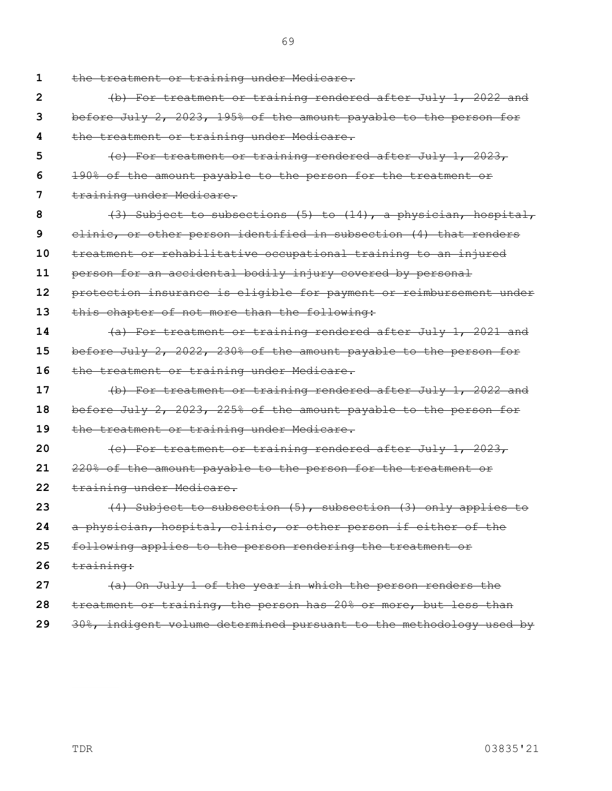**1 2 3 4 5 6 7 8 9 10 11 12 13 14 15 16 17 18 19 20 21 22 23 24 25 26 27 28** the treatment or training under Medicare. (b) For treatment or training rendered after July 1, 2022 and before July 2, 2023, 195% of the amount payable to the person for the treatment or training under Medicare. (c) For treatment or training rendered after July 1, 2023, 190% of the amount payable to the person for the treatment or training under Medicare. (3) Subject to subsections (5) to (14), a physician, hospital, clinic, or other person identified in subsection (4) that renders treatment or rehabilitative occupational training to an injured person for an accidental bodily injury covered by personal protection insurance is eligible for payment or reimbursement under this chapter of not more than the following: (a) For treatment or training rendered after July 1, 2021 and before July 2, 2022, 230% of the amount payable to the person for the treatment or training under Medicare. (b) For treatment or training rendered after July 1, 2022 and before July 2, 2023, 225% of the amount payable to the person for the treatment or training under Medicare. (c) For treatment or training rendered after July 1, 2023, 220% of the amount payable to the person for the treatment or training under Medicare. (4) Subject to subsection (5), subsection (3) only applies to a physician, hospital, clinic, or other person if either of the following applies to the person rendering the treatment or training: (a) On July 1 of the year in which the person renders the treatment or training, the person has 20% or more, but less than

**29** 30%, indigent volume determined pursuant to the methodology used by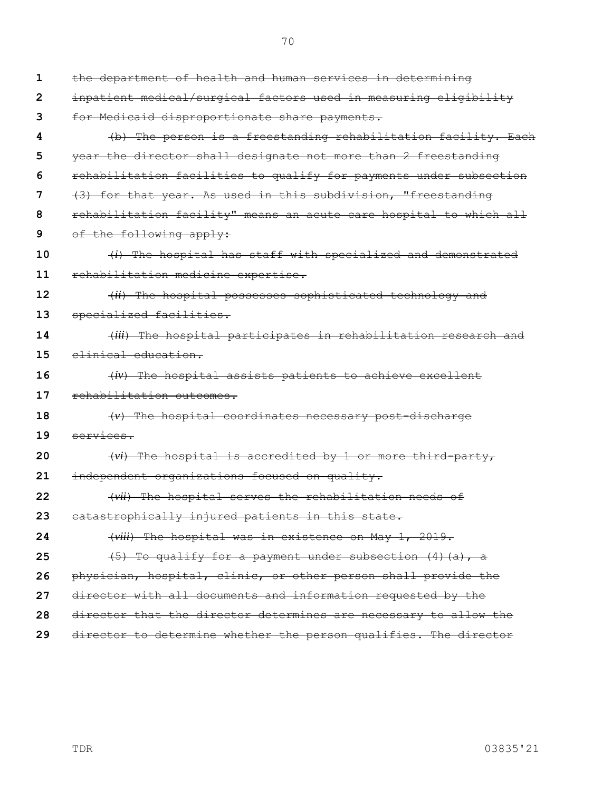**1 2 3 4 5 6 7 8 9 10 11 12 13 14 15 16 17 18 19 20 21 22 23 24 25 26 27 28 29** the department of health and human services in determining inpatient medical/surgical factors used in measuring eligibility for Medicaid disproportionate share payments. (b) The person is a freestanding rehabilitation facility. Each year the director shall designate not more than 2 freestanding rehabilitation facilities to qualify for payments under subsection (3) for that year. As used in this subdivision, "freestanding rehabilitation facility" means an acute care hospital to which all of the following apply: (*i*) The hospital has staff with specialized and demonstrated rehabilitation medicine expertise. (*ii*) The hospital possesses sophisticated technology and specialized facilities. (*iii*) The hospital participates in rehabilitation research and clinical education. (*iv*) The hospital assists patients to achieve excellent rehabilitation outcomes. (*v*) The hospital coordinates necessary post-discharge services. (*vi*) The hospital is accredited by 1 or more third-party, independent organizations focused on quality. (*vii*) The hospital serves the rehabilitation needs of catastrophically injured patients in this state. (*viii*) The hospital was in existence on May 1, 2019. (5) To qualify for a payment under subsection (4)(a), a physician, hospital, clinic, or other person shall provide the director with all documents and information requested by the director that the director determines are necessary to allow the director to determine whether the person qualifies. The director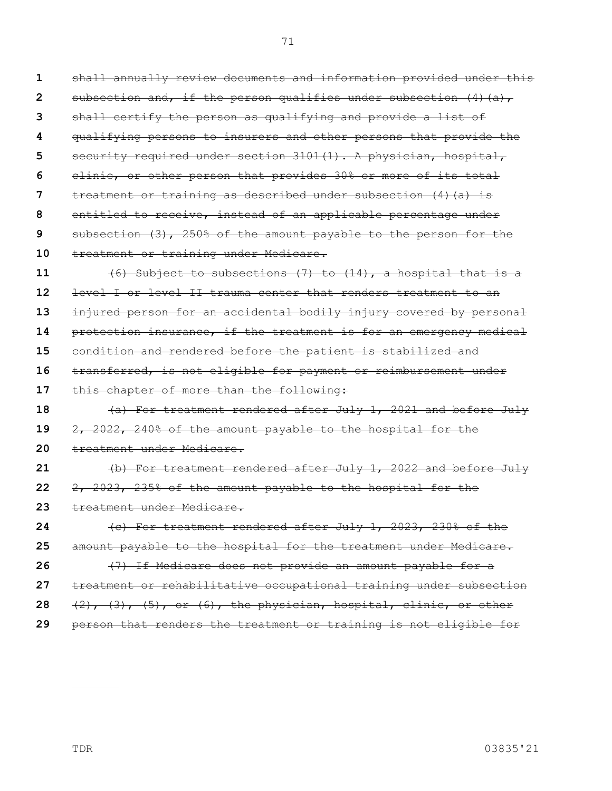**1 2 3 4 5 6 7 8 9 10 11 12 13 14 15 16 17 18 19 20 21 22 23 24 25 26 27 28 29** shall annually review documents and information provided under this subsection and, if the person qualifies under subsection  $(4)$   $(a)$ , shall certify the person as qualifying and provide a list of qualifying persons to insurers and other persons that provide the security required under section 3101(1). A physician, hospital, clinic, or other person that provides 30% or more of its total treatment or training as described under subsection (4)(a) is entitled to receive, instead of an applicable percentage under subsection (3), 250% of the amount payable to the person for the treatment or training under Medicare. (6) Subject to subsections (7) to (14), a hospital that is a level I or level II trauma center that renders treatment to an injured person for an accidental bodily injury covered by personal protection insurance, if the treatment is for an emergency medical condition and rendered before the patient is stabilized and transferred, is not eligible for payment or reimbursement under this chapter of more than the following: (a) For treatment rendered after July 1, 2021 and before July 2, 2022, 240% of the amount payable to the hospital for the treatment under Medicare. (b) For treatment rendered after July 1, 2022 and before July 2, 2023, 235% of the amount payable to the hospital for the treatment under Medicare. (c) For treatment rendered after July 1, 2023, 230% of the amount payable to the hospital for the treatment under Medicare. (7) If Medicare does not provide an amount payable for a treatment or rehabilitative occupational training under subsection  $(2)$ ,  $(3)$ ,  $(5)$ , or  $(6)$ , the physician, hospital, clinic, or other person that renders the treatment or training is not eligible for

TDR 03835'21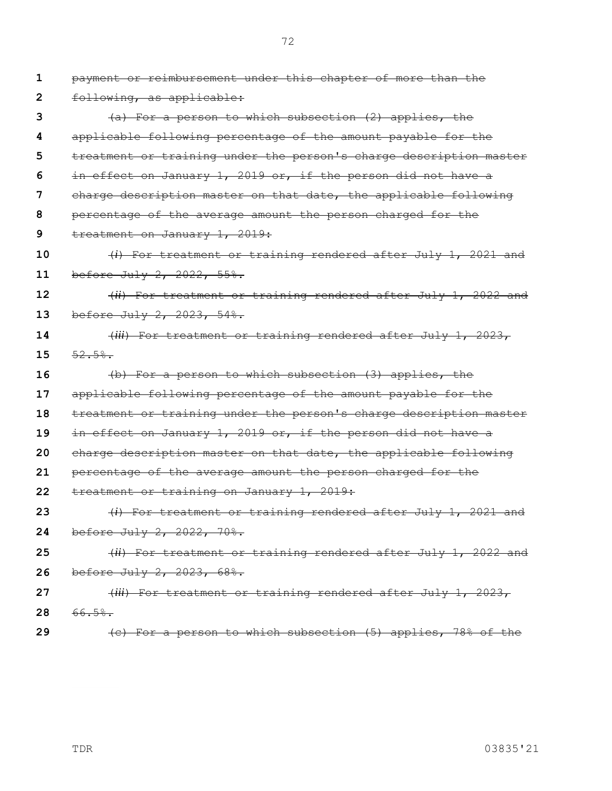**1 2 3 4 5 6 7 8 9 10 11 12 13 14 15 16 17 18 19 20 21 22 23 24 25 26 27 28 29** payment or reimbursement under this chapter of more than the following, as applicable: (a) For a person to which subsection (2) applies, the applicable following percentage of the amount payable for the treatment or training under the person's charge description master in effect on January 1, 2019 or, if the person did not have a charge description master on that date, the applicable following percentage of the average amount the person charged for the treatment on January 1, 2019: (*i*) For treatment or training rendered after July 1, 2021 and before July 2, 2022, 55%. (*ii*) For treatment or training rendered after July 1, 2022 and before July 2, 2023, 54%. (*iii*) For treatment or training rendered after July 1, 2023, 52.5%. (b) For a person to which subsection (3) applies, the applicable following percentage of the amount payable for the treatment or training under the person's charge description master in effect on January 1, 2019 or, if the person did not have a charge description master on that date, the applicable following percentage of the average amount the person charged for the treatment or training on January 1, 2019: (*i*) For treatment or training rendered after July 1, 2021 and before July 2, 2022, 70%. (*ii*) For treatment or training rendered after July 1, 2022 and before July 2, 2023, 68%. (*iii*) For treatment or training rendered after July 1, 2023, 66.5%. (c) For a person to which subsection (5) applies, 78% of the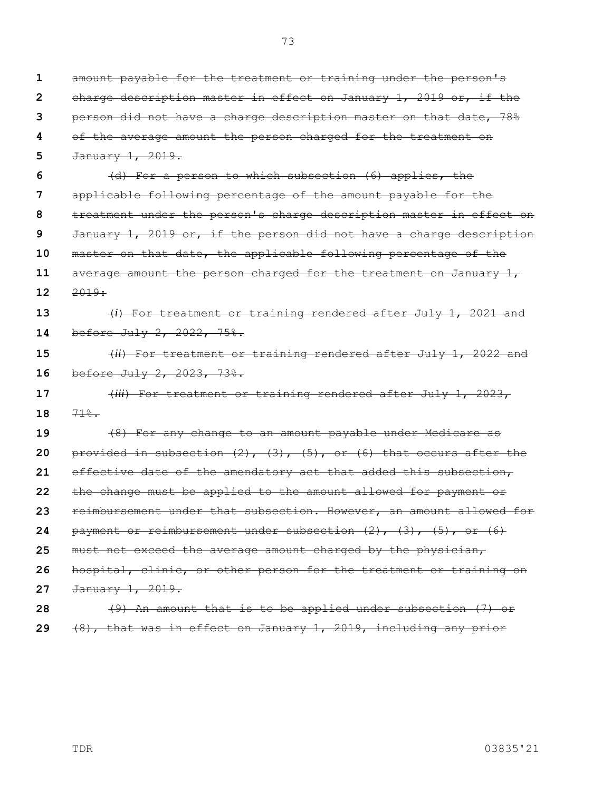**1 2 3 4 5 6 7 8 9 10 11 12 13 14 15 16 17 18 19 20 21 22 23 24 25 26 27 28** amount payable for the treatment or training under the person's charge description master in effect on January 1, 2019 or, if the person did not have a charge description master on that date, 78% of the average amount the person charged for the treatment on January 1, 2019. (d) For a person to which subsection (6) applies, the applicable following percentage of the amount payable for the treatment under the person's charge description master in effect on January 1, 2019 or, if the person did not have a charge description master on that date, the applicable following percentage of the average amount the person charged for the treatment on January 1, 2019: (*i*) For treatment or training rendered after July 1, 2021 and before July 2, 2022, 75%. (*ii*) For treatment or training rendered after July 1, 2022 and before July 2, 2023, 73%. (*iii*) For treatment or training rendered after July 1, 2023, 71%. (8) For any change to an amount payable under Medicare as provided in subsection  $(2)$ ,  $(3)$ ,  $(5)$ , or  $(6)$  that occurs after the effective date of the amendatory act that added this subsection, the change must be applied to the amount allowed for payment or reimbursement under that subsection. However, an amount allowed for payment or reimbursement under subsection  $(2)$ ,  $(3)$ ,  $(5)$ , or  $(6)$ must not exceed the average amount charged by the physician, hospital, clinic, or other person for the treatment or training on January 1, 2019. (9) An amount that is to be applied under subsection (7) or

**29** (8), that was in effect on January 1, 2019, including any prior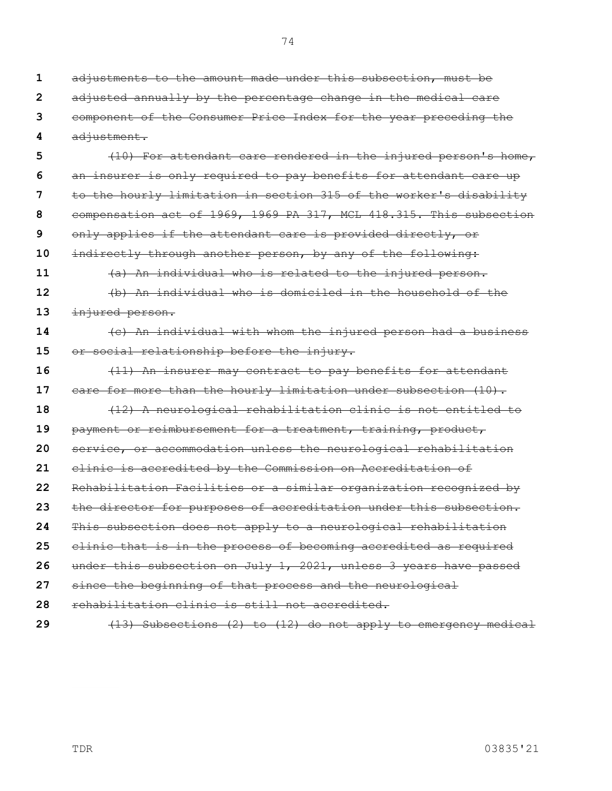**4 5 6 7 8 9 10 11 12 13 14 15 16 17 18 19 20 21 22 23 24 25 26 27 28 29** adjustment. (10) For attendant care rendered in the injured person's home, an insurer is only required to pay benefits for attendant care up to the hourly limitation in section 315 of the worker's disability compensation act of 1969, 1969 PA 317, MCL 418.315. This subsection only applies if the attendant care is provided directly, or indirectly through another person, by any of the following: (a) An individual who is related to the injured person. (b) An individual who is domiciled in the household of the injured person. (c) An individual with whom the injured person had a business or social relationship before the injury. (11) An insurer may contract to pay benefits for attendant care for more than the hourly limitation under subsection (10). (12) A neurological rehabilitation clinic is not entitled to payment or reimbursement for a treatment, training, product, service, or accommodation unless the neurological rehabilitation clinic is accredited by the Commission on Accreditation of Rehabilitation Facilities or a similar organization recognized by the director for purposes of accreditation under this subsection. This subsection does not apply to a neurological rehabilitation clinic that is in the process of becoming accredited as required under this subsection on July 1, 2021, unless 3 years have passed since the beginning of that process and the neurological rehabilitation clinic is still not accredited. (13) Subsections (2) to (12) do not apply to emergency medical

adjustments to the amount made under this subsection, must be

adjusted annually by the percentage change in the medical care

component of the Consumer Price Index for the year preceding the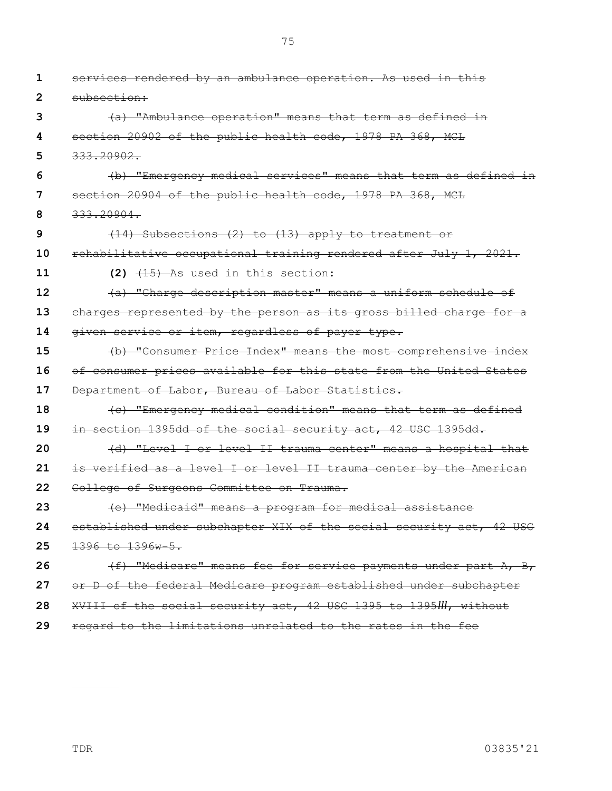| 1  | services rendered by an ambulance operation. As used in this        |
|----|---------------------------------------------------------------------|
| 2  | subsection:                                                         |
| 3  | (a) "Ambulance operation" means that term as defined in             |
| 4  | section 20902 of the public health code, 1978 PA 368, MCL           |
| 5  | 333.20902.                                                          |
| 6  | (b) "Emergency medical services" means that term as defined in      |
| 7  | section 20904 of the public health code, 1978 PA 368, MCL           |
| 8  | 333.20904.                                                          |
| 9  | (14) Subsections (2) to (13) apply to treatment or                  |
| 10 | rehabilitative occupational training rendered after July 1, 2021.   |
| 11 | $(2)$ $(15)$ As used in this section:                               |
| 12 | (a) "Charge description master" means a uniform schedule of         |
| 13 | charges represented by the person as its gross billed charge for a  |
| 14 | given service or item, regardless of payer type.                    |
| 15 | (b) "Consumer Price Index" means the most comprehensive index       |
| 16 | of consumer prices available for this state from the United States  |
| 17 | Department of Labor, Bureau of Labor Statistics.                    |
| 18 | (c) "Emergency medical condition" means that term as defined        |
| 19 | in section 1395dd of the social security act, 42 USC 1395dd.        |
| 20 | (d) "Level I or level II trauma center" means a hospital that       |
| 21 | is verified as a level I or level II trauma center by the American  |
| 22 | College of Surgeons Committee on Trauma.                            |
| 23 | (e) "Medicaid" means a program for medical assistance               |
| 24 | established under subchapter XIX of the social security act, 42 USC |
| 25 | 1396 to 1396w-5.                                                    |
| 26 | (f) "Medicare" means fee for service payments under part A, B,      |
| 27 | or D of the federal Medicare program established under subchapter   |
| 28 | XVIII of the social security act, 42 USC 1395 to 1395III, without   |
|    |                                                                     |

**29** regard to the limitations unrelated to the rates in the fee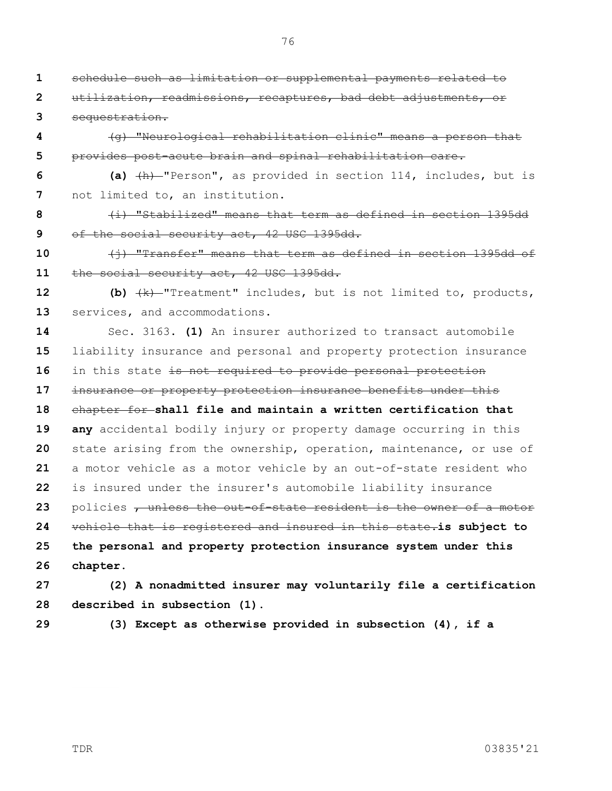76

schedule such as limitation or supplemental payments related to

**9 10 11 12 13 14 15 16 17 18 19 20 21 22 23 24** utilization, readmissions, recaptures, bad debt adjustments, or sequestration. (g) "Neurological rehabilitation clinic" means a person that provides post-acute brain and spinal rehabilitation care. **(a)** (h) "Person", as provided in section 114, includes, but is not limited to, an institution. (i) "Stabilized" means that term as defined in section 1395dd of the social security act, 42 USC 1395dd. (j) "Transfer" means that term as defined in section 1395dd of the social security act, 42 USC 1395dd. **(b)** (k) "Treatment" includes, but is not limited to, products, services, and accommodations. Sec. 3163. **(1)** An insurer authorized to transact automobile liability insurance and personal and property protection insurance in this state is not required to provide personal protection insurance or property protection insurance benefits under this chapter for **shall file and maintain a written certification that any** accidental bodily injury or property damage occurring in this state arising from the ownership, operation, maintenance, or use of a motor vehicle as a motor vehicle by an out-of-state resident who is insured under the insurer's automobile liability insurance policies , unless the out-of-state resident is the owner of a motor vehicle that is registered and insured in this state.**is subject to** 

**25 26 the personal and property protection insurance system under this chapter.**

**27 28 (2) A nonadmitted insurer may voluntarily file a certification described in subsection (1).**

**29**

**(3) Except as otherwise provided in subsection (4), if a**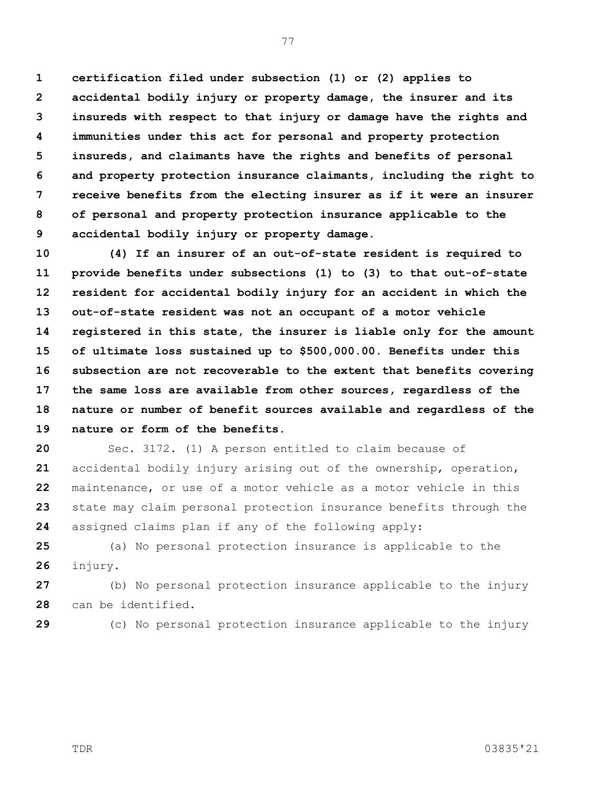**1 2 3 4 5 6 7 8 9 certification filed under subsection (1) or (2) applies to accidental bodily injury or property damage, the insurer and its insureds with respect to that injury or damage have the rights and immunities under this act for personal and property protection insureds, and claimants have the rights and benefits of personal and property protection insurance claimants, including the right to receive benefits from the electing insurer as if it were an insurer of personal and property protection insurance applicable to the accidental bodily injury or property damage.**

**10 11 12 13 14 15 16 17 18 19 (4) If an insurer of an out-of-state resident is required to provide benefits under subsections (1) to (3) to that out-of-state resident for accidental bodily injury for an accident in which the out-of-state resident was not an occupant of a motor vehicle registered in this state, the insurer is liable only for the amount of ultimate loss sustained up to \$500,000.00. Benefits under this subsection are not recoverable to the extent that benefits covering the same loss are available from other sources, regardless of the nature or number of benefit sources available and regardless of the nature or form of the benefits.**

**20 21 22 23 24** Sec. 3172. (1) A person entitled to claim because of accidental bodily injury arising out of the ownership, operation, maintenance, or use of a motor vehicle as a motor vehicle in this state may claim personal protection insurance benefits through the assigned claims plan if any of the following apply:

**25 26** (a) No personal protection insurance is applicable to the injury.

**27 28** (b) No personal protection insurance applicable to the injury can be identified.

**29**

(c) No personal protection insurance applicable to the injury

TDR 03835'21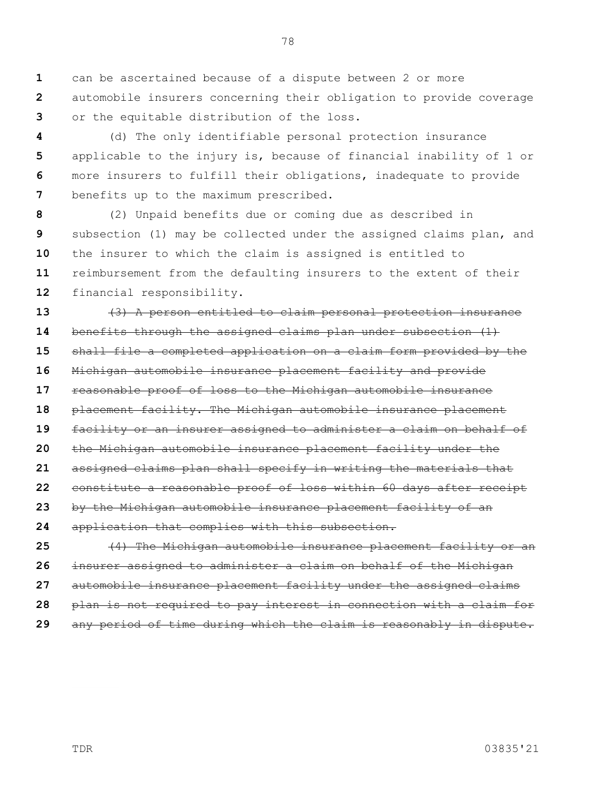**1 2 3** can be ascertained because of a dispute between 2 or more automobile insurers concerning their obligation to provide coverage or the equitable distribution of the loss.

**4 5 6 7** (d) The only identifiable personal protection insurance applicable to the injury is, because of financial inability of 1 or more insurers to fulfill their obligations, inadequate to provide benefits up to the maximum prescribed.

**8 9 10 11 12** (2) Unpaid benefits due or coming due as described in subsection (1) may be collected under the assigned claims plan, and the insurer to which the claim is assigned is entitled to reimbursement from the defaulting insurers to the extent of their financial responsibility.

**13 14 15 16 17 18 19 20 21 22 23 24 25** (3) A person entitled to claim personal protection insurance benefits through the assigned claims plan under subsection (1) shall file a completed application on a claim form provided by the Michigan automobile insurance placement facility and provide reasonable proof of loss to the Michigan automobile insurance placement facility. The Michigan automobile insurance placement facility or an insurer assigned to administer a claim on behalf of the Michigan automobile insurance placement facility under the assigned claims plan shall specify in writing the materials that constitute a reasonable proof of loss within 60 days after receipt by the Michigan automobile insurance placement facility of an application that complies with this subsection. (4) The Michigan automobile insurance placement facility or an

**26 27 28 29** insurer assigned to administer a claim on behalf of the Michigan automobile insurance placement facility under the assigned claims plan is not required to pay interest in connection with a claim for any period of time during which the claim is reasonably in dispute.

TDR 03835'21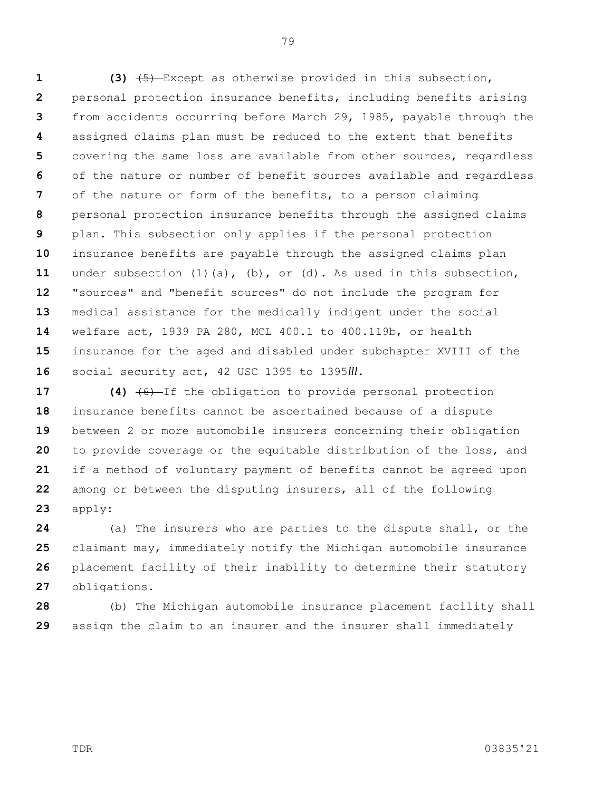**1 2 3 4 5 6 7 8 9 10 11 12 13 14 15 16 (3)** (5) Except as otherwise provided in this subsection, personal protection insurance benefits, including benefits arising from accidents occurring before March 29, 1985, payable through the assigned claims plan must be reduced to the extent that benefits covering the same loss are available from other sources, regardless of the nature or number of benefit sources available and regardless of the nature or form of the benefits, to a person claiming personal protection insurance benefits through the assigned claims plan. This subsection only applies if the personal protection insurance benefits are payable through the assigned claims plan under subsection (1)(a), (b), or (d). As used in this subsection, "sources" and "benefit sources" do not include the program for medical assistance for the medically indigent under the social welfare act, 1939 PA 280, MCL 400.1 to 400.119b, or health insurance for the aged and disabled under subchapter XVIII of the social security act, 42 USC 1395 to 1395*lll*.

**17 18 19 20 21 22 23 (4)** (6) If the obligation to provide personal protection insurance benefits cannot be ascertained because of a dispute between 2 or more automobile insurers concerning their obligation to provide coverage or the equitable distribution of the loss, and if a method of voluntary payment of benefits cannot be agreed upon among or between the disputing insurers, all of the following apply:

**24 25 26 27** (a) The insurers who are parties to the dispute shall, or the claimant may, immediately notify the Michigan automobile insurance placement facility of their inability to determine their statutory obligations.

**28 29** (b) The Michigan automobile insurance placement facility shall assign the claim to an insurer and the insurer shall immediately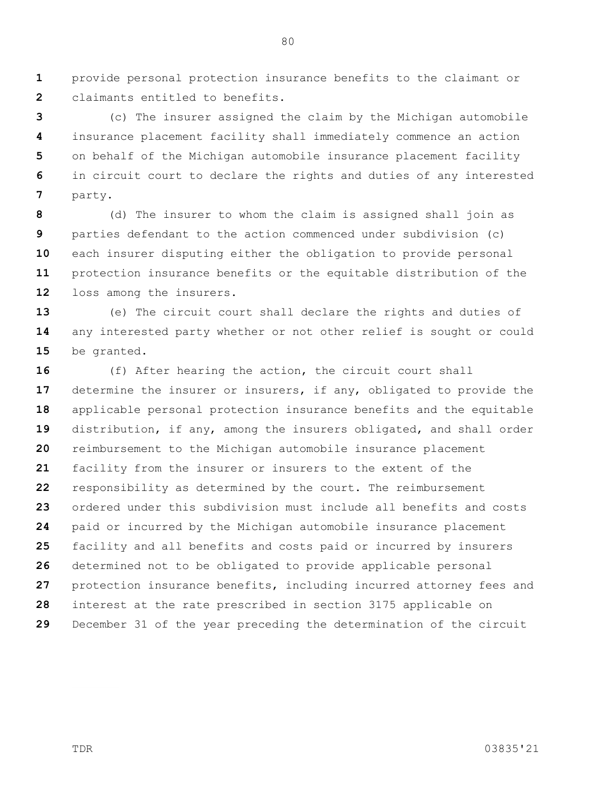**1 2** provide personal protection insurance benefits to the claimant or claimants entitled to benefits.

**3 4 5 6 7** (c) The insurer assigned the claim by the Michigan automobile insurance placement facility shall immediately commence an action on behalf of the Michigan automobile insurance placement facility in circuit court to declare the rights and duties of any interested party.

**8 9 10 11 12** (d) The insurer to whom the claim is assigned shall join as parties defendant to the action commenced under subdivision (c) each insurer disputing either the obligation to provide personal protection insurance benefits or the equitable distribution of the loss among the insurers.

**13 14 15** (e) The circuit court shall declare the rights and duties of any interested party whether or not other relief is sought or could be granted.

**16 17 18 19 20 21 22 23 24 25 26 27 28 29** (f) After hearing the action, the circuit court shall determine the insurer or insurers, if any, obligated to provide the applicable personal protection insurance benefits and the equitable distribution, if any, among the insurers obligated, and shall order reimbursement to the Michigan automobile insurance placement facility from the insurer or insurers to the extent of the responsibility as determined by the court. The reimbursement ordered under this subdivision must include all benefits and costs paid or incurred by the Michigan automobile insurance placement facility and all benefits and costs paid or incurred by insurers determined not to be obligated to provide applicable personal protection insurance benefits, including incurred attorney fees and interest at the rate prescribed in section 3175 applicable on December 31 of the year preceding the determination of the circuit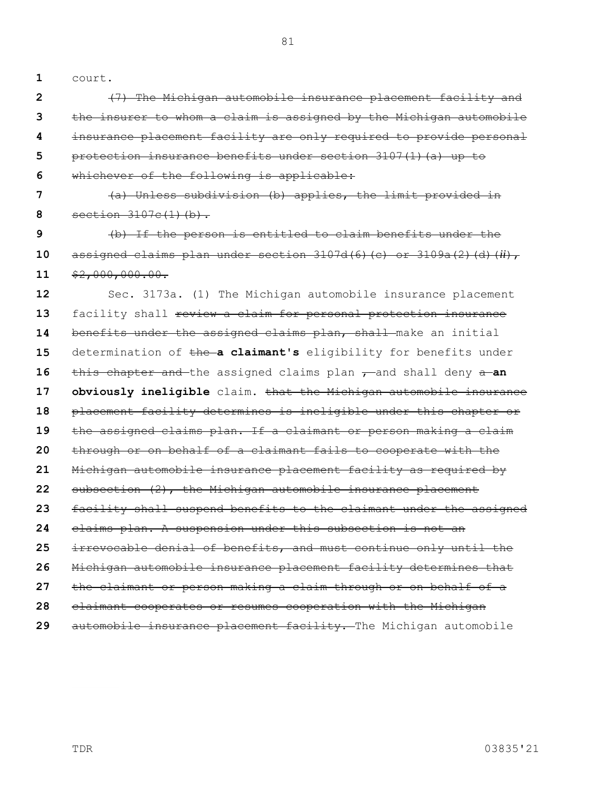**1** court.

**2 3 4 5 6 7 8 9 10 11 12 13 14 15 16 17 18 19 20 21 22 23 24 25 26 27 28 29** (7) The Michigan automobile insurance placement facility and the insurer to whom a claim is assigned by the Michigan automobile insurance placement facility are only required to provide personal protection insurance benefits under section 3107(1)(a) up to whichever of the following is applicable: (a) Unless subdivision (b) applies, the limit provided in section  $3107c(1)(b)$ . (b) If the person is entitled to claim benefits under the assigned claims plan under section 3107d(6)(c) or 3109a(2)(d)(*ii*),  $$2,000,000.00.$ Sec. 3173a. (1) The Michigan automobile insurance placement facility shall review a claim for personal protection insurance benefits under the assigned claims plan, shall make an initial determination of the **a claimant's** eligibility for benefits under this chapter and the assigned claims plan  $\tau$  and shall deny a-an **obviously ineligible** claim**.** that the Michigan automobile insurance placement facility determines is ineligible under this chapter or the assigned claims plan. If a claimant or person making a claim through or on behalf of a claimant fails to cooperate with the Michigan automobile insurance placement facility as required by subsection (2), the Michigan automobile insurance placement facility shall suspend benefits to the claimant under the assigned claims plan. A suspension under this subsection is not an irrevocable denial of benefits, and must continue only until the Michigan automobile insurance placement facility determines that the claimant or person making a claim through or on behalf of a claimant cooperates or resumes cooperation with the Michigan automobile insurance placement facility. The Michigan automobile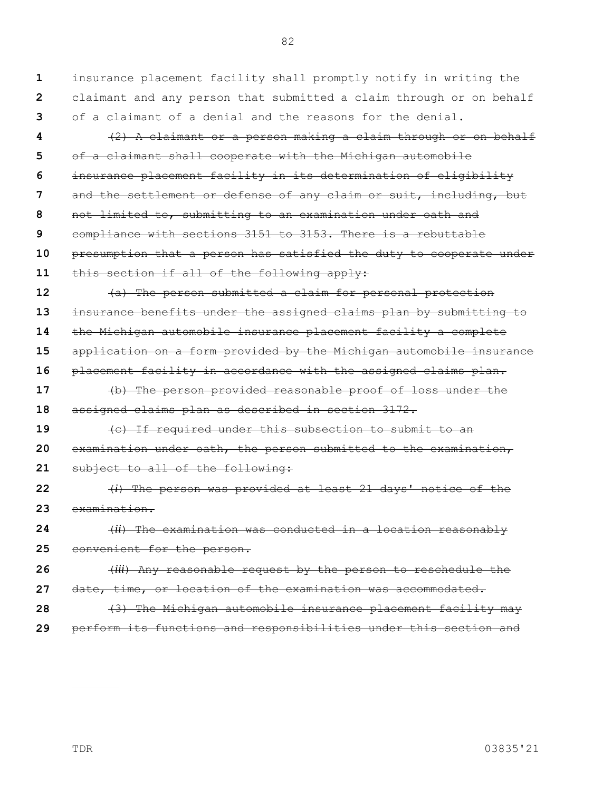**1 2 3 4 5** insurance placement facility shall promptly notify in writing the claimant and any person that submitted a claim through or on behalf of a claimant of a denial and the reasons for the denial. (2) A claimant or a person making a claim through or on behalf of a claimant shall cooperate with the Michigan automobile

82

**6 7 8 9 10 11** insurance placement facility in its determination of eligibility and the settlement or defense of any claim or suit, including, but not limited to, submitting to an examination under oath and compliance with sections 3151 to 3153. There is a rebuttable presumption that a person has satisfied the duty to cooperate under this section if all of the following apply:

**12 13 14 15 16 17 18 19 20** (a) The person submitted a claim for personal protection insurance benefits under the assigned claims plan by submitting to the Michigan automobile insurance placement facility a complete application on a form provided by the Michigan automobile insurance placement facility in accordance with the assigned claims plan. (b) The person provided reasonable proof of loss under the assigned claims plan as described in section 3172. (c) If required under this subsection to submit to an examination under oath, the person submitted to the examination,

**21** subject to all of the following:

**22 23** (*i*) The person was provided at least 21 days' notice of the examination.

**24 25** (*ii*) The examination was conducted in a location reasonably convenient for the person.

**26 27** (*iii*) Any reasonable request by the person to reschedule the date, time, or location of the examination was accommodated.

**28 29** (3) The Michigan automobile insurance placement facility may perform its functions and responsibilities under this section and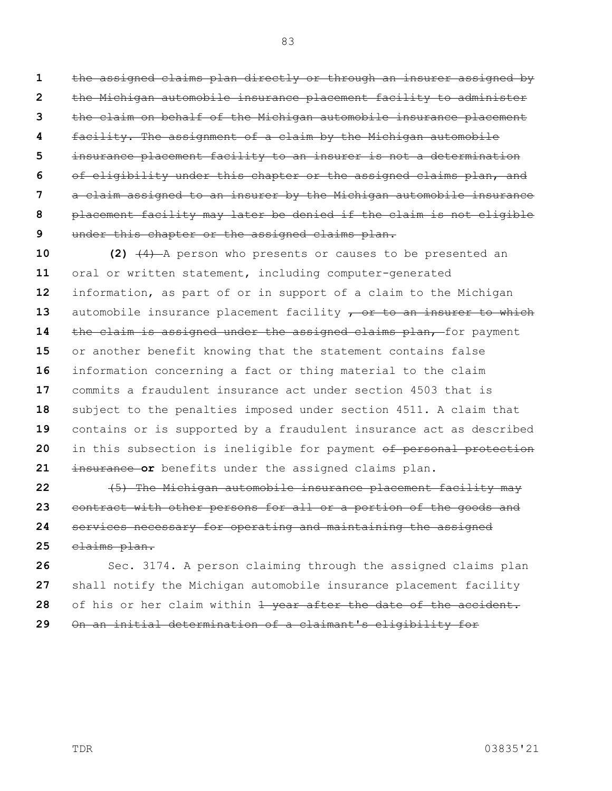**1 2 3 4 5 6 7 8 9** the assigned claims plan directly or through an insurer assigned by the Michigan automobile insurance placement facility to administer the claim on behalf of the Michigan automobile insurance placement facility. The assignment of a claim by the Michigan automobile insurance placement facility to an insurer is not a determination of eligibility under this chapter or the assigned claims plan, and a claim assigned to an insurer by the Michigan automobile insurance placement facility may later be denied if the claim is not eligible under this chapter or the assigned claims plan.

**10 11 12 13 14 15 16 17 18 19 20 21 (2)** (4) A person who presents or causes to be presented an oral or written statement, including computer-generated information, as part of or in support of a claim to the Michigan automobile insurance placement facility  $\tau$  or to an insurer to which the claim is assigned under the assigned claims plan, for payment or another benefit knowing that the statement contains false information concerning a fact or thing material to the claim commits a fraudulent insurance act under section 4503 that is subject to the penalties imposed under section 4511. A claim that contains or is supported by a fraudulent insurance act as described in this subsection is ineligible for payment of personal protection insurance **or** benefits under the assigned claims plan.

**22 23 24 25** (5) The Michigan automobile insurance placement facility may contract with other persons for all or a portion of the goods and services necessary for operating and maintaining the assigned claims plan.

**26 27 28 29** Sec. 3174. A person claiming through the assigned claims plan shall notify the Michigan automobile insurance placement facility of his or her claim within 1 year after the date of the accident. On an initial determination of a claimant's eligibility for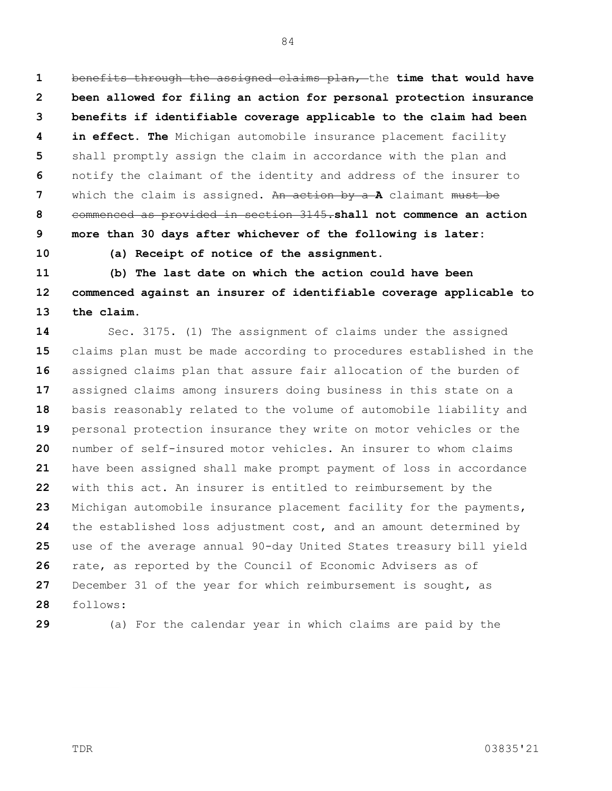**1 2 3 4 5 6 7 8 9 10** benefits through the assigned claims plan, the **time that would have been allowed for filing an action for personal protection insurance benefits if identifiable coverage applicable to the claim had been in effect. The** Michigan automobile insurance placement facility shall promptly assign the claim in accordance with the plan and notify the claimant of the identity and address of the insurer to which the claim is assigned. An action by a **A** claimant must be commenced as provided in section 3145.**shall not commence an action more than 30 days after whichever of the following is later:**

84

**(a) Receipt of notice of the assignment.**

**11 12 13 (b) The last date on which the action could have been commenced against an insurer of identifiable coverage applicable to the claim.**

**14 15 16 17 18 19 20 21 22 23 24 25 26 27 28** Sec. 3175. (1) The assignment of claims under the assigned claims plan must be made according to procedures established in the assigned claims plan that assure fair allocation of the burden of assigned claims among insurers doing business in this state on a basis reasonably related to the volume of automobile liability and personal protection insurance they write on motor vehicles or the number of self-insured motor vehicles. An insurer to whom claims have been assigned shall make prompt payment of loss in accordance with this act. An insurer is entitled to reimbursement by the Michigan automobile insurance placement facility for the payments, the established loss adjustment cost, and an amount determined by use of the average annual 90-day United States treasury bill yield rate, as reported by the Council of Economic Advisers as of December 31 of the year for which reimbursement is sought, as follows:

**29**

(a) For the calendar year in which claims are paid by the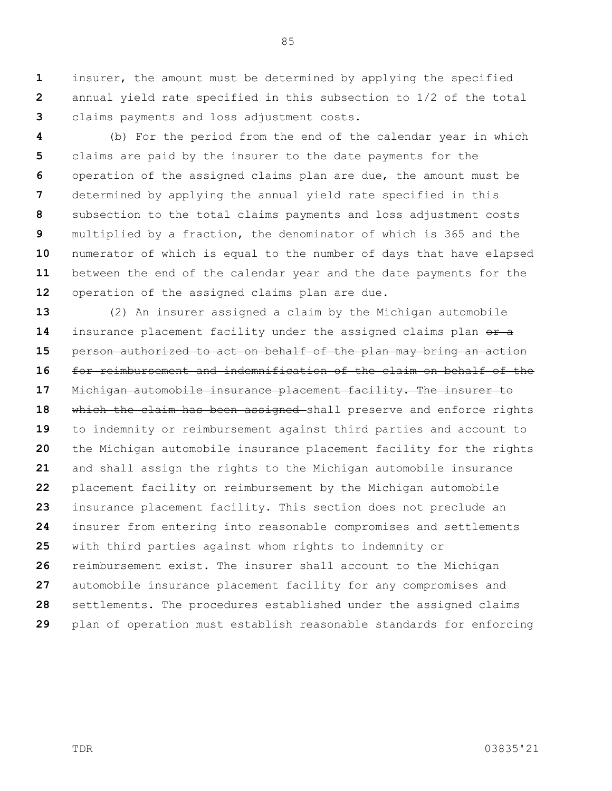**1 2 3** insurer, the amount must be determined by applying the specified annual yield rate specified in this subsection to 1/2 of the total claims payments and loss adjustment costs.

**4 5 6 7 8 9 10 11 12** (b) For the period from the end of the calendar year in which claims are paid by the insurer to the date payments for the operation of the assigned claims plan are due, the amount must be determined by applying the annual yield rate specified in this subsection to the total claims payments and loss adjustment costs multiplied by a fraction, the denominator of which is 365 and the numerator of which is equal to the number of days that have elapsed between the end of the calendar year and the date payments for the operation of the assigned claims plan are due.

**13 14 15 16 17 18 19 20 21 22 23 24 25 26 27 28 29** (2) An insurer assigned a claim by the Michigan automobile insurance placement facility under the assigned claims plan or a person authorized to act on behalf of the plan may bring an action for reimbursement and indemnification of the claim on behalf of the Michigan automobile insurance placement facility. The insurer to which the claim has been assigned shall preserve and enforce rights to indemnity or reimbursement against third parties and account to the Michigan automobile insurance placement facility for the rights and shall assign the rights to the Michigan automobile insurance placement facility on reimbursement by the Michigan automobile insurance placement facility. This section does not preclude an insurer from entering into reasonable compromises and settlements with third parties against whom rights to indemnity or reimbursement exist. The insurer shall account to the Michigan automobile insurance placement facility for any compromises and settlements. The procedures established under the assigned claims plan of operation must establish reasonable standards for enforcing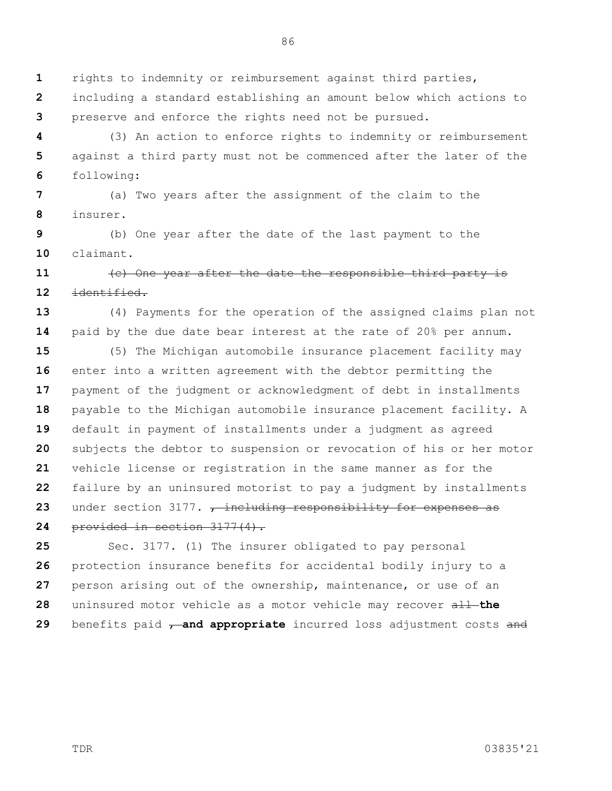86

**1** rights to indemnity or reimbursement against third parties,

**2 3** including a standard establishing an amount below which actions to preserve and enforce the rights need not be pursued.

**4 5 6** (3) An action to enforce rights to indemnity or reimbursement against a third party must not be commenced after the later of the following:

**7 8** (a) Two years after the assignment of the claim to the insurer.

**9 10** (b) One year after the date of the last payment to the claimant.

## **11 12** (c) One year after the date the responsible third party is identified.

**13 14** (4) Payments for the operation of the assigned claims plan not paid by the due date bear interest at the rate of 20% per annum.

**15 16 17 18 19 20 21 22 23** (5) The Michigan automobile insurance placement facility may enter into a written agreement with the debtor permitting the payment of the judgment or acknowledgment of debt in installments payable to the Michigan automobile insurance placement facility. A default in payment of installments under a judgment as agreed subjects the debtor to suspension or revocation of his or her motor vehicle license or registration in the same manner as for the failure by an uninsured motorist to pay a judgment by installments under section 3177. <del>, including responsibility for expenses as</del>

**24** provided in section 3177(4).

**25 26 27 28 29** Sec. 3177. (1) The insurer obligated to pay personal protection insurance benefits for accidental bodily injury to a person arising out of the ownership, maintenance, or use of an uninsured motor vehicle as a motor vehicle may recover all **the**  benefits paid **, and appropriate** incurred loss adjustment costs and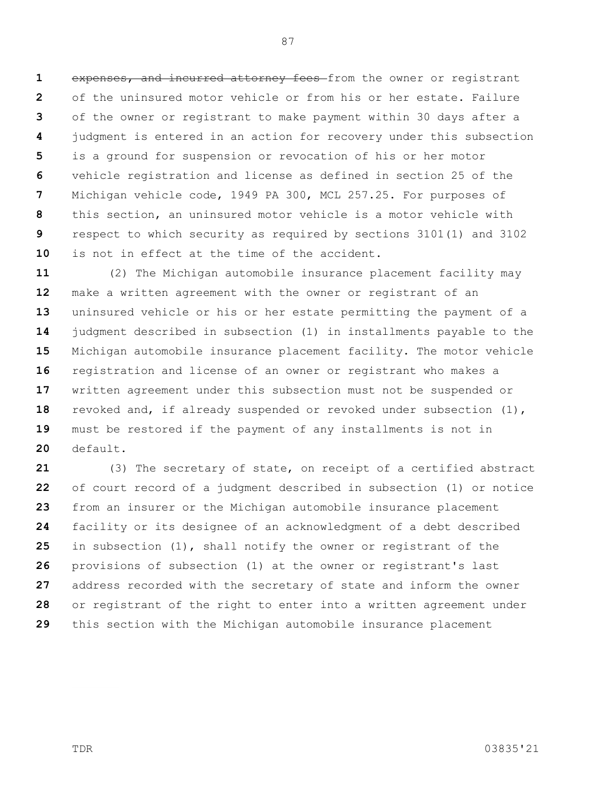**1 2 3 4 5 6 7 8 9 10** expenses, and incurred attorney fees from the owner or registrant of the uninsured motor vehicle or from his or her estate. Failure of the owner or registrant to make payment within 30 days after a judgment is entered in an action for recovery under this subsection is a ground for suspension or revocation of his or her motor vehicle registration and license as defined in section 25 of the Michigan vehicle code, 1949 PA 300, MCL 257.25. For purposes of this section, an uninsured motor vehicle is a motor vehicle with respect to which security as required by sections 3101(1) and 3102 is not in effect at the time of the accident.

**11 12 13 14 15 16 17 18 19 20** (2) The Michigan automobile insurance placement facility may make a written agreement with the owner or registrant of an uninsured vehicle or his or her estate permitting the payment of a judgment described in subsection (1) in installments payable to the Michigan automobile insurance placement facility. The motor vehicle registration and license of an owner or registrant who makes a written agreement under this subsection must not be suspended or revoked and, if already suspended or revoked under subsection (1), must be restored if the payment of any installments is not in default.

**21 22 23 24 25 26 27 28 29** (3) The secretary of state, on receipt of a certified abstract of court record of a judgment described in subsection (1) or notice from an insurer or the Michigan automobile insurance placement facility or its designee of an acknowledgment of a debt described in subsection (1), shall notify the owner or registrant of the provisions of subsection (1) at the owner or registrant's last address recorded with the secretary of state and inform the owner or registrant of the right to enter into a written agreement under this section with the Michigan automobile insurance placement

TDR 03835'21